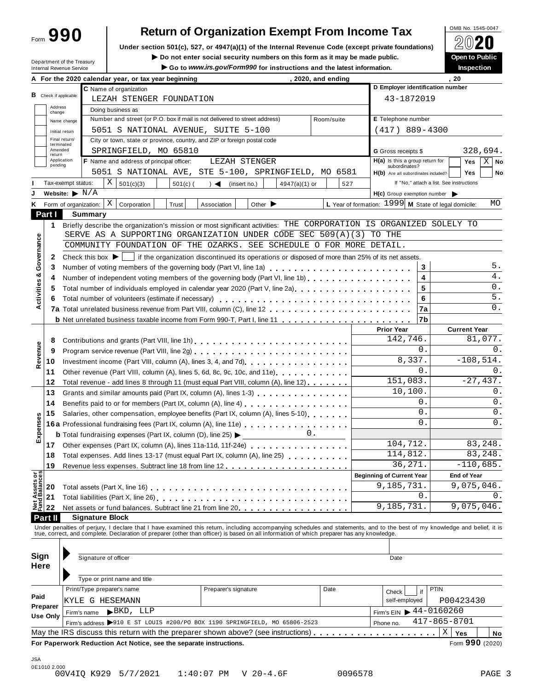Form **990**

## **Return of Organization Exempt From Income Tax**

**Under section 501(c), 527, or 4947(a)(1) of the Internal Revenue Code (except private foundations)** À¾¶´

Department of the Treasury

■ **Do** not enter social security numbers on this form as it may be made public. <br>● Go to www.irs.gov/Form990 for instructions and the latest information. Inspection Go to www.irs.gov/Form990 for instructions and the latest information.

|                                |                   |                                    | A For the 2020 calendar year, or tax year beginning                                                                                                                                                                                         |                                                      | 2020, and ending   |                                                             | , 20                                     |  |  |
|--------------------------------|-------------------|------------------------------------|---------------------------------------------------------------------------------------------------------------------------------------------------------------------------------------------------------------------------------------------|------------------------------------------------------|--------------------|-------------------------------------------------------------|------------------------------------------|--|--|
|                                |                   |                                    | C Name of organization                                                                                                                                                                                                                      |                                                      |                    | D Employer identification number                            |                                          |  |  |
|                                |                   | <b>B</b> Check if applicable:      | LEZAH STENGER FOUNDATION                                                                                                                                                                                                                    |                                                      |                    | 43-1872019                                                  |                                          |  |  |
|                                | Address<br>change |                                    | Doing business as                                                                                                                                                                                                                           |                                                      |                    |                                                             |                                          |  |  |
|                                |                   | Name change                        | Number and street (or P.O. box if mail is not delivered to street address)                                                                                                                                                                  |                                                      | Room/suite         | E Telephone number                                          |                                          |  |  |
|                                |                   | Initial return                     | 5051 S NATIONAL AVENUE, SUITE 5-100                                                                                                                                                                                                         |                                                      |                    | $(417)$ 889-4300                                            |                                          |  |  |
|                                |                   | Final return/<br>terminated        | City or town, state or province, country, and ZIP or foreign postal code                                                                                                                                                                    |                                                      |                    |                                                             |                                          |  |  |
|                                | Amended<br>return |                                    | SPRINGFIELD, MO 65810                                                                                                                                                                                                                       |                                                      |                    | <b>G</b> Gross receipts \$                                  | 328,694.                                 |  |  |
|                                | pending           | Application                        | F Name and address of principal officer:                                                                                                                                                                                                    | LEZAH STENGER                                        |                    | $H(a)$ is this a group return for<br>subordinates?          | $X$ No<br>Yes                            |  |  |
|                                |                   |                                    |                                                                                                                                                                                                                                             | 5051 S NATIONAL AVE, STE 5-100, SPRINGFIELD, MO 6581 |                    | H(b) Are all subordinates included?                         | <b>Yes</b><br>No                         |  |  |
|                                |                   | Tax-exempt status:                 | X<br>501(c)(3)<br>$501(c)$ (                                                                                                                                                                                                                | $\rightarrow$<br>(insert no.)<br>$4947(a)(1)$ or     | 527                |                                                             | If "No," attach a list. See instructions |  |  |
|                                |                   | Website: $\blacktriangleright$ N/A |                                                                                                                                                                                                                                             |                                                      |                    | $H(c)$ Group exemption number $\blacktriangleright$         |                                          |  |  |
| Κ                              |                   |                                    | X<br>Form of organization:<br>Corporation<br>Trust                                                                                                                                                                                          | Other $\blacktriangleright$<br>Association           |                    | L Year of formation: $1999 \mid M$ State of legal domicile: | MO                                       |  |  |
|                                | Part I            |                                    | <b>Summary</b>                                                                                                                                                                                                                              |                                                      |                    |                                                             |                                          |  |  |
|                                | 1                 |                                    | Briefly describe the organization's mission or most significant activities: THE CORPORATION IS ORGANIZED SOLELY TO                                                                                                                          |                                                      |                    |                                                             |                                          |  |  |
|                                |                   |                                    | SERVE AS A SUPPORTING ORGANIZATION UNDER CODE SEC 509(A)(3) TO THE                                                                                                                                                                          |                                                      |                    |                                                             |                                          |  |  |
| Governance                     |                   |                                    | COMMUNITY FOUNDATION OF THE OZARKS. SEE SCHEDULE O FOR MORE DETAIL.                                                                                                                                                                         |                                                      |                    |                                                             |                                          |  |  |
|                                | 2                 |                                    | Check this box $\blacktriangleright$   if the organization discontinued its operations or disposed of more than 25% of its net assets.                                                                                                      |                                                      |                    |                                                             |                                          |  |  |
|                                | 3                 |                                    | Number of voting members of the governing body (Part VI, line 1a)                                                                                                                                                                           |                                                      |                    | 3                                                           | 5.                                       |  |  |
|                                | 4                 |                                    | Number of independent voting members of the governing body (Part VI, line 1b)                                                                                                                                                               |                                                      |                    | 4                                                           | $4$ .                                    |  |  |
| Activities &                   | 5                 |                                    | Total number of individuals employed in calendar year 2020 (Part V, line 2a)                                                                                                                                                                |                                                      |                    | 5                                                           | 0.                                       |  |  |
|                                | 6                 |                                    |                                                                                                                                                                                                                                             |                                                      |                    | 6                                                           | 5.                                       |  |  |
|                                |                   |                                    |                                                                                                                                                                                                                                             |                                                      |                    | 7a                                                          | 0.                                       |  |  |
|                                |                   |                                    |                                                                                                                                                                                                                                             |                                                      |                    | 7b                                                          |                                          |  |  |
|                                |                   |                                    |                                                                                                                                                                                                                                             |                                                      |                    | <b>Prior Year</b>                                           | <b>Current Year</b>                      |  |  |
|                                | 8                 |                                    |                                                                                                                                                                                                                                             |                                                      |                    | 142,746.                                                    | 81,077.                                  |  |  |
|                                | 9                 |                                    |                                                                                                                                                                                                                                             |                                                      |                    | 0.                                                          | 0.                                       |  |  |
| Revenue                        | 10                |                                    |                                                                                                                                                                                                                                             |                                                      |                    | 8,337.                                                      | $-108,514.$                              |  |  |
|                                | 11                |                                    | Other revenue (Part VIII, column (A), lines 5, 6d, 8c, 9c, 10c, and 11e)                                                                                                                                                                    |                                                      |                    | 0.                                                          | 0.                                       |  |  |
|                                | 12                |                                    | Total revenue - add lines 8 through 11 (must equal Part VIII, column (A), line 12)                                                                                                                                                          |                                                      |                    | 151,083.                                                    | $-27,437.$                               |  |  |
|                                | 13                |                                    | Grants and similar amounts paid (Part IX, column (A), lines 1-3)                                                                                                                                                                            |                                                      |                    | 10,100.                                                     | 0.                                       |  |  |
|                                | 14                |                                    | Benefits paid to or for members (Part IX, column (A), line 4)                                                                                                                                                                               |                                                      |                    | 0.                                                          | 0.                                       |  |  |
|                                | 15                |                                    | Salaries, other compensation, employee benefits (Part IX, column (A), lines 5-10)                                                                                                                                                           |                                                      |                    | 0.                                                          | 0.                                       |  |  |
| Expenses                       |                   |                                    | 16a Professional fundraising fees (Part IX, column (A), line 11e)<br>16a Professional fundraising fees (Part IX, column (A), line 11e)                                                                                                      |                                                      |                    | 0.                                                          | 0.                                       |  |  |
|                                |                   |                                    | <b>b</b> Total fundraising expenses (Part IX, column (D), line 25) $\blacktriangleright$                                                                                                                                                    | $\overline{\phantom{a}}$ 0.                          |                    |                                                             |                                          |  |  |
|                                | 17                |                                    | Other expenses (Part IX, column (A), lines 11a-11d, 11f-24e) [10]                                                                                                                                                                           |                                                      |                    | 104,712.                                                    | 83,248.                                  |  |  |
|                                | 18                |                                    | Total expenses. Add lines 13-17 (must equal Part IX, column (A), line 25)                                                                                                                                                                   |                                                      |                    | 114,812.                                                    | 83,248.                                  |  |  |
|                                | 19                |                                    |                                                                                                                                                                                                                                             |                                                      |                    | 36,271.                                                     | $-110,685.$                              |  |  |
|                                |                   |                                    |                                                                                                                                                                                                                                             |                                                      |                    | <b>Beginning of Current Year</b>                            | <b>End of Year</b>                       |  |  |
|                                | 20                |                                    |                                                                                                                                                                                                                                             |                                                      |                    | 9,185,731.                                                  | 9,075,046.                               |  |  |
| Net Assets or<br>Fund Balances | 21                |                                    |                                                                                                                                                                                                                                             |                                                      |                    | 0.                                                          |                                          |  |  |
|                                | 22                |                                    | Net assets or fund balances. Subtract line 21 from line 20 [11] [12] Net assets or fund balances. Subtract line 21 from line 20 [12] $\sim$ 100 [12] $\sim$ 100 [12] $\sim$ 100 [12] $\sim$ 100 [12] $\sim$ 100 [12] $\sim$ 100 [12] $\sim$ |                                                      |                    | 9,185,731.                                                  | 9,075,046.                               |  |  |
|                                | Part II           |                                    | <b>Signature Block</b>                                                                                                                                                                                                                      |                                                      |                    |                                                             |                                          |  |  |
|                                |                   |                                    | Under penalties of perjury, I declare that I have examined this return, including accompanying schedules and statements, and to the best of my knowledge and belief, it is                                                                  |                                                      |                    |                                                             |                                          |  |  |
|                                |                   |                                    | true, correct, and complete. Declaration of preparer (other than officer) is based on all information of which preparer has any knowledge.                                                                                                  |                                                      |                    |                                                             |                                          |  |  |
|                                |                   |                                    |                                                                                                                                                                                                                                             |                                                      |                    |                                                             |                                          |  |  |
| Sign                           |                   |                                    | Signature of officer                                                                                                                                                                                                                        |                                                      |                    | Date                                                        |                                          |  |  |
| Here                           |                   |                                    |                                                                                                                                                                                                                                             |                                                      |                    |                                                             |                                          |  |  |
|                                |                   |                                    | Type or print name and title                                                                                                                                                                                                                |                                                      |                    |                                                             |                                          |  |  |
|                                |                   |                                    | Print/Type preparer's name                                                                                                                                                                                                                  | Preparer's signature                                 | Date               | if<br>Check                                                 | <b>PTIN</b>                              |  |  |
| Paid                           |                   |                                    | KYLE G HESEMANN                                                                                                                                                                                                                             |                                                      |                    | self-employed                                               | P00423430                                |  |  |
|                                | Preparer          |                                    | $\blacktriangleright$ BKD, LLP<br>Firm's name                                                                                                                                                                                               |                                                      |                    | Firm's EIN $\triangleright$ 44-0160260                      |                                          |  |  |
|                                | Use Only          |                                    | Firm's address >910 E ST LOUIS #200/PO BOX 1190 SPRINGFIELD, MO 65806-2523                                                                                                                                                                  | Phone no.                                            | $417 - 865 - 8701$ |                                                             |                                          |  |  |
|                                |                   |                                    |                                                                                                                                                                                                                                             |                                                      |                    |                                                             | Χ<br>Yes<br>No                           |  |  |
|                                |                   |                                    | For Paperwork Reduction Act Notice, see the separate instructions.                                                                                                                                                                          |                                                      |                    |                                                             | Form 990 (2020)                          |  |  |
|                                |                   |                                    |                                                                                                                                                                                                                                             |                                                      |                    |                                                             |                                          |  |  |
| <b>JSA</b>                     |                   |                                    |                                                                                                                                                                                                                                             |                                                      |                    |                                                             |                                          |  |  |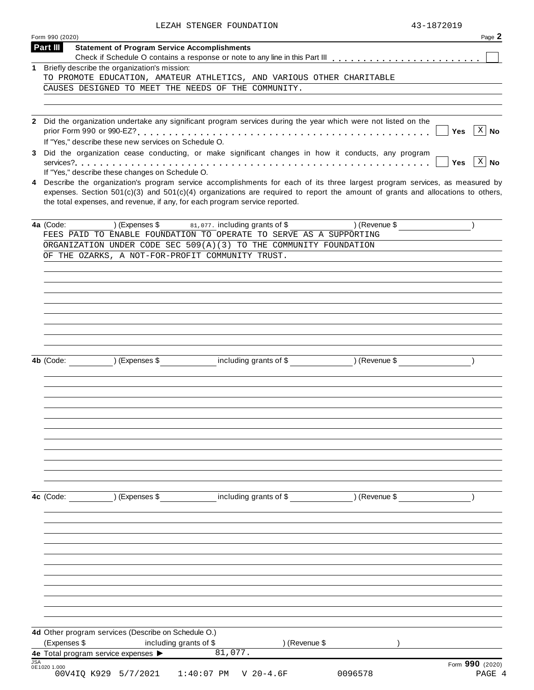|  | LEZAH STENGER FOUNDATION | 43-1872019 |
|--|--------------------------|------------|
|  |                          |            |

|            | Form 990 (2020)                                                                                                                                                               | Page 2                    |
|------------|-------------------------------------------------------------------------------------------------------------------------------------------------------------------------------|---------------------------|
|            | Part III<br><b>Statement of Program Service Accomplishments</b>                                                                                                               |                           |
| 1          | Briefly describe the organization's mission:                                                                                                                                  |                           |
|            | TO PROMOTE EDUCATION, AMATEUR ATHLETICS, AND VARIOUS OTHER CHARITABLE                                                                                                         |                           |
|            | CAUSES DESIGNED TO MEET THE NEEDS OF THE COMMUNITY.                                                                                                                           |                           |
|            |                                                                                                                                                                               |                           |
|            |                                                                                                                                                                               |                           |
|            | 2 Did the organization undertake any significant program services during the year which were not listed on the<br>If "Yes," describe these new services on Schedule O.        | $X \mid No$<br><b>Yes</b> |
|            | 3 Did the organization cease conducting, or make significant changes in how it conducts, any program                                                                          | $X \mid No$<br><b>Yes</b> |
| 4          | If "Yes," describe these changes on Schedule O.<br>Describe the organization's program service accomplishments for each of its three largest program services, as measured by |                           |
|            | expenses. Section $501(c)(3)$ and $501(c)(4)$ organizations are required to report the amount of grants and allocations to others,                                            |                           |
|            | the total expenses, and revenue, if any, for each program service reported.                                                                                                   |                           |
|            | $(Express $ $ 81,077.$ including grants of \$<br>) (Revenue \$<br>4a (Code:                                                                                                   |                           |
|            | FEES PAID TO ENABLE FOUNDATION TO OPERATE TO SERVE AS A SUPPORTING                                                                                                            |                           |
|            | ORGANIZATION UNDER CODE SEC 509(A)(3) TO THE COMMUNITY FOUNDATION                                                                                                             |                           |
|            | OF THE OZARKS, A NOT-FOR-PROFIT COMMUNITY TRUST.                                                                                                                              |                           |
|            |                                                                                                                                                                               |                           |
|            |                                                                                                                                                                               |                           |
|            |                                                                                                                                                                               |                           |
|            |                                                                                                                                                                               |                           |
|            |                                                                                                                                                                               |                           |
|            |                                                                                                                                                                               |                           |
|            | 4b (Code: ) (Expenses \$ including grants of \$ ) (Revenue \$                                                                                                                 |                           |
|            |                                                                                                                                                                               |                           |
|            |                                                                                                                                                                               |                           |
|            |                                                                                                                                                                               |                           |
|            |                                                                                                                                                                               |                           |
|            |                                                                                                                                                                               |                           |
|            |                                                                                                                                                                               |                           |
|            |                                                                                                                                                                               |                           |
|            |                                                                                                                                                                               |                           |
|            |                                                                                                                                                                               |                           |
|            | (Expenses \$ including grants of \$ ) (Revenue \$<br>4c (Code:                                                                                                                |                           |
|            |                                                                                                                                                                               |                           |
|            |                                                                                                                                                                               |                           |
|            |                                                                                                                                                                               |                           |
|            |                                                                                                                                                                               |                           |
|            |                                                                                                                                                                               |                           |
|            |                                                                                                                                                                               |                           |
|            |                                                                                                                                                                               |                           |
|            |                                                                                                                                                                               |                           |
|            |                                                                                                                                                                               |                           |
|            | 4d Other program services (Describe on Schedule O.)                                                                                                                           |                           |
|            | (Expenses \$<br>including grants of \$<br>) (Revenue \$                                                                                                                       |                           |
| <b>JSA</b> | 81,077.<br>4e Total program service expenses >                                                                                                                                |                           |
|            | 0E1020 1.000<br>00V4IQ K929 5/7/2021<br>$1:40:07$ PM<br>$V$ 20-4.6F<br>0096578                                                                                                | Form 990 (2020)<br>PAGE 4 |
|            |                                                                                                                                                                               |                           |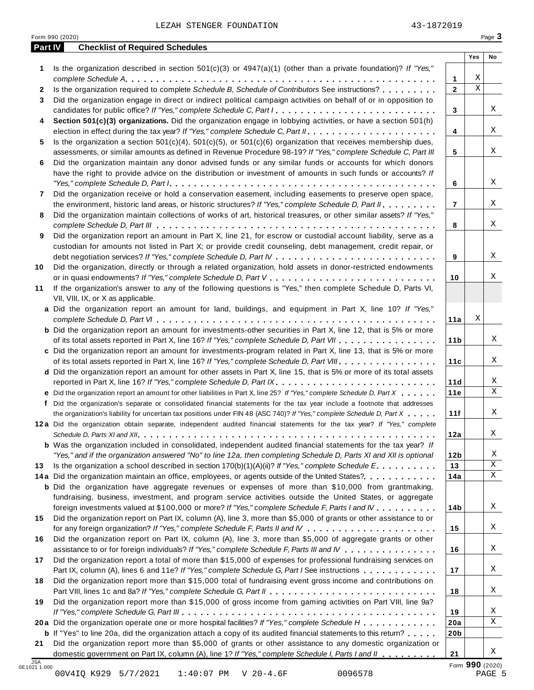**1** Is the organization described in section 501(c)(3) or 4947(a)(1) (other than a private foundation)? *If "Yes,"*

Is the organization required to complete *Schedule B, Schedule of Contributors* See instructions? m m m m m m m m m

*complete Schedule A* **1** m m m m m m m m m m m m m m m m m m m m m m m m m m m m m m m m m m m m m m m m m m m m m m m m m m

2 Is the organization required to complete Schedule B, Schedule of Contributors See instructions? .......

**Part IV Checklist of Required Schedules**

|    | Did the organization engage in direct or indirect political campaign activities on behalf of or in opposition to          |                 |   |                              |
|----|---------------------------------------------------------------------------------------------------------------------------|-----------------|---|------------------------------|
|    | candidates for public office? If "Yes," complete Schedule C, Part I.                                                      | $\mathbf{3}$    |   | X                            |
| 4  | Section 501(c)(3) organizations. Did the organization engage in lobbying activities, or have a section 501(h)             |                 |   |                              |
|    |                                                                                                                           | 4               |   | X                            |
| 5  | Is the organization a section $501(c)(4)$ , $501(c)(5)$ , or $501(c)(6)$ organization that receives membership dues,      |                 |   |                              |
|    | assessments, or similar amounts as defined in Revenue Procedure 98-19? If "Yes," complete Schedule C, Part III            | 5               |   | Χ                            |
| 6  | Did the organization maintain any donor advised funds or any similar funds or accounts for which donors                   |                 |   |                              |
|    | have the right to provide advice on the distribution or investment of amounts in such funds or accounts? If               |                 |   |                              |
|    |                                                                                                                           | 6               |   | X                            |
| 7  | Did the organization receive or hold a conservation easement, including easements to preserve open space,                 |                 |   |                              |
|    | the environment, historic land areas, or historic structures? If "Yes," complete Schedule D, Part II.                     | $\overline{7}$  |   | X                            |
| 8  | Did the organization maintain collections of works of art, historical treasures, or other similar assets? If "Yes,"       |                 |   |                              |
|    |                                                                                                                           | 8               |   | Χ                            |
| 9  | Did the organization report an amount in Part X, line 21, for escrow or custodial account liability, serve as a           |                 |   |                              |
|    | custodian for amounts not listed in Part X; or provide credit counseling, debt management, credit repair, or              |                 |   |                              |
|    |                                                                                                                           | 9               |   | Χ                            |
| 10 | Did the organization, directly or through a related organization, hold assets in donor-restricted endowments              |                 |   |                              |
|    |                                                                                                                           | 10              |   | Χ                            |
| 11 | If the organization's answer to any of the following questions is "Yes," then complete Schedule D, Parts VI,              |                 |   |                              |
|    | VII, VIII, IX, or X as applicable.                                                                                        |                 |   |                              |
|    | a Did the organization report an amount for land, buildings, and equipment in Part X, line 10? If "Yes,"                  |                 |   |                              |
|    |                                                                                                                           | 11a             | Χ |                              |
|    | <b>b</b> Did the organization report an amount for investments-other securities in Part X, line 12, that is 5% or more    |                 |   |                              |
|    | of its total assets reported in Part X, line 16? If "Yes," complete Schedule D, Part VII                                  | 11 <sub>b</sub> |   | X                            |
|    | c Did the organization report an amount for investments-program related in Part X, line 13, that is 5% or more            |                 |   |                              |
|    | of its total assets reported in Part X, line 16? If "Yes," complete Schedule D, Part VIII                                 | 11c             |   | X                            |
|    | d Did the organization report an amount for other assets in Part X, line 15, that is 5% or more of its total assets       |                 |   |                              |
|    |                                                                                                                           | 11d             |   | X<br>$\overline{X}$          |
|    | e Did the organization report an amount for other liabilities in Part X, line 25? If "Yes," complete Schedule D, Part X   | 11e             |   |                              |
|    | f Did the organization's separate or consolidated financial statements for the tax year include a footnote that addresses |                 |   |                              |
|    | the organization's liability for uncertain tax positions under FIN 48 (ASC 740)? If "Yes," complete Schedule D, Part X    | 11f             |   | X                            |
|    | 12a Did the organization obtain separate, independent audited financial statements for the tax year? If "Yes," complete   |                 |   |                              |
|    |                                                                                                                           | 12a             |   | Χ                            |
|    | <b>b</b> Was the organization included in consolidated, independent audited financial statements for the tax year? If     |                 |   |                              |
|    | "Yes," and if the organization answered "No" to line 12a, then completing Schedule D, Parts XI and XII is optional        | 12 <sub>b</sub> |   | Χ<br>$\overline{\mathbf{x}}$ |
| 13 | Is the organization a school described in section $170(b)(1)(A)(ii)$ ? If "Yes," complete Schedule E.                     | 13              |   | $\overline{X}$               |
|    | 14a Did the organization maintain an office, employees, or agents outside of the United States?                           | 14a             |   |                              |
|    | <b>b</b> Did the organization have aggregate revenues or expenses of more than \$10,000 from grantmaking,                 |                 |   |                              |
|    | fundraising, business, investment, and program service activities outside the United States, or aggregate                 |                 |   |                              |
|    | foreign investments valued at \$100,000 or more? If "Yes," complete Schedule F, Parts I and IV                            | 14b             |   | X                            |
| 15 | Did the organization report on Part IX, column (A), line 3, more than \$5,000 of grants or other assistance to or         |                 |   |                              |
|    |                                                                                                                           | 15              |   | X                            |
| 16 | Did the organization report on Part IX, column (A), line 3, more than \$5,000 of aggregate grants or other                |                 |   |                              |
|    | assistance to or for foreign individuals? If "Yes," complete Schedule F, Parts III and IV                                 | 16              |   | X                            |
| 17 | Did the organization report a total of more than \$15,000 of expenses for professional fundraising services on            |                 |   |                              |
|    | Part IX, column (A), lines 6 and 11e? If "Yes," complete Schedule G, Part I See instructions                              | 17              |   | X                            |
| 18 | Did the organization report more than \$15,000 total of fundraising event gross income and contributions on               |                 |   |                              |
|    |                                                                                                                           | 18              |   | X                            |
| 19 | Did the organization report more than \$15,000 of gross income from gaming activities on Part VIII, line 9a?              |                 |   |                              |
|    |                                                                                                                           | 19              |   | X                            |
|    | 20a Did the organization operate one or more hospital facilities? If "Yes," complete Schedule H                           | 20a             |   | X                            |
|    | <b>b</b> If "Yes" to line 20a, did the organization attach a copy of its audited financial statements to this return?     | 20 <sub>b</sub> |   |                              |
|    | Did the organization report more than \$5,000 of grants or other assistance to any domestic organization or               |                 |   | Χ                            |
| 21 | domestic government on Part IX, column (A), line 1? If "Yes," complete Schedule I, Parts I and II                         | 21              |   |                              |

**2**

**Yes No**

X X

**21**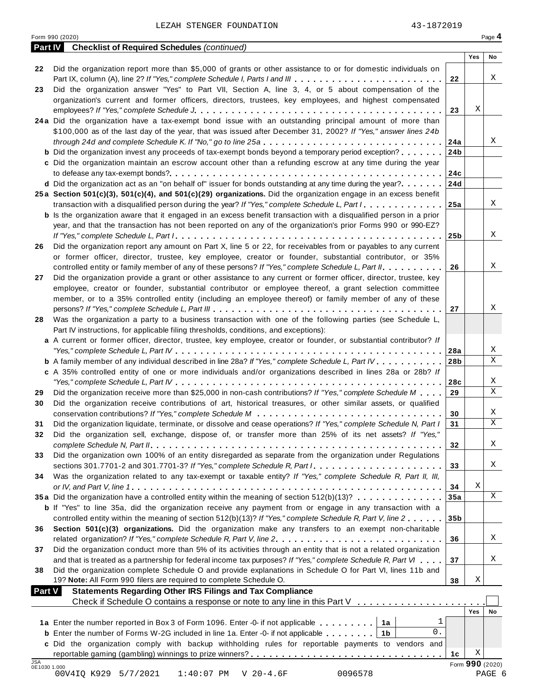| <b>Part IV</b> Checklist of Required Schedules (continued)<br>Yes<br>Did the organization report more than \$5,000 of grants or other assistance to or for domestic individuals on<br>Χ<br>Part IX, column (A), line 2? If "Yes," complete Schedule I, Parts I and III<br>22<br>Did the organization answer "Yes" to Part VII, Section A, line 3, 4, or 5 about compensation of the<br>organization's current and former officers, directors, trustees, key employees, and highest compensated<br>Χ<br>23<br>24a Did the organization have a tax-exempt bond issue with an outstanding principal amount of more than<br>\$100,000 as of the last day of the year, that was issued after December 31, 2002? If "Yes," answer lines 24b<br>through 24d and complete Schedule K. If "No," go to line 25a<br>∣24a<br><b>b</b> Did the organization invest any proceeds of tax-exempt bonds beyond a temporary period exception?<br>24 <sub>b</sub><br>c Did the organization maintain an escrow account other than a refunding escrow at any time during the year<br>24c<br>d Did the organization act as an "on behalf of" issuer for bonds outstanding at any time during the year?<br>24d<br>25a Section 501(c)(3), 501(c)(4), and 501(c)(29) organizations. Did the organization engage in an excess benefit<br>Χ<br>transaction with a disqualified person during the year? If "Yes," complete Schedule L, Part I<br>∣25a<br><b>b</b> Is the organization aware that it engaged in an excess benefit transaction with a disqualified person in a prior<br>year, and that the transaction has not been reported on any of the organization's prior Forms 990 or 990-EZ?<br>∣25b<br>Did the organization report any amount on Part X, line 5 or 22, for receivables from or payables to any current<br>or former officer, director, trustee, key employee, creator or founder, substantial contributor, or 35%<br>controlled entity or family member of any of these persons? If "Yes," complete Schedule L, Part II.<br>26<br>Did the organization provide a grant or other assistance to any current or former officer, director, trustee, key<br>employee, creator or founder, substantial contributor or employee thereof, a grant selection committee<br>member, or to a 35% controlled entity (including an employee thereof) or family member of any of these<br>27<br>Was the organization a party to a business transaction with one of the following parties (see Schedule L,<br>Part IV instructions, for applicable filing thresholds, conditions, and exceptions):<br>a A current or former officer, director, trustee, key employee, creator or founder, or substantial contributor? If<br>Χ<br>28a<br>Χ<br>b A family member of any individual described in line 28a? If "Yes," complete Schedule L, Part IV.<br>28 <sub>b</sub><br>c A 35% controlled entity of one or more individuals and/or organizations described in lines 28a or 28b? If<br>28c<br>Did the organization receive more than \$25,000 in non-cash contributions? If "Yes," complete Schedule M<br>29<br>Did the organization receive contributions of art, historical treasures, or other similar assets, or qualified<br>30<br>Did the organization liquidate, terminate, or dissolve and cease operations? If "Yes," complete Schedule N, Part I<br>31<br>Did the organization sell, exchange, dispose of, or transfer more than 25% of its net assets? If "Yes,"<br>32<br>Did the organization own 100% of an entity disregarded as separate from the organization under Regulations<br>sections 301.7701-2 and 301.7701-3? If "Yes," complete Schedule R, Part /<br>33<br>Was the organization related to any tax-exempt or taxable entity? If "Yes," complete Schedule R, Part II, III,<br>Χ<br>34<br>Χ<br>35a Did the organization have a controlled entity within the meaning of section 512(b)(13)?<br>35a<br><b>b</b> If "Yes" to line 35a, did the organization receive any payment from or engage in any transaction with a<br>controlled entity within the meaning of section 512(b)(13)? If "Yes," complete Schedule R, Part V, line 2<br>35 <sub>b</sub><br>Section 501(c)(3) organizations. Did the organization make any transfers to an exempt non-charitable<br>related organization? If "Yes," complete Schedule R, Part V, line 2.<br>36<br>Did the organization conduct more than 5% of its activities through an entity that is not a related organization<br>and that is treated as a partnership for federal income tax purposes? If "Yes," complete Schedule R, Part VI<br>37<br>Did the organization complete Schedule O and provide explanations in Schedule O for Part VI, lines 11b and<br>Χ<br>19? Note: All Form 990 filers are required to complete Schedule O.<br>38<br><b>Part V</b><br><b>Statements Regarding Other IRS Filings and Tax Compliance</b><br>Check if Schedule O contains a response or note to any line in this Part V<br><b>Yes</b><br>ı<br>1a Enter the number reported in Box 3 of Form 1096. Enter -0- if not applicable<br>1a<br>0.<br><b>b</b> Enter the number of Forms W-2G included in line 1a. Enter -0- if not applicable<br>1 <sub>b</sub><br>c Did the organization comply with backup withholding rules for reportable payments to vendors and<br>Χ<br>1c<br>Form 990 (2020)<br>0E1030 1.000<br>PAGE 6 |            | LEZAH STENGER FOUNDATION<br>Form 990 (2020)                    | 43-1872019 | Page 4 |
|----------------------------------------------------------------------------------------------------------------------------------------------------------------------------------------------------------------------------------------------------------------------------------------------------------------------------------------------------------------------------------------------------------------------------------------------------------------------------------------------------------------------------------------------------------------------------------------------------------------------------------------------------------------------------------------------------------------------------------------------------------------------------------------------------------------------------------------------------------------------------------------------------------------------------------------------------------------------------------------------------------------------------------------------------------------------------------------------------------------------------------------------------------------------------------------------------------------------------------------------------------------------------------------------------------------------------------------------------------------------------------------------------------------------------------------------------------------------------------------------------------------------------------------------------------------------------------------------------------------------------------------------------------------------------------------------------------------------------------------------------------------------------------------------------------------------------------------------------------------------------------------------------------------------------------------------------------------------------------------------------------------------------------------------------------------------------------------------------------------------------------------------------------------------------------------------------------------------------------------------------------------------------------------------------------------------------------------------------------------------------------------------------------------------------------------------------------------------------------------------------------------------------------------------------------------------------------------------------------------------------------------------------------------------------------------------------------------------------------------------------------------------------------------------------------------------------------------------------------------------------------------------------------------------------------------------------------------------------------------------------------------------------------------------------------------------------------------------------------------------------------------------------------------------------------------------------------------------------------------------------------------------------------------------------------------------------------------------------------------------------------------------------------------------------------------------------------------------------------------------------------------------------------------------------------------------------------------------------------------------------------------------------------------------------------------------------------------------------------------------------------------------------------------------------------------------------------------------------------------------------------------------------------------------------------------------------------------------------------------------------------------------------------------------------------------------------------------------------------------------------------------------------------------------------------------------------------------------------------------------------------------------------------------------------------------------------------------------------------------------------------------------------------------------------------------------------------------------------------------------------------------------------------------------------------------------------------------------------------------------------------------------------------------------------------------------------------------------------------------------------------------------------------------------------------------------------------------------------------------------------------------------------------------------------------------------------------------------------------------------------------------------------------------------------------------------------------------------------------------------------------------------------------------------------------------------------------------------------------------------------------------------------------------------------------------------------------------------------------|------------|----------------------------------------------------------------|------------|--------|
|                                                                                                                                                                                                                                                                                                                                                                                                                                                                                                                                                                                                                                                                                                                                                                                                                                                                                                                                                                                                                                                                                                                                                                                                                                                                                                                                                                                                                                                                                                                                                                                                                                                                                                                                                                                                                                                                                                                                                                                                                                                                                                                                                                                                                                                                                                                                                                                                                                                                                                                                                                                                                                                                                                                                                                                                                                                                                                                                                                                                                                                                                                                                                                                                                                                                                                                                                                                                                                                                                                                                                                                                                                                                                                                                                                                                                                                                                                                                                                                                                                                                                                                                                                                                                                                                                                                                                                                                                                                                                                                                                                                                                                                                                                                                                                                                                                                                                                                                                                                                                                                                                                                                                                                                                                                                                                                                                          |            |                                                                |            |        |
|                                                                                                                                                                                                                                                                                                                                                                                                                                                                                                                                                                                                                                                                                                                                                                                                                                                                                                                                                                                                                                                                                                                                                                                                                                                                                                                                                                                                                                                                                                                                                                                                                                                                                                                                                                                                                                                                                                                                                                                                                                                                                                                                                                                                                                                                                                                                                                                                                                                                                                                                                                                                                                                                                                                                                                                                                                                                                                                                                                                                                                                                                                                                                                                                                                                                                                                                                                                                                                                                                                                                                                                                                                                                                                                                                                                                                                                                                                                                                                                                                                                                                                                                                                                                                                                                                                                                                                                                                                                                                                                                                                                                                                                                                                                                                                                                                                                                                                                                                                                                                                                                                                                                                                                                                                                                                                                                                          |            |                                                                |            | No     |
|                                                                                                                                                                                                                                                                                                                                                                                                                                                                                                                                                                                                                                                                                                                                                                                                                                                                                                                                                                                                                                                                                                                                                                                                                                                                                                                                                                                                                                                                                                                                                                                                                                                                                                                                                                                                                                                                                                                                                                                                                                                                                                                                                                                                                                                                                                                                                                                                                                                                                                                                                                                                                                                                                                                                                                                                                                                                                                                                                                                                                                                                                                                                                                                                                                                                                                                                                                                                                                                                                                                                                                                                                                                                                                                                                                                                                                                                                                                                                                                                                                                                                                                                                                                                                                                                                                                                                                                                                                                                                                                                                                                                                                                                                                                                                                                                                                                                                                                                                                                                                                                                                                                                                                                                                                                                                                                                                          | 22         |                                                                |            |        |
|                                                                                                                                                                                                                                                                                                                                                                                                                                                                                                                                                                                                                                                                                                                                                                                                                                                                                                                                                                                                                                                                                                                                                                                                                                                                                                                                                                                                                                                                                                                                                                                                                                                                                                                                                                                                                                                                                                                                                                                                                                                                                                                                                                                                                                                                                                                                                                                                                                                                                                                                                                                                                                                                                                                                                                                                                                                                                                                                                                                                                                                                                                                                                                                                                                                                                                                                                                                                                                                                                                                                                                                                                                                                                                                                                                                                                                                                                                                                                                                                                                                                                                                                                                                                                                                                                                                                                                                                                                                                                                                                                                                                                                                                                                                                                                                                                                                                                                                                                                                                                                                                                                                                                                                                                                                                                                                                                          | 23         |                                                                |            |        |
|                                                                                                                                                                                                                                                                                                                                                                                                                                                                                                                                                                                                                                                                                                                                                                                                                                                                                                                                                                                                                                                                                                                                                                                                                                                                                                                                                                                                                                                                                                                                                                                                                                                                                                                                                                                                                                                                                                                                                                                                                                                                                                                                                                                                                                                                                                                                                                                                                                                                                                                                                                                                                                                                                                                                                                                                                                                                                                                                                                                                                                                                                                                                                                                                                                                                                                                                                                                                                                                                                                                                                                                                                                                                                                                                                                                                                                                                                                                                                                                                                                                                                                                                                                                                                                                                                                                                                                                                                                                                                                                                                                                                                                                                                                                                                                                                                                                                                                                                                                                                                                                                                                                                                                                                                                                                                                                                                          |            |                                                                |            |        |
|                                                                                                                                                                                                                                                                                                                                                                                                                                                                                                                                                                                                                                                                                                                                                                                                                                                                                                                                                                                                                                                                                                                                                                                                                                                                                                                                                                                                                                                                                                                                                                                                                                                                                                                                                                                                                                                                                                                                                                                                                                                                                                                                                                                                                                                                                                                                                                                                                                                                                                                                                                                                                                                                                                                                                                                                                                                                                                                                                                                                                                                                                                                                                                                                                                                                                                                                                                                                                                                                                                                                                                                                                                                                                                                                                                                                                                                                                                                                                                                                                                                                                                                                                                                                                                                                                                                                                                                                                                                                                                                                                                                                                                                                                                                                                                                                                                                                                                                                                                                                                                                                                                                                                                                                                                                                                                                                                          |            |                                                                |            |        |
|                                                                                                                                                                                                                                                                                                                                                                                                                                                                                                                                                                                                                                                                                                                                                                                                                                                                                                                                                                                                                                                                                                                                                                                                                                                                                                                                                                                                                                                                                                                                                                                                                                                                                                                                                                                                                                                                                                                                                                                                                                                                                                                                                                                                                                                                                                                                                                                                                                                                                                                                                                                                                                                                                                                                                                                                                                                                                                                                                                                                                                                                                                                                                                                                                                                                                                                                                                                                                                                                                                                                                                                                                                                                                                                                                                                                                                                                                                                                                                                                                                                                                                                                                                                                                                                                                                                                                                                                                                                                                                                                                                                                                                                                                                                                                                                                                                                                                                                                                                                                                                                                                                                                                                                                                                                                                                                                                          |            |                                                                |            |        |
|                                                                                                                                                                                                                                                                                                                                                                                                                                                                                                                                                                                                                                                                                                                                                                                                                                                                                                                                                                                                                                                                                                                                                                                                                                                                                                                                                                                                                                                                                                                                                                                                                                                                                                                                                                                                                                                                                                                                                                                                                                                                                                                                                                                                                                                                                                                                                                                                                                                                                                                                                                                                                                                                                                                                                                                                                                                                                                                                                                                                                                                                                                                                                                                                                                                                                                                                                                                                                                                                                                                                                                                                                                                                                                                                                                                                                                                                                                                                                                                                                                                                                                                                                                                                                                                                                                                                                                                                                                                                                                                                                                                                                                                                                                                                                                                                                                                                                                                                                                                                                                                                                                                                                                                                                                                                                                                                                          |            |                                                                |            |        |
|                                                                                                                                                                                                                                                                                                                                                                                                                                                                                                                                                                                                                                                                                                                                                                                                                                                                                                                                                                                                                                                                                                                                                                                                                                                                                                                                                                                                                                                                                                                                                                                                                                                                                                                                                                                                                                                                                                                                                                                                                                                                                                                                                                                                                                                                                                                                                                                                                                                                                                                                                                                                                                                                                                                                                                                                                                                                                                                                                                                                                                                                                                                                                                                                                                                                                                                                                                                                                                                                                                                                                                                                                                                                                                                                                                                                                                                                                                                                                                                                                                                                                                                                                                                                                                                                                                                                                                                                                                                                                                                                                                                                                                                                                                                                                                                                                                                                                                                                                                                                                                                                                                                                                                                                                                                                                                                                                          |            |                                                                |            | Χ      |
|                                                                                                                                                                                                                                                                                                                                                                                                                                                                                                                                                                                                                                                                                                                                                                                                                                                                                                                                                                                                                                                                                                                                                                                                                                                                                                                                                                                                                                                                                                                                                                                                                                                                                                                                                                                                                                                                                                                                                                                                                                                                                                                                                                                                                                                                                                                                                                                                                                                                                                                                                                                                                                                                                                                                                                                                                                                                                                                                                                                                                                                                                                                                                                                                                                                                                                                                                                                                                                                                                                                                                                                                                                                                                                                                                                                                                                                                                                                                                                                                                                                                                                                                                                                                                                                                                                                                                                                                                                                                                                                                                                                                                                                                                                                                                                                                                                                                                                                                                                                                                                                                                                                                                                                                                                                                                                                                                          |            |                                                                |            |        |
|                                                                                                                                                                                                                                                                                                                                                                                                                                                                                                                                                                                                                                                                                                                                                                                                                                                                                                                                                                                                                                                                                                                                                                                                                                                                                                                                                                                                                                                                                                                                                                                                                                                                                                                                                                                                                                                                                                                                                                                                                                                                                                                                                                                                                                                                                                                                                                                                                                                                                                                                                                                                                                                                                                                                                                                                                                                                                                                                                                                                                                                                                                                                                                                                                                                                                                                                                                                                                                                                                                                                                                                                                                                                                                                                                                                                                                                                                                                                                                                                                                                                                                                                                                                                                                                                                                                                                                                                                                                                                                                                                                                                                                                                                                                                                                                                                                                                                                                                                                                                                                                                                                                                                                                                                                                                                                                                                          |            |                                                                |            |        |
|                                                                                                                                                                                                                                                                                                                                                                                                                                                                                                                                                                                                                                                                                                                                                                                                                                                                                                                                                                                                                                                                                                                                                                                                                                                                                                                                                                                                                                                                                                                                                                                                                                                                                                                                                                                                                                                                                                                                                                                                                                                                                                                                                                                                                                                                                                                                                                                                                                                                                                                                                                                                                                                                                                                                                                                                                                                                                                                                                                                                                                                                                                                                                                                                                                                                                                                                                                                                                                                                                                                                                                                                                                                                                                                                                                                                                                                                                                                                                                                                                                                                                                                                                                                                                                                                                                                                                                                                                                                                                                                                                                                                                                                                                                                                                                                                                                                                                                                                                                                                                                                                                                                                                                                                                                                                                                                                                          |            |                                                                |            |        |
|                                                                                                                                                                                                                                                                                                                                                                                                                                                                                                                                                                                                                                                                                                                                                                                                                                                                                                                                                                                                                                                                                                                                                                                                                                                                                                                                                                                                                                                                                                                                                                                                                                                                                                                                                                                                                                                                                                                                                                                                                                                                                                                                                                                                                                                                                                                                                                                                                                                                                                                                                                                                                                                                                                                                                                                                                                                                                                                                                                                                                                                                                                                                                                                                                                                                                                                                                                                                                                                                                                                                                                                                                                                                                                                                                                                                                                                                                                                                                                                                                                                                                                                                                                                                                                                                                                                                                                                                                                                                                                                                                                                                                                                                                                                                                                                                                                                                                                                                                                                                                                                                                                                                                                                                                                                                                                                                                          |            |                                                                |            |        |
|                                                                                                                                                                                                                                                                                                                                                                                                                                                                                                                                                                                                                                                                                                                                                                                                                                                                                                                                                                                                                                                                                                                                                                                                                                                                                                                                                                                                                                                                                                                                                                                                                                                                                                                                                                                                                                                                                                                                                                                                                                                                                                                                                                                                                                                                                                                                                                                                                                                                                                                                                                                                                                                                                                                                                                                                                                                                                                                                                                                                                                                                                                                                                                                                                                                                                                                                                                                                                                                                                                                                                                                                                                                                                                                                                                                                                                                                                                                                                                                                                                                                                                                                                                                                                                                                                                                                                                                                                                                                                                                                                                                                                                                                                                                                                                                                                                                                                                                                                                                                                                                                                                                                                                                                                                                                                                                                                          |            |                                                                |            |        |
|                                                                                                                                                                                                                                                                                                                                                                                                                                                                                                                                                                                                                                                                                                                                                                                                                                                                                                                                                                                                                                                                                                                                                                                                                                                                                                                                                                                                                                                                                                                                                                                                                                                                                                                                                                                                                                                                                                                                                                                                                                                                                                                                                                                                                                                                                                                                                                                                                                                                                                                                                                                                                                                                                                                                                                                                                                                                                                                                                                                                                                                                                                                                                                                                                                                                                                                                                                                                                                                                                                                                                                                                                                                                                                                                                                                                                                                                                                                                                                                                                                                                                                                                                                                                                                                                                                                                                                                                                                                                                                                                                                                                                                                                                                                                                                                                                                                                                                                                                                                                                                                                                                                                                                                                                                                                                                                                                          |            |                                                                |            |        |
|                                                                                                                                                                                                                                                                                                                                                                                                                                                                                                                                                                                                                                                                                                                                                                                                                                                                                                                                                                                                                                                                                                                                                                                                                                                                                                                                                                                                                                                                                                                                                                                                                                                                                                                                                                                                                                                                                                                                                                                                                                                                                                                                                                                                                                                                                                                                                                                                                                                                                                                                                                                                                                                                                                                                                                                                                                                                                                                                                                                                                                                                                                                                                                                                                                                                                                                                                                                                                                                                                                                                                                                                                                                                                                                                                                                                                                                                                                                                                                                                                                                                                                                                                                                                                                                                                                                                                                                                                                                                                                                                                                                                                                                                                                                                                                                                                                                                                                                                                                                                                                                                                                                                                                                                                                                                                                                                                          |            |                                                                |            |        |
|                                                                                                                                                                                                                                                                                                                                                                                                                                                                                                                                                                                                                                                                                                                                                                                                                                                                                                                                                                                                                                                                                                                                                                                                                                                                                                                                                                                                                                                                                                                                                                                                                                                                                                                                                                                                                                                                                                                                                                                                                                                                                                                                                                                                                                                                                                                                                                                                                                                                                                                                                                                                                                                                                                                                                                                                                                                                                                                                                                                                                                                                                                                                                                                                                                                                                                                                                                                                                                                                                                                                                                                                                                                                                                                                                                                                                                                                                                                                                                                                                                                                                                                                                                                                                                                                                                                                                                                                                                                                                                                                                                                                                                                                                                                                                                                                                                                                                                                                                                                                                                                                                                                                                                                                                                                                                                                                                          |            |                                                                |            | Χ      |
|                                                                                                                                                                                                                                                                                                                                                                                                                                                                                                                                                                                                                                                                                                                                                                                                                                                                                                                                                                                                                                                                                                                                                                                                                                                                                                                                                                                                                                                                                                                                                                                                                                                                                                                                                                                                                                                                                                                                                                                                                                                                                                                                                                                                                                                                                                                                                                                                                                                                                                                                                                                                                                                                                                                                                                                                                                                                                                                                                                                                                                                                                                                                                                                                                                                                                                                                                                                                                                                                                                                                                                                                                                                                                                                                                                                                                                                                                                                                                                                                                                                                                                                                                                                                                                                                                                                                                                                                                                                                                                                                                                                                                                                                                                                                                                                                                                                                                                                                                                                                                                                                                                                                                                                                                                                                                                                                                          | 26         |                                                                |            |        |
|                                                                                                                                                                                                                                                                                                                                                                                                                                                                                                                                                                                                                                                                                                                                                                                                                                                                                                                                                                                                                                                                                                                                                                                                                                                                                                                                                                                                                                                                                                                                                                                                                                                                                                                                                                                                                                                                                                                                                                                                                                                                                                                                                                                                                                                                                                                                                                                                                                                                                                                                                                                                                                                                                                                                                                                                                                                                                                                                                                                                                                                                                                                                                                                                                                                                                                                                                                                                                                                                                                                                                                                                                                                                                                                                                                                                                                                                                                                                                                                                                                                                                                                                                                                                                                                                                                                                                                                                                                                                                                                                                                                                                                                                                                                                                                                                                                                                                                                                                                                                                                                                                                                                                                                                                                                                                                                                                          |            |                                                                |            |        |
|                                                                                                                                                                                                                                                                                                                                                                                                                                                                                                                                                                                                                                                                                                                                                                                                                                                                                                                                                                                                                                                                                                                                                                                                                                                                                                                                                                                                                                                                                                                                                                                                                                                                                                                                                                                                                                                                                                                                                                                                                                                                                                                                                                                                                                                                                                                                                                                                                                                                                                                                                                                                                                                                                                                                                                                                                                                                                                                                                                                                                                                                                                                                                                                                                                                                                                                                                                                                                                                                                                                                                                                                                                                                                                                                                                                                                                                                                                                                                                                                                                                                                                                                                                                                                                                                                                                                                                                                                                                                                                                                                                                                                                                                                                                                                                                                                                                                                                                                                                                                                                                                                                                                                                                                                                                                                                                                                          |            |                                                                |            | Χ      |
|                                                                                                                                                                                                                                                                                                                                                                                                                                                                                                                                                                                                                                                                                                                                                                                                                                                                                                                                                                                                                                                                                                                                                                                                                                                                                                                                                                                                                                                                                                                                                                                                                                                                                                                                                                                                                                                                                                                                                                                                                                                                                                                                                                                                                                                                                                                                                                                                                                                                                                                                                                                                                                                                                                                                                                                                                                                                                                                                                                                                                                                                                                                                                                                                                                                                                                                                                                                                                                                                                                                                                                                                                                                                                                                                                                                                                                                                                                                                                                                                                                                                                                                                                                                                                                                                                                                                                                                                                                                                                                                                                                                                                                                                                                                                                                                                                                                                                                                                                                                                                                                                                                                                                                                                                                                                                                                                                          | 27         |                                                                |            |        |
|                                                                                                                                                                                                                                                                                                                                                                                                                                                                                                                                                                                                                                                                                                                                                                                                                                                                                                                                                                                                                                                                                                                                                                                                                                                                                                                                                                                                                                                                                                                                                                                                                                                                                                                                                                                                                                                                                                                                                                                                                                                                                                                                                                                                                                                                                                                                                                                                                                                                                                                                                                                                                                                                                                                                                                                                                                                                                                                                                                                                                                                                                                                                                                                                                                                                                                                                                                                                                                                                                                                                                                                                                                                                                                                                                                                                                                                                                                                                                                                                                                                                                                                                                                                                                                                                                                                                                                                                                                                                                                                                                                                                                                                                                                                                                                                                                                                                                                                                                                                                                                                                                                                                                                                                                                                                                                                                                          |            |                                                                |            |        |
|                                                                                                                                                                                                                                                                                                                                                                                                                                                                                                                                                                                                                                                                                                                                                                                                                                                                                                                                                                                                                                                                                                                                                                                                                                                                                                                                                                                                                                                                                                                                                                                                                                                                                                                                                                                                                                                                                                                                                                                                                                                                                                                                                                                                                                                                                                                                                                                                                                                                                                                                                                                                                                                                                                                                                                                                                                                                                                                                                                                                                                                                                                                                                                                                                                                                                                                                                                                                                                                                                                                                                                                                                                                                                                                                                                                                                                                                                                                                                                                                                                                                                                                                                                                                                                                                                                                                                                                                                                                                                                                                                                                                                                                                                                                                                                                                                                                                                                                                                                                                                                                                                                                                                                                                                                                                                                                                                          |            |                                                                |            |        |
|                                                                                                                                                                                                                                                                                                                                                                                                                                                                                                                                                                                                                                                                                                                                                                                                                                                                                                                                                                                                                                                                                                                                                                                                                                                                                                                                                                                                                                                                                                                                                                                                                                                                                                                                                                                                                                                                                                                                                                                                                                                                                                                                                                                                                                                                                                                                                                                                                                                                                                                                                                                                                                                                                                                                                                                                                                                                                                                                                                                                                                                                                                                                                                                                                                                                                                                                                                                                                                                                                                                                                                                                                                                                                                                                                                                                                                                                                                                                                                                                                                                                                                                                                                                                                                                                                                                                                                                                                                                                                                                                                                                                                                                                                                                                                                                                                                                                                                                                                                                                                                                                                                                                                                                                                                                                                                                                                          |            |                                                                |            | Χ      |
|                                                                                                                                                                                                                                                                                                                                                                                                                                                                                                                                                                                                                                                                                                                                                                                                                                                                                                                                                                                                                                                                                                                                                                                                                                                                                                                                                                                                                                                                                                                                                                                                                                                                                                                                                                                                                                                                                                                                                                                                                                                                                                                                                                                                                                                                                                                                                                                                                                                                                                                                                                                                                                                                                                                                                                                                                                                                                                                                                                                                                                                                                                                                                                                                                                                                                                                                                                                                                                                                                                                                                                                                                                                                                                                                                                                                                                                                                                                                                                                                                                                                                                                                                                                                                                                                                                                                                                                                                                                                                                                                                                                                                                                                                                                                                                                                                                                                                                                                                                                                                                                                                                                                                                                                                                                                                                                                                          | 28         |                                                                |            |        |
|                                                                                                                                                                                                                                                                                                                                                                                                                                                                                                                                                                                                                                                                                                                                                                                                                                                                                                                                                                                                                                                                                                                                                                                                                                                                                                                                                                                                                                                                                                                                                                                                                                                                                                                                                                                                                                                                                                                                                                                                                                                                                                                                                                                                                                                                                                                                                                                                                                                                                                                                                                                                                                                                                                                                                                                                                                                                                                                                                                                                                                                                                                                                                                                                                                                                                                                                                                                                                                                                                                                                                                                                                                                                                                                                                                                                                                                                                                                                                                                                                                                                                                                                                                                                                                                                                                                                                                                                                                                                                                                                                                                                                                                                                                                                                                                                                                                                                                                                                                                                                                                                                                                                                                                                                                                                                                                                                          |            |                                                                |            |        |
|                                                                                                                                                                                                                                                                                                                                                                                                                                                                                                                                                                                                                                                                                                                                                                                                                                                                                                                                                                                                                                                                                                                                                                                                                                                                                                                                                                                                                                                                                                                                                                                                                                                                                                                                                                                                                                                                                                                                                                                                                                                                                                                                                                                                                                                                                                                                                                                                                                                                                                                                                                                                                                                                                                                                                                                                                                                                                                                                                                                                                                                                                                                                                                                                                                                                                                                                                                                                                                                                                                                                                                                                                                                                                                                                                                                                                                                                                                                                                                                                                                                                                                                                                                                                                                                                                                                                                                                                                                                                                                                                                                                                                                                                                                                                                                                                                                                                                                                                                                                                                                                                                                                                                                                                                                                                                                                                                          |            |                                                                |            |        |
|                                                                                                                                                                                                                                                                                                                                                                                                                                                                                                                                                                                                                                                                                                                                                                                                                                                                                                                                                                                                                                                                                                                                                                                                                                                                                                                                                                                                                                                                                                                                                                                                                                                                                                                                                                                                                                                                                                                                                                                                                                                                                                                                                                                                                                                                                                                                                                                                                                                                                                                                                                                                                                                                                                                                                                                                                                                                                                                                                                                                                                                                                                                                                                                                                                                                                                                                                                                                                                                                                                                                                                                                                                                                                                                                                                                                                                                                                                                                                                                                                                                                                                                                                                                                                                                                                                                                                                                                                                                                                                                                                                                                                                                                                                                                                                                                                                                                                                                                                                                                                                                                                                                                                                                                                                                                                                                                                          |            |                                                                |            |        |
|                                                                                                                                                                                                                                                                                                                                                                                                                                                                                                                                                                                                                                                                                                                                                                                                                                                                                                                                                                                                                                                                                                                                                                                                                                                                                                                                                                                                                                                                                                                                                                                                                                                                                                                                                                                                                                                                                                                                                                                                                                                                                                                                                                                                                                                                                                                                                                                                                                                                                                                                                                                                                                                                                                                                                                                                                                                                                                                                                                                                                                                                                                                                                                                                                                                                                                                                                                                                                                                                                                                                                                                                                                                                                                                                                                                                                                                                                                                                                                                                                                                                                                                                                                                                                                                                                                                                                                                                                                                                                                                                                                                                                                                                                                                                                                                                                                                                                                                                                                                                                                                                                                                                                                                                                                                                                                                                                          |            |                                                                |            |        |
|                                                                                                                                                                                                                                                                                                                                                                                                                                                                                                                                                                                                                                                                                                                                                                                                                                                                                                                                                                                                                                                                                                                                                                                                                                                                                                                                                                                                                                                                                                                                                                                                                                                                                                                                                                                                                                                                                                                                                                                                                                                                                                                                                                                                                                                                                                                                                                                                                                                                                                                                                                                                                                                                                                                                                                                                                                                                                                                                                                                                                                                                                                                                                                                                                                                                                                                                                                                                                                                                                                                                                                                                                                                                                                                                                                                                                                                                                                                                                                                                                                                                                                                                                                                                                                                                                                                                                                                                                                                                                                                                                                                                                                                                                                                                                                                                                                                                                                                                                                                                                                                                                                                                                                                                                                                                                                                                                          |            |                                                                |            | Χ      |
|                                                                                                                                                                                                                                                                                                                                                                                                                                                                                                                                                                                                                                                                                                                                                                                                                                                                                                                                                                                                                                                                                                                                                                                                                                                                                                                                                                                                                                                                                                                                                                                                                                                                                                                                                                                                                                                                                                                                                                                                                                                                                                                                                                                                                                                                                                                                                                                                                                                                                                                                                                                                                                                                                                                                                                                                                                                                                                                                                                                                                                                                                                                                                                                                                                                                                                                                                                                                                                                                                                                                                                                                                                                                                                                                                                                                                                                                                                                                                                                                                                                                                                                                                                                                                                                                                                                                                                                                                                                                                                                                                                                                                                                                                                                                                                                                                                                                                                                                                                                                                                                                                                                                                                                                                                                                                                                                                          | 29         |                                                                |            | Χ      |
|                                                                                                                                                                                                                                                                                                                                                                                                                                                                                                                                                                                                                                                                                                                                                                                                                                                                                                                                                                                                                                                                                                                                                                                                                                                                                                                                                                                                                                                                                                                                                                                                                                                                                                                                                                                                                                                                                                                                                                                                                                                                                                                                                                                                                                                                                                                                                                                                                                                                                                                                                                                                                                                                                                                                                                                                                                                                                                                                                                                                                                                                                                                                                                                                                                                                                                                                                                                                                                                                                                                                                                                                                                                                                                                                                                                                                                                                                                                                                                                                                                                                                                                                                                                                                                                                                                                                                                                                                                                                                                                                                                                                                                                                                                                                                                                                                                                                                                                                                                                                                                                                                                                                                                                                                                                                                                                                                          | 30         |                                                                |            |        |
|                                                                                                                                                                                                                                                                                                                                                                                                                                                                                                                                                                                                                                                                                                                                                                                                                                                                                                                                                                                                                                                                                                                                                                                                                                                                                                                                                                                                                                                                                                                                                                                                                                                                                                                                                                                                                                                                                                                                                                                                                                                                                                                                                                                                                                                                                                                                                                                                                                                                                                                                                                                                                                                                                                                                                                                                                                                                                                                                                                                                                                                                                                                                                                                                                                                                                                                                                                                                                                                                                                                                                                                                                                                                                                                                                                                                                                                                                                                                                                                                                                                                                                                                                                                                                                                                                                                                                                                                                                                                                                                                                                                                                                                                                                                                                                                                                                                                                                                                                                                                                                                                                                                                                                                                                                                                                                                                                          |            |                                                                |            | Χ      |
|                                                                                                                                                                                                                                                                                                                                                                                                                                                                                                                                                                                                                                                                                                                                                                                                                                                                                                                                                                                                                                                                                                                                                                                                                                                                                                                                                                                                                                                                                                                                                                                                                                                                                                                                                                                                                                                                                                                                                                                                                                                                                                                                                                                                                                                                                                                                                                                                                                                                                                                                                                                                                                                                                                                                                                                                                                                                                                                                                                                                                                                                                                                                                                                                                                                                                                                                                                                                                                                                                                                                                                                                                                                                                                                                                                                                                                                                                                                                                                                                                                                                                                                                                                                                                                                                                                                                                                                                                                                                                                                                                                                                                                                                                                                                                                                                                                                                                                                                                                                                                                                                                                                                                                                                                                                                                                                                                          | 31         |                                                                |            | Χ      |
|                                                                                                                                                                                                                                                                                                                                                                                                                                                                                                                                                                                                                                                                                                                                                                                                                                                                                                                                                                                                                                                                                                                                                                                                                                                                                                                                                                                                                                                                                                                                                                                                                                                                                                                                                                                                                                                                                                                                                                                                                                                                                                                                                                                                                                                                                                                                                                                                                                                                                                                                                                                                                                                                                                                                                                                                                                                                                                                                                                                                                                                                                                                                                                                                                                                                                                                                                                                                                                                                                                                                                                                                                                                                                                                                                                                                                                                                                                                                                                                                                                                                                                                                                                                                                                                                                                                                                                                                                                                                                                                                                                                                                                                                                                                                                                                                                                                                                                                                                                                                                                                                                                                                                                                                                                                                                                                                                          | 32         |                                                                |            |        |
|                                                                                                                                                                                                                                                                                                                                                                                                                                                                                                                                                                                                                                                                                                                                                                                                                                                                                                                                                                                                                                                                                                                                                                                                                                                                                                                                                                                                                                                                                                                                                                                                                                                                                                                                                                                                                                                                                                                                                                                                                                                                                                                                                                                                                                                                                                                                                                                                                                                                                                                                                                                                                                                                                                                                                                                                                                                                                                                                                                                                                                                                                                                                                                                                                                                                                                                                                                                                                                                                                                                                                                                                                                                                                                                                                                                                                                                                                                                                                                                                                                                                                                                                                                                                                                                                                                                                                                                                                                                                                                                                                                                                                                                                                                                                                                                                                                                                                                                                                                                                                                                                                                                                                                                                                                                                                                                                                          |            |                                                                |            | Χ      |
|                                                                                                                                                                                                                                                                                                                                                                                                                                                                                                                                                                                                                                                                                                                                                                                                                                                                                                                                                                                                                                                                                                                                                                                                                                                                                                                                                                                                                                                                                                                                                                                                                                                                                                                                                                                                                                                                                                                                                                                                                                                                                                                                                                                                                                                                                                                                                                                                                                                                                                                                                                                                                                                                                                                                                                                                                                                                                                                                                                                                                                                                                                                                                                                                                                                                                                                                                                                                                                                                                                                                                                                                                                                                                                                                                                                                                                                                                                                                                                                                                                                                                                                                                                                                                                                                                                                                                                                                                                                                                                                                                                                                                                                                                                                                                                                                                                                                                                                                                                                                                                                                                                                                                                                                                                                                                                                                                          | 33         |                                                                |            |        |
|                                                                                                                                                                                                                                                                                                                                                                                                                                                                                                                                                                                                                                                                                                                                                                                                                                                                                                                                                                                                                                                                                                                                                                                                                                                                                                                                                                                                                                                                                                                                                                                                                                                                                                                                                                                                                                                                                                                                                                                                                                                                                                                                                                                                                                                                                                                                                                                                                                                                                                                                                                                                                                                                                                                                                                                                                                                                                                                                                                                                                                                                                                                                                                                                                                                                                                                                                                                                                                                                                                                                                                                                                                                                                                                                                                                                                                                                                                                                                                                                                                                                                                                                                                                                                                                                                                                                                                                                                                                                                                                                                                                                                                                                                                                                                                                                                                                                                                                                                                                                                                                                                                                                                                                                                                                                                                                                                          |            |                                                                |            | Χ      |
|                                                                                                                                                                                                                                                                                                                                                                                                                                                                                                                                                                                                                                                                                                                                                                                                                                                                                                                                                                                                                                                                                                                                                                                                                                                                                                                                                                                                                                                                                                                                                                                                                                                                                                                                                                                                                                                                                                                                                                                                                                                                                                                                                                                                                                                                                                                                                                                                                                                                                                                                                                                                                                                                                                                                                                                                                                                                                                                                                                                                                                                                                                                                                                                                                                                                                                                                                                                                                                                                                                                                                                                                                                                                                                                                                                                                                                                                                                                                                                                                                                                                                                                                                                                                                                                                                                                                                                                                                                                                                                                                                                                                                                                                                                                                                                                                                                                                                                                                                                                                                                                                                                                                                                                                                                                                                                                                                          | 34         |                                                                |            |        |
|                                                                                                                                                                                                                                                                                                                                                                                                                                                                                                                                                                                                                                                                                                                                                                                                                                                                                                                                                                                                                                                                                                                                                                                                                                                                                                                                                                                                                                                                                                                                                                                                                                                                                                                                                                                                                                                                                                                                                                                                                                                                                                                                                                                                                                                                                                                                                                                                                                                                                                                                                                                                                                                                                                                                                                                                                                                                                                                                                                                                                                                                                                                                                                                                                                                                                                                                                                                                                                                                                                                                                                                                                                                                                                                                                                                                                                                                                                                                                                                                                                                                                                                                                                                                                                                                                                                                                                                                                                                                                                                                                                                                                                                                                                                                                                                                                                                                                                                                                                                                                                                                                                                                                                                                                                                                                                                                                          |            |                                                                |            |        |
|                                                                                                                                                                                                                                                                                                                                                                                                                                                                                                                                                                                                                                                                                                                                                                                                                                                                                                                                                                                                                                                                                                                                                                                                                                                                                                                                                                                                                                                                                                                                                                                                                                                                                                                                                                                                                                                                                                                                                                                                                                                                                                                                                                                                                                                                                                                                                                                                                                                                                                                                                                                                                                                                                                                                                                                                                                                                                                                                                                                                                                                                                                                                                                                                                                                                                                                                                                                                                                                                                                                                                                                                                                                                                                                                                                                                                                                                                                                                                                                                                                                                                                                                                                                                                                                                                                                                                                                                                                                                                                                                                                                                                                                                                                                                                                                                                                                                                                                                                                                                                                                                                                                                                                                                                                                                                                                                                          |            |                                                                |            |        |
|                                                                                                                                                                                                                                                                                                                                                                                                                                                                                                                                                                                                                                                                                                                                                                                                                                                                                                                                                                                                                                                                                                                                                                                                                                                                                                                                                                                                                                                                                                                                                                                                                                                                                                                                                                                                                                                                                                                                                                                                                                                                                                                                                                                                                                                                                                                                                                                                                                                                                                                                                                                                                                                                                                                                                                                                                                                                                                                                                                                                                                                                                                                                                                                                                                                                                                                                                                                                                                                                                                                                                                                                                                                                                                                                                                                                                                                                                                                                                                                                                                                                                                                                                                                                                                                                                                                                                                                                                                                                                                                                                                                                                                                                                                                                                                                                                                                                                                                                                                                                                                                                                                                                                                                                                                                                                                                                                          |            |                                                                |            |        |
|                                                                                                                                                                                                                                                                                                                                                                                                                                                                                                                                                                                                                                                                                                                                                                                                                                                                                                                                                                                                                                                                                                                                                                                                                                                                                                                                                                                                                                                                                                                                                                                                                                                                                                                                                                                                                                                                                                                                                                                                                                                                                                                                                                                                                                                                                                                                                                                                                                                                                                                                                                                                                                                                                                                                                                                                                                                                                                                                                                                                                                                                                                                                                                                                                                                                                                                                                                                                                                                                                                                                                                                                                                                                                                                                                                                                                                                                                                                                                                                                                                                                                                                                                                                                                                                                                                                                                                                                                                                                                                                                                                                                                                                                                                                                                                                                                                                                                                                                                                                                                                                                                                                                                                                                                                                                                                                                                          | 36         |                                                                |            |        |
|                                                                                                                                                                                                                                                                                                                                                                                                                                                                                                                                                                                                                                                                                                                                                                                                                                                                                                                                                                                                                                                                                                                                                                                                                                                                                                                                                                                                                                                                                                                                                                                                                                                                                                                                                                                                                                                                                                                                                                                                                                                                                                                                                                                                                                                                                                                                                                                                                                                                                                                                                                                                                                                                                                                                                                                                                                                                                                                                                                                                                                                                                                                                                                                                                                                                                                                                                                                                                                                                                                                                                                                                                                                                                                                                                                                                                                                                                                                                                                                                                                                                                                                                                                                                                                                                                                                                                                                                                                                                                                                                                                                                                                                                                                                                                                                                                                                                                                                                                                                                                                                                                                                                                                                                                                                                                                                                                          |            |                                                                |            | Χ      |
|                                                                                                                                                                                                                                                                                                                                                                                                                                                                                                                                                                                                                                                                                                                                                                                                                                                                                                                                                                                                                                                                                                                                                                                                                                                                                                                                                                                                                                                                                                                                                                                                                                                                                                                                                                                                                                                                                                                                                                                                                                                                                                                                                                                                                                                                                                                                                                                                                                                                                                                                                                                                                                                                                                                                                                                                                                                                                                                                                                                                                                                                                                                                                                                                                                                                                                                                                                                                                                                                                                                                                                                                                                                                                                                                                                                                                                                                                                                                                                                                                                                                                                                                                                                                                                                                                                                                                                                                                                                                                                                                                                                                                                                                                                                                                                                                                                                                                                                                                                                                                                                                                                                                                                                                                                                                                                                                                          | 37         |                                                                |            |        |
|                                                                                                                                                                                                                                                                                                                                                                                                                                                                                                                                                                                                                                                                                                                                                                                                                                                                                                                                                                                                                                                                                                                                                                                                                                                                                                                                                                                                                                                                                                                                                                                                                                                                                                                                                                                                                                                                                                                                                                                                                                                                                                                                                                                                                                                                                                                                                                                                                                                                                                                                                                                                                                                                                                                                                                                                                                                                                                                                                                                                                                                                                                                                                                                                                                                                                                                                                                                                                                                                                                                                                                                                                                                                                                                                                                                                                                                                                                                                                                                                                                                                                                                                                                                                                                                                                                                                                                                                                                                                                                                                                                                                                                                                                                                                                                                                                                                                                                                                                                                                                                                                                                                                                                                                                                                                                                                                                          |            |                                                                |            | Χ      |
|                                                                                                                                                                                                                                                                                                                                                                                                                                                                                                                                                                                                                                                                                                                                                                                                                                                                                                                                                                                                                                                                                                                                                                                                                                                                                                                                                                                                                                                                                                                                                                                                                                                                                                                                                                                                                                                                                                                                                                                                                                                                                                                                                                                                                                                                                                                                                                                                                                                                                                                                                                                                                                                                                                                                                                                                                                                                                                                                                                                                                                                                                                                                                                                                                                                                                                                                                                                                                                                                                                                                                                                                                                                                                                                                                                                                                                                                                                                                                                                                                                                                                                                                                                                                                                                                                                                                                                                                                                                                                                                                                                                                                                                                                                                                                                                                                                                                                                                                                                                                                                                                                                                                                                                                                                                                                                                                                          | 38         |                                                                |            |        |
|                                                                                                                                                                                                                                                                                                                                                                                                                                                                                                                                                                                                                                                                                                                                                                                                                                                                                                                                                                                                                                                                                                                                                                                                                                                                                                                                                                                                                                                                                                                                                                                                                                                                                                                                                                                                                                                                                                                                                                                                                                                                                                                                                                                                                                                                                                                                                                                                                                                                                                                                                                                                                                                                                                                                                                                                                                                                                                                                                                                                                                                                                                                                                                                                                                                                                                                                                                                                                                                                                                                                                                                                                                                                                                                                                                                                                                                                                                                                                                                                                                                                                                                                                                                                                                                                                                                                                                                                                                                                                                                                                                                                                                                                                                                                                                                                                                                                                                                                                                                                                                                                                                                                                                                                                                                                                                                                                          |            |                                                                |            |        |
|                                                                                                                                                                                                                                                                                                                                                                                                                                                                                                                                                                                                                                                                                                                                                                                                                                                                                                                                                                                                                                                                                                                                                                                                                                                                                                                                                                                                                                                                                                                                                                                                                                                                                                                                                                                                                                                                                                                                                                                                                                                                                                                                                                                                                                                                                                                                                                                                                                                                                                                                                                                                                                                                                                                                                                                                                                                                                                                                                                                                                                                                                                                                                                                                                                                                                                                                                                                                                                                                                                                                                                                                                                                                                                                                                                                                                                                                                                                                                                                                                                                                                                                                                                                                                                                                                                                                                                                                                                                                                                                                                                                                                                                                                                                                                                                                                                                                                                                                                                                                                                                                                                                                                                                                                                                                                                                                                          |            |                                                                |            |        |
|                                                                                                                                                                                                                                                                                                                                                                                                                                                                                                                                                                                                                                                                                                                                                                                                                                                                                                                                                                                                                                                                                                                                                                                                                                                                                                                                                                                                                                                                                                                                                                                                                                                                                                                                                                                                                                                                                                                                                                                                                                                                                                                                                                                                                                                                                                                                                                                                                                                                                                                                                                                                                                                                                                                                                                                                                                                                                                                                                                                                                                                                                                                                                                                                                                                                                                                                                                                                                                                                                                                                                                                                                                                                                                                                                                                                                                                                                                                                                                                                                                                                                                                                                                                                                                                                                                                                                                                                                                                                                                                                                                                                                                                                                                                                                                                                                                                                                                                                                                                                                                                                                                                                                                                                                                                                                                                                                          |            |                                                                |            |        |
|                                                                                                                                                                                                                                                                                                                                                                                                                                                                                                                                                                                                                                                                                                                                                                                                                                                                                                                                                                                                                                                                                                                                                                                                                                                                                                                                                                                                                                                                                                                                                                                                                                                                                                                                                                                                                                                                                                                                                                                                                                                                                                                                                                                                                                                                                                                                                                                                                                                                                                                                                                                                                                                                                                                                                                                                                                                                                                                                                                                                                                                                                                                                                                                                                                                                                                                                                                                                                                                                                                                                                                                                                                                                                                                                                                                                                                                                                                                                                                                                                                                                                                                                                                                                                                                                                                                                                                                                                                                                                                                                                                                                                                                                                                                                                                                                                                                                                                                                                                                                                                                                                                                                                                                                                                                                                                                                                          |            |                                                                |            | No     |
|                                                                                                                                                                                                                                                                                                                                                                                                                                                                                                                                                                                                                                                                                                                                                                                                                                                                                                                                                                                                                                                                                                                                                                                                                                                                                                                                                                                                                                                                                                                                                                                                                                                                                                                                                                                                                                                                                                                                                                                                                                                                                                                                                                                                                                                                                                                                                                                                                                                                                                                                                                                                                                                                                                                                                                                                                                                                                                                                                                                                                                                                                                                                                                                                                                                                                                                                                                                                                                                                                                                                                                                                                                                                                                                                                                                                                                                                                                                                                                                                                                                                                                                                                                                                                                                                                                                                                                                                                                                                                                                                                                                                                                                                                                                                                                                                                                                                                                                                                                                                                                                                                                                                                                                                                                                                                                                                                          |            |                                                                |            |        |
|                                                                                                                                                                                                                                                                                                                                                                                                                                                                                                                                                                                                                                                                                                                                                                                                                                                                                                                                                                                                                                                                                                                                                                                                                                                                                                                                                                                                                                                                                                                                                                                                                                                                                                                                                                                                                                                                                                                                                                                                                                                                                                                                                                                                                                                                                                                                                                                                                                                                                                                                                                                                                                                                                                                                                                                                                                                                                                                                                                                                                                                                                                                                                                                                                                                                                                                                                                                                                                                                                                                                                                                                                                                                                                                                                                                                                                                                                                                                                                                                                                                                                                                                                                                                                                                                                                                                                                                                                                                                                                                                                                                                                                                                                                                                                                                                                                                                                                                                                                                                                                                                                                                                                                                                                                                                                                                                                          |            |                                                                |            |        |
|                                                                                                                                                                                                                                                                                                                                                                                                                                                                                                                                                                                                                                                                                                                                                                                                                                                                                                                                                                                                                                                                                                                                                                                                                                                                                                                                                                                                                                                                                                                                                                                                                                                                                                                                                                                                                                                                                                                                                                                                                                                                                                                                                                                                                                                                                                                                                                                                                                                                                                                                                                                                                                                                                                                                                                                                                                                                                                                                                                                                                                                                                                                                                                                                                                                                                                                                                                                                                                                                                                                                                                                                                                                                                                                                                                                                                                                                                                                                                                                                                                                                                                                                                                                                                                                                                                                                                                                                                                                                                                                                                                                                                                                                                                                                                                                                                                                                                                                                                                                                                                                                                                                                                                                                                                                                                                                                                          |            |                                                                |            |        |
|                                                                                                                                                                                                                                                                                                                                                                                                                                                                                                                                                                                                                                                                                                                                                                                                                                                                                                                                                                                                                                                                                                                                                                                                                                                                                                                                                                                                                                                                                                                                                                                                                                                                                                                                                                                                                                                                                                                                                                                                                                                                                                                                                                                                                                                                                                                                                                                                                                                                                                                                                                                                                                                                                                                                                                                                                                                                                                                                                                                                                                                                                                                                                                                                                                                                                                                                                                                                                                                                                                                                                                                                                                                                                                                                                                                                                                                                                                                                                                                                                                                                                                                                                                                                                                                                                                                                                                                                                                                                                                                                                                                                                                                                                                                                                                                                                                                                                                                                                                                                                                                                                                                                                                                                                                                                                                                                                          | <b>JSA</b> |                                                                |            |        |
|                                                                                                                                                                                                                                                                                                                                                                                                                                                                                                                                                                                                                                                                                                                                                                                                                                                                                                                                                                                                                                                                                                                                                                                                                                                                                                                                                                                                                                                                                                                                                                                                                                                                                                                                                                                                                                                                                                                                                                                                                                                                                                                                                                                                                                                                                                                                                                                                                                                                                                                                                                                                                                                                                                                                                                                                                                                                                                                                                                                                                                                                                                                                                                                                                                                                                                                                                                                                                                                                                                                                                                                                                                                                                                                                                                                                                                                                                                                                                                                                                                                                                                                                                                                                                                                                                                                                                                                                                                                                                                                                                                                                                                                                                                                                                                                                                                                                                                                                                                                                                                                                                                                                                                                                                                                                                                                                                          |            | 0096578<br>00V4IQ K929 5/7/2021<br>$1:40:07$ PM<br>$V$ 20-4.6F |            |        |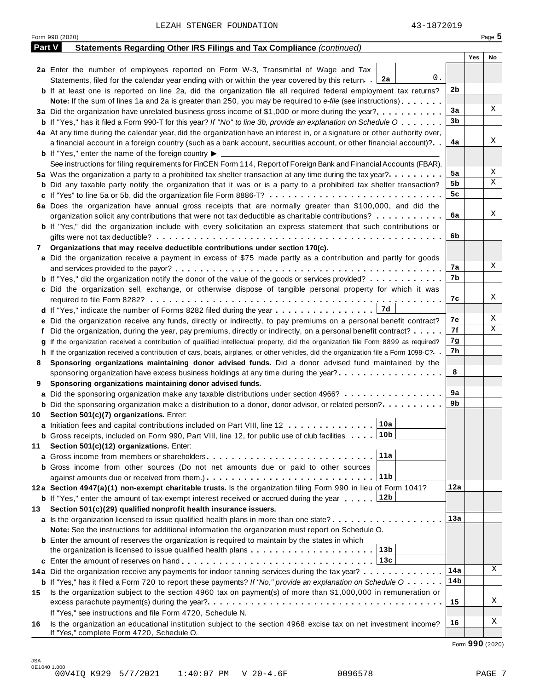|               | 43-1872019<br>LEZAH STENGER FOUNDATION                                                                                                                       |                |     |          |
|---------------|--------------------------------------------------------------------------------------------------------------------------------------------------------------|----------------|-----|----------|
|               | Form 990 (2020)                                                                                                                                              |                |     | Page $5$ |
| <b>Part V</b> | Statements Regarding Other IRS Filings and Tax Compliance (continued)                                                                                        |                |     |          |
|               |                                                                                                                                                              |                | Yes | No       |
|               | 2a Enter the number of employees reported on Form W-3, Transmittal of Wage and Tax                                                                           |                |     |          |
|               | 0.<br>Statements, filed for the calendar year ending with or within the year covered by this return. 2a                                                      |                |     |          |
|               | <b>b</b> If at least one is reported on line 2a, did the organization file all required federal employment tax returns?                                      | 2 <sub>b</sub> |     |          |
|               | Note: If the sum of lines 1a and 2a is greater than 250, you may be required to e-file (see instructions)                                                    |                |     |          |
|               | 3a Did the organization have unrelated business gross income of \$1,000 or more during the year?                                                             | 3a             |     | Χ        |
|               | <b>b</b> If "Yes," has it filed a Form 990-T for this year? If "No" to line 3b, provide an explanation on Schedule O                                         | 3b             |     |          |
|               | 4a At any time during the calendar year, did the organization have an interest in, or a signature or other authority over,                                   |                |     |          |
|               | a financial account in a foreign country (such as a bank account, securities account, or other financial account)?                                           | 4a             |     | Χ        |
|               | <b>b</b> If "Yes," enter the name of the foreign country $\blacktriangleright$                                                                               |                |     |          |
|               | See instructions for filing requirements for FinCEN Form 114, Report of Foreign Bank and Financial Accounts (FBAR).                                          |                |     |          |
|               | 5a Was the organization a party to a prohibited tax shelter transaction at any time during the tax year?                                                     | 5a             |     | Χ        |
|               | <b>b</b> Did any taxable party notify the organization that it was or is a party to a prohibited tax shelter transaction?                                    | 5b             |     | X        |
|               |                                                                                                                                                              | 5c             |     |          |
|               | 6a Does the organization have annual gross receipts that are normally greater than \$100,000, and did the                                                    |                |     |          |
|               | organization solicit any contributions that were not tax deductible as charitable contributions?                                                             | 6a             |     | Χ        |
|               | <b>b</b> If "Yes," did the organization include with every solicitation an express statement that such contributions or                                      |                |     |          |
|               |                                                                                                                                                              | 6b             |     |          |
| 7             | Organizations that may receive deductible contributions under section 170(c).                                                                                |                |     |          |
|               | a Did the organization receive a payment in excess of \$75 made partly as a contribution and partly for goods                                                |                |     |          |
|               |                                                                                                                                                              | 7а             |     | Χ        |
|               | <b>b</b> If "Yes," did the organization notify the donor of the value of the goods or services provided?                                                     | 7b             |     |          |
|               | c Did the organization sell, exchange, or otherwise dispose of tangible personal property for which it was                                                   |                |     |          |
|               |                                                                                                                                                              | 7c             |     | Χ        |
|               |                                                                                                                                                              |                |     |          |
|               | e Did the organization receive any funds, directly or indirectly, to pay premiums on a personal benefit contract?                                            | 7е             |     | Χ        |
|               | f Did the organization, during the year, pay premiums, directly or indirectly, on a personal benefit contract?                                               | 7f             |     | Χ        |
|               | If the organization received a contribution of qualified intellectual property, did the organization file Form 8899 as required?                             | 7g             |     |          |
|               | h If the organization received a contribution of cars, boats, airplanes, or other vehicles, did the organization file a Form 1098-C?. .                      | 7h             |     |          |
| 8             | Sponsoring organizations maintaining donor advised funds. Did a donor advised fund maintained by the                                                         |                |     |          |
|               | sponsoring organization have excess business holdings at any time during the year?                                                                           | 8              |     |          |
| 9             | Sponsoring organizations maintaining donor advised funds.                                                                                                    |                |     |          |
|               | a Did the sponsoring organization make any taxable distributions under section 4966?                                                                         | 9a             |     |          |
|               | <b>b</b> Did the sponsoring organization make a distribution to a donor, donor advisor, or related person?                                                   | 9b             |     |          |
| 10            | Section 501(c)(7) organizations. Enter:                                                                                                                      |                |     |          |
|               | 10a<br>a Initiation fees and capital contributions included on Part VIII, line 12                                                                            |                |     |          |
|               | <b>b</b> Gross receipts, included on Form 990, Part VIII, line 12, for public use of club facilities $\ldots$ 10b                                            |                |     |          |
| 11            | Section 501(c)(12) organizations. Enter:                                                                                                                     |                |     |          |
|               | 11a                                                                                                                                                          |                |     |          |
|               | <b>b</b> Gross income from other sources (Do not net amounts due or paid to other sources                                                                    |                |     |          |
|               | 11b<br>against amounts due or received from them.)                                                                                                           |                |     |          |
|               | 12a Section 4947(a)(1) non-exempt charitable trusts. Is the organization filing Form 990 in lieu of Form 1041?                                               | 12a            |     |          |
|               | <b>b</b> If "Yes," enter the amount of tax-exempt interest received or accrued during the year  [12b                                                         |                |     |          |
|               | Section 501(c)(29) qualified nonprofit health insurance issuers.                                                                                             |                |     |          |
| 13            | a Is the organization licensed to issue qualified health plans in more than one state?                                                                       | 13а            |     |          |
|               |                                                                                                                                                              |                |     |          |
|               | Note: See the instructions for additional information the organization must report on Schedule O.                                                            |                |     |          |
|               | <b>b</b> Enter the amount of reserves the organization is required to maintain by the states in which<br> 13b                                                |                |     |          |
|               | the organization is licensed to issue qualified health plans                                                                                                 |                |     |          |
|               | 13с                                                                                                                                                          | 14a            |     | Χ        |
|               | 14a Did the organization receive any payments for indoor tanning services during the tax year?                                                               |                |     |          |
|               | b If "Yes," has it filed a Form 720 to report these payments? If "No," provide an explanation on Schedule O                                                  | 14b            |     |          |
| 15            | Is the organization subject to the section 4960 tax on payment(s) of more than \$1,000,000 in remuneration or                                                |                |     | Χ        |
|               |                                                                                                                                                              | 15             |     |          |
|               | If "Yes," see instructions and file Form 4720, Schedule N.                                                                                                   |                |     | Χ        |
| 16            | Is the organization an educational institution subject to the section 4968 excise tax on net investment income?<br>If "Yes," complete Form 4720, Schedule O. | 16             |     |          |

Form **990** (2020)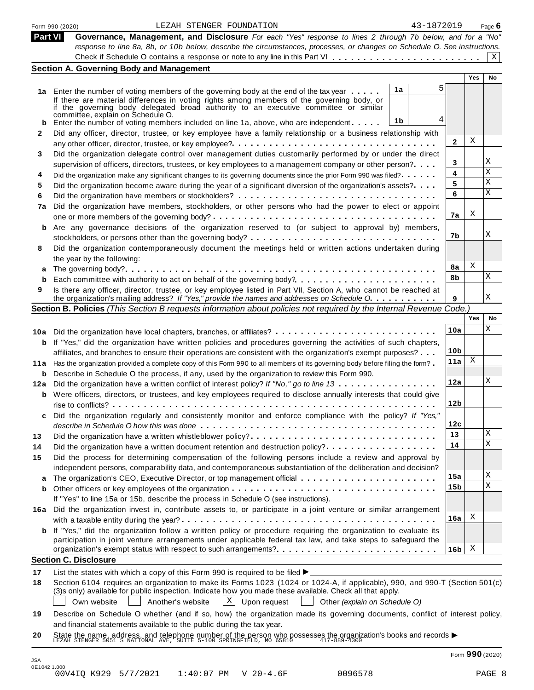| <b>Part VI</b>  | 43-1872019<br>LEZAH STENGER FOUNDATION<br>Form 990 (2020)                                                                                                                                                                                                                                                                                                                                                                         |                 |     | Page $6$ |
|-----------------|-----------------------------------------------------------------------------------------------------------------------------------------------------------------------------------------------------------------------------------------------------------------------------------------------------------------------------------------------------------------------------------------------------------------------------------|-----------------|-----|----------|
|                 | Governance, Management, and Disclosure For each "Yes" response to lines 2 through 7b below, and for a "No"                                                                                                                                                                                                                                                                                                                        |                 |     |          |
|                 | response to line 8a, 8b, or 10b below, describe the circumstances, processes, or changes on Schedule O. See instructions.                                                                                                                                                                                                                                                                                                         |                 |     |          |
|                 |                                                                                                                                                                                                                                                                                                                                                                                                                                   |                 |     | X        |
|                 | <b>Section A. Governing Body and Management</b>                                                                                                                                                                                                                                                                                                                                                                                   |                 |     |          |
|                 | 5                                                                                                                                                                                                                                                                                                                                                                                                                                 |                 | Yes | No       |
|                 | 1a<br>1a Enter the number of voting members of the governing body at the end of the tax year<br>If there are material differences in voting rights among members of the governing body, or<br>if the governing body delegated broad authority to an executive committee or similar<br>committée, explain on Schedule O.                                                                                                           |                 |     |          |
| b               | 4<br>1b<br>Enter the number of voting members included on line 1a, above, who are independent                                                                                                                                                                                                                                                                                                                                     |                 |     |          |
| 2               | Did any officer, director, trustee, or key employee have a family relationship or a business relationship with                                                                                                                                                                                                                                                                                                                    |                 |     |          |
|                 |                                                                                                                                                                                                                                                                                                                                                                                                                                   | 2               | Χ   |          |
| 3               | Did the organization delegate control over management duties customarily performed by or under the direct<br>supervision of officers, directors, trustees, or key employees to a management company or other person?                                                                                                                                                                                                              | 3               |     | Χ        |
| 4               | Did the organization make any significant changes to its governing documents since the prior Form 990 was filed?                                                                                                                                                                                                                                                                                                                  | 4               |     | X        |
| 5               | Did the organization become aware during the year of a significant diversion of the organization's assets?                                                                                                                                                                                                                                                                                                                        | 5               |     | Χ        |
| 6               |                                                                                                                                                                                                                                                                                                                                                                                                                                   | 6               |     | X        |
| 7a              | Did the organization have members, stockholders, or other persons who had the power to elect or appoint                                                                                                                                                                                                                                                                                                                           | 7a              | Χ   |          |
| b               | Are any governance decisions of the organization reserved to (or subject to approval by) members,                                                                                                                                                                                                                                                                                                                                 |                 |     |          |
|                 | stockholders, or persons other than the governing body? $\dots \dots \dots \dots \dots \dots \dots \dots \dots \dots \dots \dots$                                                                                                                                                                                                                                                                                                 | 7b              |     | Χ        |
| 8               | Did the organization contemporaneously document the meetings held or written actions undertaken during<br>the year by the following:                                                                                                                                                                                                                                                                                              |                 |     |          |
| а               |                                                                                                                                                                                                                                                                                                                                                                                                                                   | 8а              | Χ   |          |
| b               | Each committee with authority to act on behalf of the governing body?                                                                                                                                                                                                                                                                                                                                                             | 8b              |     | Χ        |
| 9               | Is there any officer, director, trustee, or key employee listed in Part VII, Section A, who cannot be reached at<br>the organization's mailing address? If "Yes," provide the names and addresses on Schedule O.                                                                                                                                                                                                                  | 9               |     | Χ        |
|                 | Section B. Policies (This Section B requests information about policies not required by the Internal Revenue Code.)                                                                                                                                                                                                                                                                                                               |                 |     |          |
|                 |                                                                                                                                                                                                                                                                                                                                                                                                                                   |                 | Yes | No       |
|                 | 10a Did the organization have local chapters, branches, or affiliates?                                                                                                                                                                                                                                                                                                                                                            | 10a             |     | Χ        |
| b               | If "Yes," did the organization have written policies and procedures governing the activities of such chapters,                                                                                                                                                                                                                                                                                                                    |                 |     |          |
|                 | affiliates, and branches to ensure their operations are consistent with the organization's exempt purposes?                                                                                                                                                                                                                                                                                                                       | 10 <sub>b</sub> |     |          |
|                 | 11a Has the organization provided a complete copy of this Form 990 to all members of its governing body before filing the form?                                                                                                                                                                                                                                                                                                   | 11a             | Χ   |          |
|                 | <b>b</b> Describe in Schedule O the process, if any, used by the organization to review this Form 990.                                                                                                                                                                                                                                                                                                                            |                 |     | Χ        |
|                 | 12a Did the organization have a written conflict of interest policy? If "No," go to line 13                                                                                                                                                                                                                                                                                                                                       | 12a             |     |          |
|                 | <b>b</b> Were officers, directors, or trustees, and key employees required to disclose annually interests that could give                                                                                                                                                                                                                                                                                                         | 12 <sub>b</sub> |     |          |
| c               | Did the organization regularly and consistently monitor and enforce compliance with the policy? If "Yes,"                                                                                                                                                                                                                                                                                                                         |                 |     |          |
|                 |                                                                                                                                                                                                                                                                                                                                                                                                                                   | 12c             |     | Χ        |
| 13              | Did the organization have a written whistleblower policy?                                                                                                                                                                                                                                                                                                                                                                         | 13<br>14        |     | Χ        |
| 14<br>15        | Did the organization have a written document retention and destruction policy?<br>Did the process for determining compensation of the following persons include a review and approval by                                                                                                                                                                                                                                          |                 |     |          |
|                 | independent persons, comparability data, and contemporaneous substantiation of the deliberation and decision?                                                                                                                                                                                                                                                                                                                     |                 |     | Χ        |
|                 | The organization's CEO, Executive Director, or top management official                                                                                                                                                                                                                                                                                                                                                            | 15a<br>15b      |     | Χ        |
| а               | If "Yes" to line 15a or 15b, describe the process in Schedule O (see instructions).                                                                                                                                                                                                                                                                                                                                               |                 |     |          |
| b               |                                                                                                                                                                                                                                                                                                                                                                                                                                   |                 |     |          |
|                 | Did the organization invest in, contribute assets to, or participate in a joint venture or similar arrangement                                                                                                                                                                                                                                                                                                                    | 16a             | Χ   |          |
| b               | If "Yes," did the organization follow a written policy or procedure requiring the organization to evaluate its                                                                                                                                                                                                                                                                                                                    |                 |     |          |
|                 | participation in joint venture arrangements under applicable federal tax law, and take steps to safeguard the<br>organization's exempt status with respect to such arrangements?                                                                                                                                                                                                                                                  | 16b             | X   |          |
|                 | <b>Section C. Disclosure</b>                                                                                                                                                                                                                                                                                                                                                                                                      |                 |     |          |
|                 | List the states with which a copy of this Form 990 is required to be filed $\blacktriangleright$                                                                                                                                                                                                                                                                                                                                  |                 |     |          |
| 16a<br>17<br>18 | Section 6104 requires an organization to make its Forms 1023 (1024 or 1024-A, if applicable), 990, and 990-T (Section 501(c)<br>(3)s only) available for public inspection. Indicate how you made these available. Check all that apply.<br>$ X $ Upon request<br>Own website<br>Another's website<br>Other (explain on Schedule O)                                                                                               |                 |     |          |
| 19              | Describe on Schedule O whether (and if so, how) the organization made its governing documents, conflict of interest policy,<br>and financial statements available to the public during the tax year.<br>State the name, address, and telephone number of the person who possesses the organization's books and records $\blacktriangleright$<br>LEZAH STENGER 5051 S NATIONAL AVE, SUITE 5-100 SPRINGFIELD, MO 65810 417-889-4300 |                 |     |          |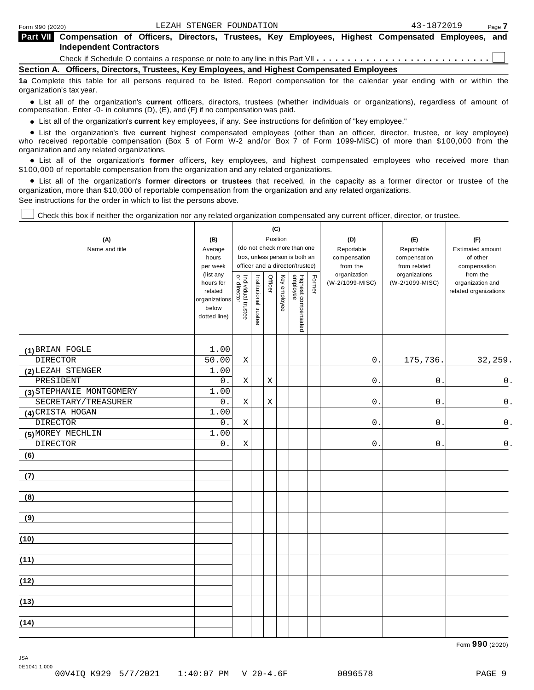| Form 990 (2020) |                                                                                                                                             |  | LEZAH STENGER FOUNDATION |  |  | 43-1872019 | Page 7 |
|-----------------|---------------------------------------------------------------------------------------------------------------------------------------------|--|--------------------------|--|--|------------|--------|
|                 | Part VII Compensation of Officers, Directors, Trustees, Key Employees, Highest Compensated Employees, and<br><b>Independent Contractors</b> |  |                          |  |  |            |        |
|                 |                                                                                                                                             |  |                          |  |  |            |        |
|                 | Section A. Officers, Directors, Trustees, Key Employees, and Highest Compensated Employees                                                  |  |                          |  |  |            |        |
|                 | da Asasalah data tahu da ali sasasa sasiisad ha hard. Basan sasasasantas ta daa salasdas isaa sadka iikhta miha                             |  |                          |  |  |            |        |

**1a** Complete this table for all persons required to be listed. Report compensation for the calendar year ending with or within the organization's tax year.

anization's lax year.<br>● List all of the organization's **current** officers, directors, trustees (whether individuals or organizations), regardless of amount of<br>nnensation Enter -0- in columns (D) (E) and (E) if no compensa compensation. Enter -0- in columns (D), (E), and (F) if no compensation was paid.

• List all of the organization's current key employees, if any. See instructions for definition of "key employee."

■ List all of the organization's current key employees, if any. See instructions for definition of "key employee."<br>■ List the organization's five current highest compensated employees (other than an officer, director, tru who received reportable compensation (Box 5 of Form W-2 and/or Box 7 of Form 1099-MISC) of more than \$100,000 from the

organization and any related organizations.<br>• List all of the organization's **former** officers, key employees, and highest compensated employees who received more than<br>\$1.00.000 of reportable componention from the erganiza \$100,000 of reportable compensation from the organization and any related organizations.

% List all of the organization's **former directors or trustees** that received, in the capacity as a former director or trustee of the organization, more than \$10,000 of reportable compensation from the organization and any related organizations. See instructions for the order in which to list the persons above.

Check this box if neither the organization nor any related organization compensated any current officer, director, or trustee.

| (A)<br>Name and title    | (B)<br>Average<br>hours<br>per week<br>(list any<br>hours for<br>related<br>organizations<br>below<br>dotted line) | Individual trustee<br>or director | Institutional trustee | Position<br>Officer | (C)<br>Key employee | (do not check more than one<br>box, unless person is both an<br>officer and a director/trustee)<br>Highest compensated<br>employee | Former | (D)<br>Reportable<br>compensation<br>from the<br>organization<br>(W-2/1099-MISC) | (E)<br>Reportable<br>compensation<br>from related<br>organizations<br>(W-2/1099-MISC) | (F)<br>Estimated amount<br>of other<br>compensation<br>from the<br>organization and<br>related organizations |
|--------------------------|--------------------------------------------------------------------------------------------------------------------|-----------------------------------|-----------------------|---------------------|---------------------|------------------------------------------------------------------------------------------------------------------------------------|--------|----------------------------------------------------------------------------------|---------------------------------------------------------------------------------------|--------------------------------------------------------------------------------------------------------------|
| (1) BRIAN FOGLE          | 1.00                                                                                                               |                                   |                       |                     |                     |                                                                                                                                    |        |                                                                                  |                                                                                       |                                                                                                              |
| <b>DIRECTOR</b>          | 50.00                                                                                                              | $\mathbf X$                       |                       |                     |                     |                                                                                                                                    |        | $\mathsf 0$                                                                      | 175,736.                                                                              | 32,259.                                                                                                      |
| (2) LEZAH STENGER        | 1.00                                                                                                               |                                   |                       |                     |                     |                                                                                                                                    |        |                                                                                  |                                                                                       |                                                                                                              |
| PRESIDENT                | $0$ .                                                                                                              | $\mathbf X$                       |                       | Χ                   |                     |                                                                                                                                    |        | $\mathsf 0$                                                                      | $\mathbf{0}$ .                                                                        | $0$ .                                                                                                        |
| (3) STEPHANIE MONTGOMERY | 1.00                                                                                                               |                                   |                       |                     |                     |                                                                                                                                    |        |                                                                                  |                                                                                       |                                                                                                              |
| SECRETARY/TREASURER      | 0.                                                                                                                 | X                                 |                       | Χ                   |                     |                                                                                                                                    |        | 0                                                                                | $\mathsf{O}$                                                                          | $0$ .                                                                                                        |
| (4) CRISTA HOGAN         | 1.00                                                                                                               |                                   |                       |                     |                     |                                                                                                                                    |        |                                                                                  |                                                                                       |                                                                                                              |
| <b>DIRECTOR</b>          | 0.                                                                                                                 | $\mathbf X$                       |                       |                     |                     |                                                                                                                                    |        | 0                                                                                | $\mathbf 0$ .                                                                         | $0$ .                                                                                                        |
| (5) MOREY MECHLIN        | 1.00                                                                                                               |                                   |                       |                     |                     |                                                                                                                                    |        |                                                                                  |                                                                                       |                                                                                                              |
| <b>DIRECTOR</b>          | 0.                                                                                                                 | X                                 |                       |                     |                     |                                                                                                                                    |        | $\mathsf{O}\xspace$                                                              | 0                                                                                     | $\mathsf{0}$ .                                                                                               |
| (6)                      |                                                                                                                    |                                   |                       |                     |                     |                                                                                                                                    |        |                                                                                  |                                                                                       |                                                                                                              |
| (7)                      |                                                                                                                    |                                   |                       |                     |                     |                                                                                                                                    |        |                                                                                  |                                                                                       |                                                                                                              |
| (8)                      |                                                                                                                    |                                   |                       |                     |                     |                                                                                                                                    |        |                                                                                  |                                                                                       |                                                                                                              |
| (9)                      |                                                                                                                    |                                   |                       |                     |                     |                                                                                                                                    |        |                                                                                  |                                                                                       |                                                                                                              |
| (10)                     |                                                                                                                    |                                   |                       |                     |                     |                                                                                                                                    |        |                                                                                  |                                                                                       |                                                                                                              |
| (11)                     |                                                                                                                    |                                   |                       |                     |                     |                                                                                                                                    |        |                                                                                  |                                                                                       |                                                                                                              |
| (12)                     |                                                                                                                    |                                   |                       |                     |                     |                                                                                                                                    |        |                                                                                  |                                                                                       |                                                                                                              |
| (13)                     |                                                                                                                    |                                   |                       |                     |                     |                                                                                                                                    |        |                                                                                  |                                                                                       |                                                                                                              |
| (14)                     |                                                                                                                    |                                   |                       |                     |                     |                                                                                                                                    |        |                                                                                  |                                                                                       |                                                                                                              |

Form **990** (2020)

JSA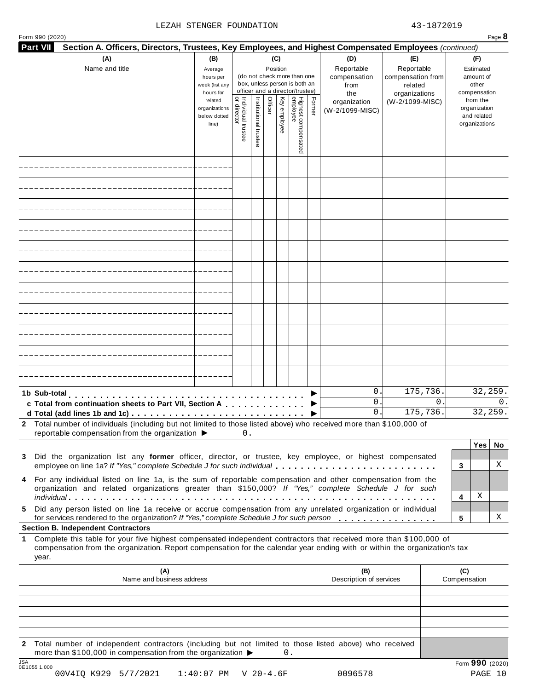#### LEZAH STENGER FOUNDATION  $43-1872019$

| <b>Part VII</b><br>Section A. Officers, Directors, Trustees, Key Employees, and Highest Compensated Employees (continued)                                                                                                                                                |                                                            |                                   |                       |                 |              |                                                                                                 |        |                                                  |                                                                    |   |                                                        |                                                          |            |
|--------------------------------------------------------------------------------------------------------------------------------------------------------------------------------------------------------------------------------------------------------------------------|------------------------------------------------------------|-----------------------------------|-----------------------|-----------------|--------------|-------------------------------------------------------------------------------------------------|--------|--------------------------------------------------|--------------------------------------------------------------------|---|--------------------------------------------------------|----------------------------------------------------------|------------|
| (A)<br>Name and title                                                                                                                                                                                                                                                    | (B)<br>Average<br>hours per<br>week (list any<br>hours for |                                   |                       | (C)<br>Position |              | (do not check more than one<br>box, unless person is both an<br>officer and a director/trustee) |        | (D)<br>Reportable<br>compensation<br>from<br>the | (E)<br>Reportable<br>compensation from<br>related<br>organizations |   | (F)<br>Estimated<br>amount of<br>other<br>compensation |                                                          |            |
|                                                                                                                                                                                                                                                                          | related<br>organizations<br>below dotted<br>line)          | Individual trustee<br>or director | Institutional trustee | Officer         | Key employee | Highest compensated<br>employee                                                                 | Former | organization<br>(W-2/1099-MISC)                  | (W-2/1099-MISC)                                                    |   |                                                        | from the<br>organization<br>and related<br>organizations |            |
|                                                                                                                                                                                                                                                                          |                                                            |                                   |                       |                 |              |                                                                                                 |        |                                                  |                                                                    |   |                                                        |                                                          |            |
|                                                                                                                                                                                                                                                                          |                                                            |                                   |                       |                 |              |                                                                                                 |        |                                                  |                                                                    |   |                                                        |                                                          |            |
|                                                                                                                                                                                                                                                                          |                                                            |                                   |                       |                 |              |                                                                                                 |        |                                                  |                                                                    |   |                                                        |                                                          |            |
|                                                                                                                                                                                                                                                                          |                                                            |                                   |                       |                 |              |                                                                                                 |        |                                                  |                                                                    |   |                                                        |                                                          |            |
|                                                                                                                                                                                                                                                                          |                                                            |                                   |                       |                 |              |                                                                                                 |        |                                                  |                                                                    |   |                                                        |                                                          |            |
|                                                                                                                                                                                                                                                                          |                                                            |                                   |                       |                 |              |                                                                                                 |        |                                                  |                                                                    |   |                                                        |                                                          |            |
|                                                                                                                                                                                                                                                                          |                                                            |                                   |                       |                 |              |                                                                                                 |        |                                                  |                                                                    |   |                                                        |                                                          |            |
|                                                                                                                                                                                                                                                                          |                                                            |                                   |                       |                 |              |                                                                                                 |        |                                                  |                                                                    |   |                                                        |                                                          |            |
|                                                                                                                                                                                                                                                                          |                                                            |                                   |                       |                 |              |                                                                                                 |        |                                                  |                                                                    |   |                                                        |                                                          |            |
|                                                                                                                                                                                                                                                                          |                                                            |                                   |                       |                 |              |                                                                                                 |        |                                                  |                                                                    |   |                                                        |                                                          |            |
|                                                                                                                                                                                                                                                                          |                                                            |                                   |                       |                 |              |                                                                                                 |        |                                                  |                                                                    |   |                                                        |                                                          |            |
| 1b Sub-total                                                                                                                                                                                                                                                             |                                                            |                                   |                       |                 |              |                                                                                                 |        | 0.<br>0.                                         | 175,736.                                                           | 0 |                                                        | 32,259.                                                  | $\Omega$ . |
| c Total from continuation sheets to Part VII, Section A                                                                                                                                                                                                                  |                                                            |                                   |                       |                 |              |                                                                                                 |        | 0.                                               | 175,736.                                                           |   |                                                        | 32,259.                                                  |            |
| 2 Total number of individuals (including but not limited to those listed above) who received more than \$100,000 of<br>reportable compensation from the organization ▶                                                                                                   |                                                            | 0.                                |                       |                 |              |                                                                                                 |        |                                                  |                                                                    |   |                                                        |                                                          |            |
| 3 Did the organization list any former officer, director, or trustee, key employee, or highest compensated                                                                                                                                                               |                                                            |                                   |                       |                 |              |                                                                                                 |        |                                                  |                                                                    |   |                                                        | Yes                                                      | No         |
| employee on line 1a? If "Yes," complete Schedule J for such individual                                                                                                                                                                                                   |                                                            |                                   |                       |                 |              |                                                                                                 |        |                                                  |                                                                    |   | 3                                                      |                                                          | Χ          |
| 4 For any individual listed on line 1a, is the sum of reportable compensation and other compensation from the<br>organization and related organizations greater than \$150,000? If "Yes," complete Schedule J for such                                                   |                                                            |                                   |                       |                 |              |                                                                                                 |        |                                                  |                                                                    |   |                                                        |                                                          |            |
| Did any person listed on line 1a receive or accrue compensation from any unrelated organization or individual<br>5.                                                                                                                                                      |                                                            |                                   |                       |                 |              |                                                                                                 |        |                                                  |                                                                    |   | 4                                                      | Χ                                                        |            |
| for services rendered to the organization? If "Yes," complete Schedule J for such person<br><b>Section B. Independent Contractors</b>                                                                                                                                    |                                                            |                                   |                       |                 |              |                                                                                                 |        |                                                  |                                                                    |   | 5                                                      |                                                          | Χ          |
| Complete this table for your five highest compensated independent contractors that received more than \$100,000 of<br>$\mathbf 1$<br>compensation from the organization. Report compensation for the calendar year ending with or within the organization's tax<br>year. |                                                            |                                   |                       |                 |              |                                                                                                 |        |                                                  |                                                                    |   |                                                        |                                                          |            |
| (A)<br>Name and business address                                                                                                                                                                                                                                         |                                                            |                                   |                       |                 |              |                                                                                                 |        | (B)<br>Description of services                   |                                                                    |   | (C)<br>Compensation                                    |                                                          |            |
|                                                                                                                                                                                                                                                                          |                                                            |                                   |                       |                 |              |                                                                                                 |        |                                                  |                                                                    |   |                                                        |                                                          |            |
|                                                                                                                                                                                                                                                                          |                                                            |                                   |                       |                 |              |                                                                                                 |        |                                                  |                                                                    |   |                                                        |                                                          |            |
|                                                                                                                                                                                                                                                                          |                                                            |                                   |                       |                 |              |                                                                                                 |        |                                                  |                                                                    |   |                                                        |                                                          |            |
|                                                                                                                                                                                                                                                                          |                                                            |                                   |                       |                 |              |                                                                                                 |        |                                                  |                                                                    |   |                                                        |                                                          |            |

**2** Total number of independent contractors (including but not limited to those listed above) who received more than \$100,000 in compensation from the organization  $\triangleright$  0.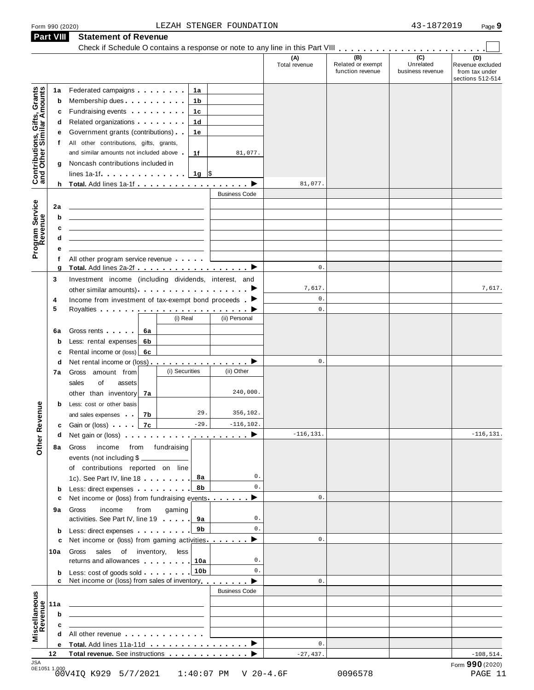### Form 990 (2020) Page **9** LEZAH STENGER FOUNDATION 43-1872019 **Part VIII Statement of Revenue**

|                                                           | Form 990 (2020) |                                                                                                                                                                                                                                                                   | LEZAH STENGER FOUNDATION |                      |                                              | 43-1872019                                      | Page 9                                                        |
|-----------------------------------------------------------|-----------------|-------------------------------------------------------------------------------------------------------------------------------------------------------------------------------------------------------------------------------------------------------------------|--------------------------|----------------------|----------------------------------------------|-------------------------------------------------|---------------------------------------------------------------|
|                                                           | Part VIII       | <b>Statement of Revenue</b>                                                                                                                                                                                                                                       |                          |                      |                                              |                                                 |                                                               |
|                                                           |                 |                                                                                                                                                                                                                                                                   |                          | (A)<br>Total revenue | (B)<br>Related or exempt<br>function revenue | $\overline{C}$<br>Unrelated<br>business revenue | (D)<br>Revenue excluded<br>from tax under<br>sections 512-514 |
|                                                           | 1a              | Federated campaigns <b>Federated</b><br>1a                                                                                                                                                                                                                        |                          |                      |                                              |                                                 |                                                               |
| Contributions, Gifts, Grants<br>and Other Similar Amounts | $\mathbf b$     | Membership dues <b>All Accords</b> Membership dues<br>1b                                                                                                                                                                                                          |                          |                      |                                              |                                                 |                                                               |
|                                                           | с               | Fundraising events <b>Example 2</b> is a set of the set of the set of the set of the set of the set of the set of the set of the set of the set of the set of the set of the set of the set of the set of the set of the set of the<br>1с                         |                          |                      |                                              |                                                 |                                                               |
|                                                           | d               | Related organizations <b>contains</b> and the Related organizations and all the Relations of the Relations of the Relations of the Relations of the Relations of the Relations of the Relations of the Relations of the Relations o<br>1d                         |                          |                      |                                              |                                                 |                                                               |
|                                                           | е               | Government grants (contributions)<br>1е                                                                                                                                                                                                                           |                          |                      |                                              |                                                 |                                                               |
|                                                           | f               | All other contributions, gifts, grants,                                                                                                                                                                                                                           |                          |                      |                                              |                                                 |                                                               |
|                                                           |                 | and similar amounts not included above<br>1f<br>Noncash contributions included in                                                                                                                                                                                 | 81,077.                  |                      |                                              |                                                 |                                                               |
|                                                           | g               |                                                                                                                                                                                                                                                                   |                          |                      |                                              |                                                 |                                                               |
|                                                           |                 |                                                                                                                                                                                                                                                                   |                          | 81,077.              |                                              |                                                 |                                                               |
|                                                           |                 |                                                                                                                                                                                                                                                                   | <b>Business Code</b>     |                      |                                              |                                                 |                                                               |
|                                                           | 2a              |                                                                                                                                                                                                                                                                   |                          |                      |                                              |                                                 |                                                               |
|                                                           | b               |                                                                                                                                                                                                                                                                   |                          |                      |                                              |                                                 |                                                               |
|                                                           | c               |                                                                                                                                                                                                                                                                   |                          |                      |                                              |                                                 |                                                               |
|                                                           | d               | <u> 1980 - Jan Stein Berlin, mars and de Brasilia (b. 19</u>                                                                                                                                                                                                      |                          |                      |                                              |                                                 |                                                               |
| Program Service<br>Revenue                                | е               |                                                                                                                                                                                                                                                                   |                          |                      |                                              |                                                 |                                                               |
|                                                           | f<br>g          | All other program service revenue                                                                                                                                                                                                                                 |                          | 0.                   |                                              |                                                 |                                                               |
|                                                           | 3               | Investment income (including dividends, interest, and                                                                                                                                                                                                             |                          |                      |                                              |                                                 |                                                               |
|                                                           |                 |                                                                                                                                                                                                                                                                   |                          | 7,617.               |                                              |                                                 | 7,617.                                                        |
|                                                           | 4               | Income from investment of tax-exempt bond proceeds $\blacktriangleright$                                                                                                                                                                                          |                          | 0.                   |                                              |                                                 |                                                               |
|                                                           | 5               |                                                                                                                                                                                                                                                                   |                          | $\mathbf{0}$ .       |                                              |                                                 |                                                               |
|                                                           |                 | (i) Real                                                                                                                                                                                                                                                          | (ii) Personal            |                      |                                              |                                                 |                                                               |
|                                                           | 6a              | Gross rents <b>Called</b><br>6a                                                                                                                                                                                                                                   |                          |                      |                                              |                                                 |                                                               |
|                                                           | b               | Less: rental expenses<br>6b                                                                                                                                                                                                                                       |                          |                      |                                              |                                                 |                                                               |
|                                                           | c               | Rental income or (loss)<br>6с                                                                                                                                                                                                                                     |                          | 0.                   |                                              |                                                 |                                                               |
|                                                           | d<br>7a         | Net rental income or (loss) ▶<br>(i) Securities<br>Gross amount from                                                                                                                                                                                              | (ii) Other               |                      |                                              |                                                 |                                                               |
|                                                           |                 | sales<br>of<br>assets                                                                                                                                                                                                                                             |                          |                      |                                              |                                                 |                                                               |
|                                                           |                 | other than inventory<br>7а                                                                                                                                                                                                                                        | 240,000.                 |                      |                                              |                                                 |                                                               |
|                                                           | b               | Less: cost or other basis                                                                                                                                                                                                                                         |                          |                      |                                              |                                                 |                                                               |
|                                                           |                 | 29.<br>and sales expenses<br>7b                                                                                                                                                                                                                                   | 356,102.                 |                      |                                              |                                                 |                                                               |
|                                                           | c               | $-29.$<br>7с<br>Gain or (loss) [1999]                                                                                                                                                                                                                             | $-116, 102.$             |                      |                                              |                                                 |                                                               |
| Other Revenue                                             | d               | Net gain or (loss)                                                                                                                                                                                                                                                |                          | $-116, 131.$         |                                              |                                                 | $-116, 131.$                                                  |
|                                                           | 8а              | Gross<br>income from fundraising                                                                                                                                                                                                                                  |                          |                      |                                              |                                                 |                                                               |
|                                                           |                 | events (not including \$                                                                                                                                                                                                                                          |                          |                      |                                              |                                                 |                                                               |
|                                                           |                 | of contributions reported on line<br>8а                                                                                                                                                                                                                           | 0.                       |                      |                                              |                                                 |                                                               |
|                                                           | b               | 1c). See Part IV, line 18<br>8b<br>Less: direct expenses extending the state of the state of the state of the state of the state of the state of the state of the state of the state of the state of the state of the state of the state of the state of the stat | 0.                       |                      |                                              |                                                 |                                                               |
|                                                           | c               | Net income or (loss) from fundraising events ▶                                                                                                                                                                                                                    |                          | 0.                   |                                              |                                                 |                                                               |
|                                                           | 9а              | Gross<br>income<br>from<br>gaming                                                                                                                                                                                                                                 |                          |                      |                                              |                                                 |                                                               |
|                                                           |                 | activities. See Part IV, line 19<br>9а                                                                                                                                                                                                                            | 0.                       |                      |                                              |                                                 |                                                               |
|                                                           | b               | 9b<br>Less: direct expenses                                                                                                                                                                                                                                       | 0.                       |                      |                                              |                                                 |                                                               |
|                                                           | c               | Net income or (loss) from gaming activities                                                                                                                                                                                                                       |                          | 0.                   |                                              |                                                 |                                                               |
|                                                           | 10a             | Gross<br>sales of inventory,<br>less                                                                                                                                                                                                                              | 0.                       |                      |                                              |                                                 |                                                               |
|                                                           |                 | returns and allowances<br>10a<br>10 <sub>b</sub>                                                                                                                                                                                                                  | 0.                       |                      |                                              |                                                 |                                                               |
|                                                           | b<br>c          | Less: cost of goods sold<br>Net income or (loss) from sales of inventory extending the set of the sales of inventory                                                                                                                                              |                          | 0.                   |                                              |                                                 |                                                               |
|                                                           |                 |                                                                                                                                                                                                                                                                   | <b>Business Code</b>     |                      |                                              |                                                 |                                                               |
|                                                           | 11a             |                                                                                                                                                                                                                                                                   |                          |                      |                                              |                                                 |                                                               |
| Revenue                                                   | b               | <u> 1989 - Johann Stein, marwolaethau a bhann an t-Amhair an t-Amhair an t-Amhair an t-Amhair an t-Amhair an t-A</u>                                                                                                                                              |                          |                      |                                              |                                                 |                                                               |
|                                                           | c               |                                                                                                                                                                                                                                                                   |                          |                      |                                              |                                                 |                                                               |
| Miscellaneous                                             | d               | All other revenue                                                                                                                                                                                                                                                 |                          |                      |                                              |                                                 |                                                               |
|                                                           | е               |                                                                                                                                                                                                                                                                   |                          | 0.                   |                                              |                                                 |                                                               |
| <b>JSA</b>                                                | 12              |                                                                                                                                                                                                                                                                   |                          | $-27,437.$           |                                              |                                                 | $-108,514.$<br>Form 990 (2020)                                |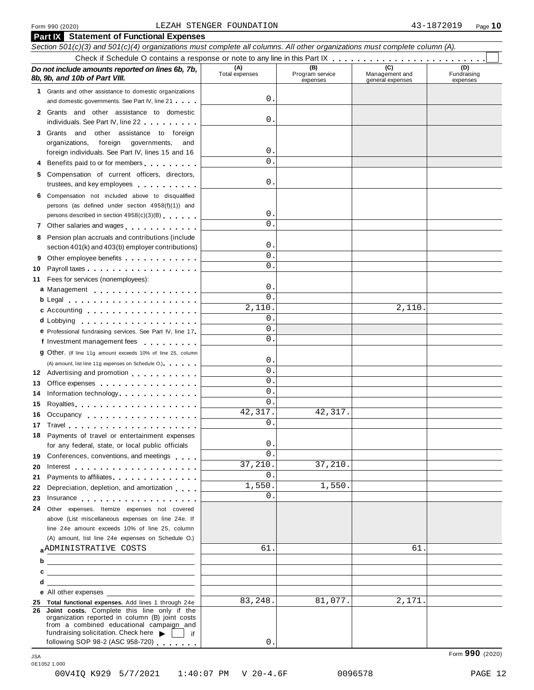#### Form 990 (2020) Page **10** LEZAH STENGER FOUNDATION 43-1872019

| Form 990 (2020)                                                                                                                                                                                                                | LEZAH STENGER FOUNDATION |                                    |                                           | 43-1872019<br>Page $10$        |
|--------------------------------------------------------------------------------------------------------------------------------------------------------------------------------------------------------------------------------|--------------------------|------------------------------------|-------------------------------------------|--------------------------------|
| <b>Part IX</b> Statement of Functional Expenses<br>Section 501(c)(3) and 501(c)(4) organizations must complete all columns. All other organizations must complete column (A).                                                  |                          |                                    |                                           |                                |
|                                                                                                                                                                                                                                |                          |                                    |                                           |                                |
| Do not include amounts reported on lines 6b, 7b,<br>8b, 9b, and 10b of Part VIII.                                                                                                                                              | (A)<br>Total expenses    | (B)<br>Program service<br>expenses | (C)<br>Management and<br>general expenses | (D)<br>Fundraising<br>expenses |
| 1 Grants and other assistance to domestic organizations                                                                                                                                                                        |                          |                                    |                                           |                                |
| and domestic governments. See Part IV, line 21                                                                                                                                                                                 | 0                        |                                    |                                           |                                |
| 2 Grants and other assistance to domestic<br>individuals. See Part IV, line 22                                                                                                                                                 | 0                        |                                    |                                           |                                |
| Grants and other assistance to foreign<br>3                                                                                                                                                                                    |                          |                                    |                                           |                                |
| foreign governments,<br>organizations,<br>and                                                                                                                                                                                  |                          |                                    |                                           |                                |
| foreign individuals. See Part IV, lines 15 and 16                                                                                                                                                                              | 0                        |                                    |                                           |                                |
| Benefits paid to or for members                                                                                                                                                                                                | $\Omega$                 |                                    |                                           |                                |
| Compensation of current officers, directors,<br>5                                                                                                                                                                              |                          |                                    |                                           |                                |
| trustees, and key employees                                                                                                                                                                                                    | 0                        |                                    |                                           |                                |
| Compensation not included above to disqualified<br>6                                                                                                                                                                           |                          |                                    |                                           |                                |
| persons (as defined under section 4958(f)(1)) and                                                                                                                                                                              |                          |                                    |                                           |                                |
| persons described in section 4958(c)(3)(B)                                                                                                                                                                                     | 0                        |                                    |                                           |                                |
| Other salaries and wages<br>7                                                                                                                                                                                                  | $\Omega$                 |                                    |                                           |                                |
| Pension plan accruals and contributions (include<br>8                                                                                                                                                                          |                          |                                    |                                           |                                |
| section 401(k) and 403(b) employer contributions)                                                                                                                                                                              | 0                        |                                    |                                           |                                |
| 9                                                                                                                                                                                                                              | $\mathbf 0$              |                                    |                                           |                                |
| 10                                                                                                                                                                                                                             | $\Omega$                 |                                    |                                           |                                |
| Fees for services (nonemployees):<br>11                                                                                                                                                                                        |                          |                                    |                                           |                                |
| a Management                                                                                                                                                                                                                   | 0                        |                                    |                                           |                                |
| b Legal experience in the set of the set of the set of the set of the set of the set of the set of the set of the set of the set of the set of the set of the set of the set of the set of the set of the set of the set of th | $\Omega$                 |                                    |                                           |                                |
|                                                                                                                                                                                                                                | 2,110                    |                                    | 2,110.                                    |                                |
| d Lobbying                                                                                                                                                                                                                     | 0                        |                                    |                                           |                                |
| e Professional fundraising services. See Part IV, line 17                                                                                                                                                                      | $\mathbf 0$              |                                    |                                           |                                |
| f Investment management fees                                                                                                                                                                                                   | $\Omega$                 |                                    |                                           |                                |
| 9 Other. (If line 11g amount exceeds 10% of line 25, column                                                                                                                                                                    |                          |                                    |                                           |                                |
| (A) amount, list line 11g expenses on Schedule O.)                                                                                                                                                                             | 0                        |                                    |                                           |                                |
| 12 Advertising and promotion                                                                                                                                                                                                   | $\mathbf 0$              |                                    |                                           |                                |
| 13 Office expenses                                                                                                                                                                                                             | 0                        |                                    |                                           |                                |
| Information technology.<br>14                                                                                                                                                                                                  | $0$ .                    |                                    |                                           |                                |
| 15                                                                                                                                                                                                                             | $\Omega$                 |                                    |                                           |                                |
| 16<br>Occupancy experience and a series are a series and a series of the series of the series of the series of the s                                                                                                           | 42,317.                  | 42,317.                            |                                           |                                |
| 17                                                                                                                                                                                                                             | $\Omega$                 |                                    |                                           |                                |
| Payments of travel or entertainment expenses<br>18                                                                                                                                                                             |                          |                                    |                                           |                                |
| for any federal, state, or local public officials                                                                                                                                                                              | 0                        |                                    |                                           |                                |
| Conferences, conventions, and meetings<br>19.                                                                                                                                                                                  | $\Omega$                 |                                    |                                           |                                |
| 20<br>Interest $\ldots$ , $\ldots$ , $\ldots$ , $\ldots$ , $\ldots$ , $\ldots$ , $\ldots$                                                                                                                                      | 37,210.                  | 37,210.                            |                                           |                                |
| Payments to affiliates <b>Exercise 2.1 Fig. 1.1 Fig. 1.1</b><br>21                                                                                                                                                             | 0                        |                                    |                                           |                                |
| Depreciation, depletion, and amortization<br>22                                                                                                                                                                                | 1,550.                   | 1,550.                             |                                           |                                |
| 23<br>Insurance                                                                                                                                                                                                                | $\Omega$                 |                                    |                                           |                                |
| Other expenses. Itemize expenses not covered<br>24                                                                                                                                                                             |                          |                                    |                                           |                                |
| above (List miscellaneous expenses on line 24e. If                                                                                                                                                                             |                          |                                    |                                           |                                |
| line 24e amount exceeds 10% of line 25, column                                                                                                                                                                                 |                          |                                    |                                           |                                |
| (A) amount, list line 24e expenses on Schedule O.)                                                                                                                                                                             |                          |                                    |                                           |                                |
| <b>ADMINISTRATIVE COSTS</b>                                                                                                                                                                                                    | 61                       |                                    | 61                                        |                                |
| <u> 1989 - Johann Barn, mars ann an t-Amhain an t-Amhain an t-Amhain an t-Amhain an t-Amhain an t-Amhain an t-A</u>                                                                                                            |                          |                                    |                                           |                                |
| <u> 1989 - Johann Harry Harry Harry Harry Harry Harry Harry Harry Harry Harry Harry Harry Harry Harry Harry Harry</u>                                                                                                          |                          |                                    |                                           |                                |
| d<br><u> 1989 - Johann Barn, amerikansk politiker (d. 1989)</u>                                                                                                                                                                |                          |                                    |                                           |                                |
| e All other expenses                                                                                                                                                                                                           |                          |                                    |                                           |                                |
| 25 Total functional expenses. Add lines 1 through 24e                                                                                                                                                                          | 83,248.                  | 81,077.                            | 2,171.                                    |                                |
| 26 Joint costs. Complete this line only if the<br>organization reported in column (B) joint costs                                                                                                                              |                          |                                    |                                           |                                |
| from a combined educational campaign and                                                                                                                                                                                       |                          |                                    |                                           |                                |
| fundraising solicitation. Check here<br>if                                                                                                                                                                                     |                          |                                    |                                           |                                |
| following SOP 98-2 (ASC 958-720)                                                                                                                                                                                               | 0                        |                                    |                                           | Form 990 (2020)                |

0E1052 1.000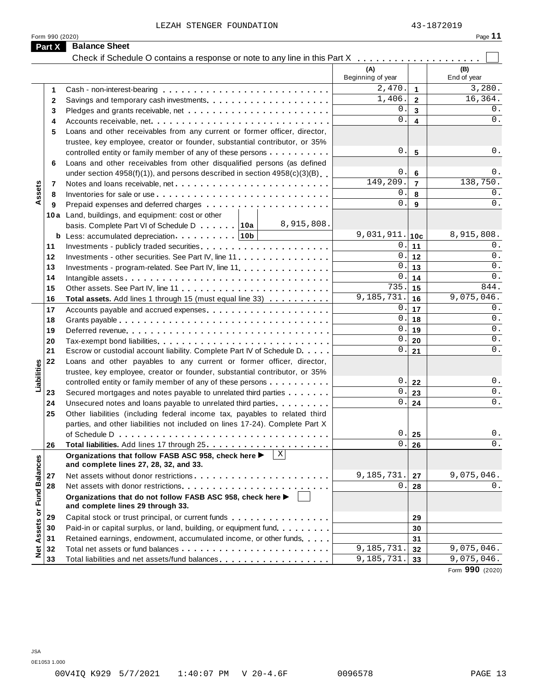|                 | LEZAH STENGER FOUNDATION                                                                         |                          |                              | 43-1872019         |
|-----------------|--------------------------------------------------------------------------------------------------|--------------------------|------------------------------|--------------------|
| Form 990 (2020) |                                                                                                  |                          |                              | Page 11            |
| Part X          | <b>Balance Sheet</b>                                                                             |                          |                              |                    |
|                 | Check if Schedule O contains a response or note to any line in this Part X                       |                          |                              |                    |
|                 |                                                                                                  | (A)<br>Beginning of year |                              | (B)<br>End of year |
|                 |                                                                                                  | $\overline{2}$ , 470.    |                              | 3,280.             |
| 1               |                                                                                                  | 1,406.                   | $\mathbf{1}$<br>$\mathbf{2}$ | 16, 364.           |
| $\mathbf{2}$    |                                                                                                  | 0                        | $\mathbf{3}$                 | 0.                 |
| 3               |                                                                                                  | $\mathbf{0}$             | $\overline{\mathbf{4}}$      | 0.                 |
| 4               |                                                                                                  |                          |                              |                    |
| 5               | Loans and other receivables from any current or former officer, director,                        |                          |                              |                    |
|                 | trustee, key employee, creator or founder, substantial contributor, or 35%                       | 0.                       |                              | 0.                 |
|                 | controlled entity or family member of any of these persons                                       |                          | 5                            |                    |
| 6               | Loans and other receivables from other disqualified persons (as defined                          | $\mathsf{O}$ .           |                              | 0.                 |
|                 | under section $4958(f)(1)$ , and persons described in section $4958(c)(3)(B)$                    | 149,209.                 | 6<br>$\overline{7}$          | 138,750.           |
| 7               |                                                                                                  | 0                        |                              | 0.                 |
| 8               |                                                                                                  | $\mathbf{0}$             | 8                            | $0$ .              |
| 9               |                                                                                                  |                          | 9                            |                    |
|                 | 10a Land, buildings, and equipment: cost or other<br>8,915,808.                                  |                          |                              |                    |
|                 | basis. Complete Part VI of Schedule D 10a                                                        | 9,031,911.               |                              | 8,915,808.         |
|                 |                                                                                                  | 0.                       | 10c                          | 0.                 |
| 11              |                                                                                                  | $\mathbf 0$ .            | 11                           | $0$ .              |
| 12              | Investments - other securities. See Part IV, line 11                                             | $0$ .                    | 12                           | $0$ .              |
| 13              | Investments - program-related. See Part IV, line 11                                              | $\mathsf{O}$ .           | 13                           | 0.                 |
| 14              |                                                                                                  | 735.                     | 14                           | 844.               |
| 15              |                                                                                                  | 9,185,731.               | 15                           | 9,075,046.         |
| 16              | Total assets. Add lines 1 through 15 (must equal line 33)                                        | $\mathbf{0}$ .           | 16                           | 0.                 |
| 17              |                                                                                                  | $\mathbf 0$ .            | 17                           | 0.                 |
| 18              |                                                                                                  | $0$ .                    | 18                           | 0.                 |
| 19              |                                                                                                  | $0$ .                    | 19                           | 0.                 |
| 20              |                                                                                                  | $0$ .                    | 20                           | $0$ .              |
| 21              | Escrow or custodial account liability. Complete Part IV of Schedule D.                           |                          | 21                           |                    |
| 22              | Loans and other payables to any current or former officer, director,                             |                          |                              |                    |
|                 | trustee, key employee, creator or founder, substantial contributor, or 35%                       | 0.                       |                              | 0.                 |
|                 | controlled entity or family member of any of these persons                                       | 0.                       | 22                           | $0$ .              |
| 23              | Secured mortgages and notes payable to unrelated third parties                                   | 0.                       | 23<br>24                     | $0$ .              |
| 24              | Unsecured notes and loans payable to unrelated third parties                                     |                          |                              |                    |
| 25              | Other liabilities (including federal income tax, payables to related third                       |                          |                              |                    |
|                 | parties, and other liabilities not included on lines 17-24). Complete Part X                     | $\mathsf{O}$ .           | 25                           | $0$ .              |
|                 |                                                                                                  | $\overline{0}$ .         |                              | 0.                 |
| 26              |                                                                                                  |                          | 26                           |                    |
|                 | Organizations that follow FASB ASC 958, check here ▶<br>and complete lines 27, 28, 32, and 33.   |                          |                              |                    |
| 27              |                                                                                                  | 9,185,731                | 27                           | 9,075,046.         |
| 28              |                                                                                                  | 0                        | 28                           | 0.                 |
|                 |                                                                                                  |                          |                              |                    |
|                 | Organizations that do not follow FASB ASC 958, check here ▶<br>and complete lines 29 through 33. |                          |                              |                    |
| 29              | Capital stock or trust principal, or current funds                                               |                          |                              |                    |
|                 | Paid-in or capital surplus, or land, building, or equipment fund.                                |                          | 29                           |                    |
| 30              | Retained earnings, endowment, accumulated income, or other funds                                 |                          | 30                           |                    |
| 31              |                                                                                                  | 9,185,731.               | 31                           | 9,075,046.         |
| 32<br>33        |                                                                                                  | 9,185,731.               | 32                           | 9,075,046.         |
|                 | Total liabilities and net assets/fund balances                                                   |                          | 33                           | Form 990 (2020)    |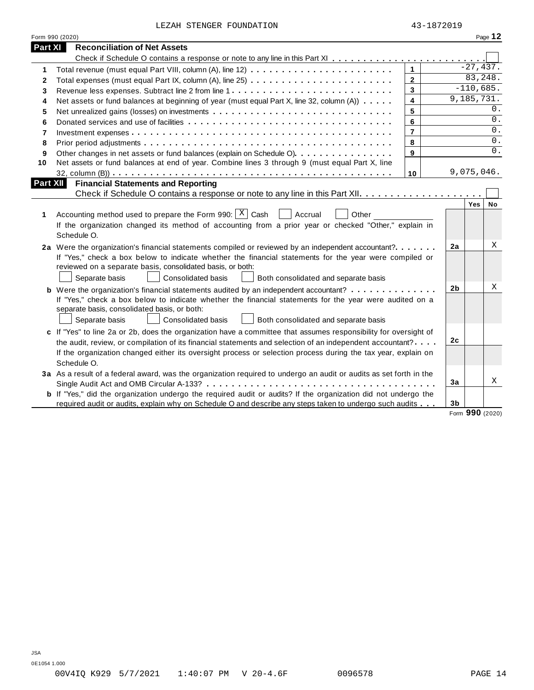| LEZAH STENGER FOUNDATION |  |  |  |
|--------------------------|--|--|--|
|--------------------------|--|--|--|

|                | LEZAH STENGER FOUNDATION                                                                                                                                                                                                         |                | 43-1872019     |             |           |
|----------------|----------------------------------------------------------------------------------------------------------------------------------------------------------------------------------------------------------------------------------|----------------|----------------|-------------|-----------|
|                | Form 990 (2020)                                                                                                                                                                                                                  |                |                |             | Page 12   |
| <b>Part XI</b> | <b>Reconciliation of Net Assets</b>                                                                                                                                                                                              |                |                |             |           |
|                |                                                                                                                                                                                                                                  |                |                |             |           |
| 1              |                                                                                                                                                                                                                                  | $\mathbf{1}$   |                | $-27,437.$  |           |
| 2              |                                                                                                                                                                                                                                  | $\overline{2}$ |                | 83,248.     |           |
| 3              |                                                                                                                                                                                                                                  | $\mathbf{3}$   |                | $-110,685.$ |           |
| 4              | Net assets or fund balances at beginning of year (must equal Part X, line 32, column (A))                                                                                                                                        | $\overline{4}$ |                | 9,185,731.  |           |
| 5              |                                                                                                                                                                                                                                  | 5              |                |             | 0.        |
| 6              |                                                                                                                                                                                                                                  | 6              |                |             | 0.        |
| $\overline{7}$ |                                                                                                                                                                                                                                  | $\overline{7}$ |                |             | 0.        |
| 8              |                                                                                                                                                                                                                                  | 8              |                |             | 0.        |
| 9              | Other changes in net assets or fund balances (explain on Schedule O)                                                                                                                                                             | 9              |                |             | 0.        |
| 10             | Net assets or fund balances at end of year. Combine lines 3 through 9 (must equal Part X, line                                                                                                                                   |                |                |             |           |
|                |                                                                                                                                                                                                                                  | 10             |                | 9,075,046.  |           |
|                | <b>Part XII</b><br><b>Financial Statements and Reporting</b>                                                                                                                                                                     |                |                |             |           |
|                |                                                                                                                                                                                                                                  |                |                |             |           |
|                |                                                                                                                                                                                                                                  |                |                | Yes         | <b>No</b> |
| 1              | Accounting method used to prepare the Form 990: $X \mid$ Cash<br>Accrual<br>Other                                                                                                                                                |                |                |             |           |
|                | If the organization changed its method of accounting from a prior year or checked "Other," explain in                                                                                                                            |                |                |             |           |
|                | Schedule O.                                                                                                                                                                                                                      |                |                |             |           |
|                |                                                                                                                                                                                                                                  |                |                |             |           |
|                | 2a Were the organization's financial statements compiled or reviewed by an independent accountant?                                                                                                                               |                | 2a             |             | Χ         |
|                | If "Yes," check a box below to indicate whether the financial statements for the year were compiled or                                                                                                                           |                |                |             |           |
|                | reviewed on a separate basis, consolidated basis, or both:                                                                                                                                                                       |                |                |             |           |
|                | Separate basis<br>Consolidated basis<br>Both consolidated and separate basis                                                                                                                                                     |                |                |             |           |
|                | <b>b</b> Were the organization's financial statements audited by an independent accountant?                                                                                                                                      |                | 2b             |             | X         |
|                | If "Yes," check a box below to indicate whether the financial statements for the year were audited on a                                                                                                                          |                |                |             |           |
|                | separate basis, consolidated basis, or both:                                                                                                                                                                                     |                |                |             |           |
|                | Consolidated basis<br>Both consolidated and separate basis<br>Separate basis                                                                                                                                                     |                |                |             |           |
|                | c If "Yes" to line 2a or 2b, does the organization have a committee that assumes responsibility for oversight of                                                                                                                 |                |                |             |           |
|                | the audit, review, or compilation of its financial statements and selection of an independent accountant?                                                                                                                        |                | 2 <sub>c</sub> |             |           |
|                | If the organization changed either its oversight process or selection process during the tax year, explain on                                                                                                                    |                |                |             |           |
|                | Schedule O.                                                                                                                                                                                                                      |                |                |             |           |
|                | 3a As a result of a federal award, was the organization required to undergo an audit or audits as set forth in the                                                                                                               |                |                |             |           |
|                |                                                                                                                                                                                                                                  |                | 3a             |             |           |
|                | <b>b</b> If "Yes," did the organization undergo the required audit or audits? If the organization did not undergo the<br>required audit or audits, explain why on Schedule O and describe any steps taken to undergo such audits |                |                |             | X         |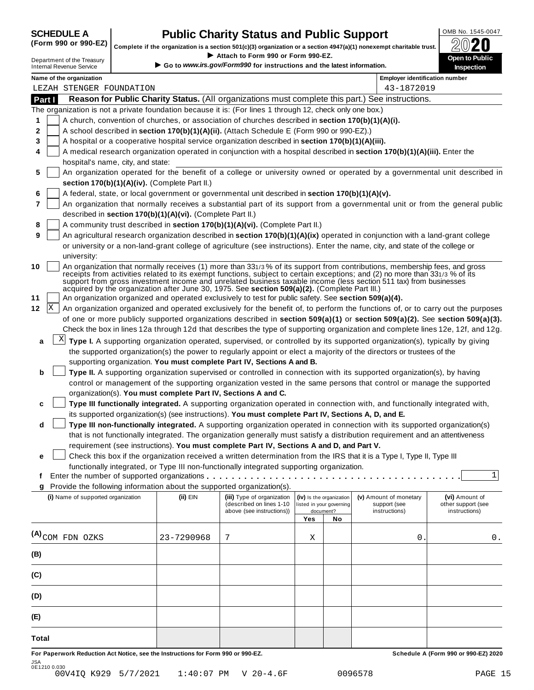# **SCHEDULE A Public Charity Status and Public Support** (Form 990 or 990-EZ) complete if the cranization is a section 501(c)(3) cranization or a section 4947(a)(1) popeyempt charitable trust  $\oslash$  () **20**

**Complete if the organization is a section 501(c)(3) organization or a section 4947(a)(1) nonexempt charitable trust.** <sup>△</sup><br>Attach to Form 990 or Form 990-EZ. If Strip Complete if the organization is a section 501(c)(3) organization or a section 4947(a)(1) nonexempt charitable trust.<br>Department of the Treasury<br>Department of the Treasury

| Department of the Treasury      |  |
|---------------------------------|--|
| <b>Internal Revenue Service</b> |  |

|         | Department of the Treasury<br><b>Internal Revenue Service</b> |                                                            | $\blacktriangleright$ Attach to Form 990 or Form 990-EZ.<br>Go to www.irs.gov/Form990 for instructions and the latest information.                                                                    |     |                                                      |                                                                                                                                | <b>Open to Public</b><br><b>Inspection</b>                                                                                       |
|---------|---------------------------------------------------------------|------------------------------------------------------------|-------------------------------------------------------------------------------------------------------------------------------------------------------------------------------------------------------|-----|------------------------------------------------------|--------------------------------------------------------------------------------------------------------------------------------|----------------------------------------------------------------------------------------------------------------------------------|
|         | Name of the organization                                      |                                                            |                                                                                                                                                                                                       |     |                                                      | <b>Employer identification number</b>                                                                                          |                                                                                                                                  |
|         | LEZAH STENGER FOUNDATION                                      |                                                            |                                                                                                                                                                                                       |     |                                                      | 43-1872019                                                                                                                     |                                                                                                                                  |
| Part I  |                                                               |                                                            |                                                                                                                                                                                                       |     |                                                      | Reason for Public Charity Status. (All organizations must complete this part.) See instructions.                               |                                                                                                                                  |
|         |                                                               |                                                            | The organization is not a private foundation because it is: (For lines 1 through 12, check only one box.)                                                                                             |     |                                                      |                                                                                                                                |                                                                                                                                  |
| 1       |                                                               |                                                            | A church, convention of churches, or association of churches described in section 170(b)(1)(A)(i).                                                                                                    |     |                                                      |                                                                                                                                |                                                                                                                                  |
| 2       |                                                               |                                                            | A school described in section 170(b)(1)(A)(ii). (Attach Schedule E (Form 990 or 990-EZ).)                                                                                                             |     |                                                      |                                                                                                                                |                                                                                                                                  |
| 3       |                                                               |                                                            | A hospital or a cooperative hospital service organization described in section 170(b)(1)(A)(iii).                                                                                                     |     |                                                      |                                                                                                                                |                                                                                                                                  |
| 4       |                                                               |                                                            |                                                                                                                                                                                                       |     |                                                      | A medical research organization operated in conjunction with a hospital described in section 170(b)(1)(A)(iii). Enter the      |                                                                                                                                  |
|         | hospital's name, city, and state:                             |                                                            |                                                                                                                                                                                                       |     |                                                      |                                                                                                                                |                                                                                                                                  |
| 5       |                                                               |                                                            |                                                                                                                                                                                                       |     |                                                      |                                                                                                                                | An organization operated for the benefit of a college or university owned or operated by a governmental unit described in        |
|         |                                                               | section 170(b)(1)(A)(iv). (Complete Part II.)              |                                                                                                                                                                                                       |     |                                                      |                                                                                                                                |                                                                                                                                  |
| 6       |                                                               |                                                            | A federal, state, or local government or governmental unit described in section 170(b)(1)(A)(v).                                                                                                      |     |                                                      |                                                                                                                                |                                                                                                                                  |
| 7       |                                                               |                                                            |                                                                                                                                                                                                       |     |                                                      |                                                                                                                                | An organization that normally receives a substantial part of its support from a governmental unit or from the general public     |
|         |                                                               | described in section 170(b)(1)(A)(vi). (Complete Part II.) |                                                                                                                                                                                                       |     |                                                      |                                                                                                                                |                                                                                                                                  |
| 8       |                                                               |                                                            | A community trust described in section 170(b)(1)(A)(vi). (Complete Part II.)                                                                                                                          |     |                                                      |                                                                                                                                |                                                                                                                                  |
| 9       |                                                               |                                                            |                                                                                                                                                                                                       |     |                                                      | An agricultural research organization described in section 170(b)(1)(A)(ix) operated in conjunction with a land-grant college  |                                                                                                                                  |
|         |                                                               |                                                            |                                                                                                                                                                                                       |     |                                                      | or university or a non-land-grant college of agriculture (see instructions). Enter the name, city, and state of the college or |                                                                                                                                  |
|         | university:                                                   |                                                            |                                                                                                                                                                                                       |     |                                                      |                                                                                                                                |                                                                                                                                  |
| 10      |                                                               |                                                            |                                                                                                                                                                                                       |     |                                                      | An organization that normally receives (1) more than 331/3% of its support from contributions, membership fees, and gross      |                                                                                                                                  |
|         |                                                               |                                                            |                                                                                                                                                                                                       |     |                                                      | receipts from activities related to its exempt functions, subject to certain exceptions; and (2) no more than 331/3 % of its   |                                                                                                                                  |
|         |                                                               |                                                            |                                                                                                                                                                                                       |     |                                                      | support from gross investment income and unrelated business taxable income (less section 511 tax) from businesses              |                                                                                                                                  |
| 11      |                                                               |                                                            | acquired by the organization after June 30, 1975. See section 509(a)(2). (Complete Part III.)<br>An organization organized and operated exclusively to test for public safety. See section 509(a)(4). |     |                                                      |                                                                                                                                |                                                                                                                                  |
| X<br>12 |                                                               |                                                            |                                                                                                                                                                                                       |     |                                                      |                                                                                                                                | An organization organized and operated exclusively for the benefit of, to perform the functions of, or to carry out the purposes |
|         |                                                               |                                                            |                                                                                                                                                                                                       |     |                                                      |                                                                                                                                | of one or more publicly supported organizations described in section 509(a)(1) or section 509(a)(2). See section 509(a)(3).      |
|         |                                                               |                                                            |                                                                                                                                                                                                       |     |                                                      |                                                                                                                                | Check the box in lines 12a through 12d that describes the type of supporting organization and complete lines 12e, 12f, and 12g.  |
|         |                                                               |                                                            |                                                                                                                                                                                                       |     |                                                      |                                                                                                                                |                                                                                                                                  |
| a       | X                                                             |                                                            |                                                                                                                                                                                                       |     |                                                      | Type I. A supporting organization operated, supervised, or controlled by its supported organization(s), typically by giving    |                                                                                                                                  |
|         |                                                               |                                                            |                                                                                                                                                                                                       |     |                                                      | the supported organization(s) the power to regularly appoint or elect a majority of the directors or trustees of the           |                                                                                                                                  |
|         |                                                               |                                                            | supporting organization. You must complete Part IV, Sections A and B.                                                                                                                                 |     |                                                      |                                                                                                                                |                                                                                                                                  |
| b       |                                                               |                                                            |                                                                                                                                                                                                       |     |                                                      | Type II. A supporting organization supervised or controlled in connection with its supported organization(s), by having        |                                                                                                                                  |
|         |                                                               |                                                            |                                                                                                                                                                                                       |     |                                                      | control or management of the supporting organization vested in the same persons that control or manage the supported           |                                                                                                                                  |
|         |                                                               |                                                            | organization(s). You must complete Part IV, Sections A and C.                                                                                                                                         |     |                                                      |                                                                                                                                |                                                                                                                                  |
| C       |                                                               |                                                            |                                                                                                                                                                                                       |     |                                                      | Type III functionally integrated. A supporting organization operated in connection with, and functionally integrated with,     |                                                                                                                                  |
|         |                                                               |                                                            | its supported organization(s) (see instructions). You must complete Part IV, Sections A, D, and E.                                                                                                    |     |                                                      |                                                                                                                                |                                                                                                                                  |
| d       |                                                               |                                                            |                                                                                                                                                                                                       |     |                                                      | Type III non-functionally integrated. A supporting organization operated in connection with its supported organization(s)      |                                                                                                                                  |
|         |                                                               |                                                            |                                                                                                                                                                                                       |     |                                                      | that is not functionally integrated. The organization generally must satisfy a distribution requirement and an attentiveness   |                                                                                                                                  |
|         |                                                               |                                                            | requirement (see instructions). You must complete Part IV, Sections A and D, and Part V.                                                                                                              |     |                                                      |                                                                                                                                |                                                                                                                                  |
| е       |                                                               |                                                            |                                                                                                                                                                                                       |     |                                                      | Check this box if the organization received a written determination from the IRS that it is a Type I, Type II, Type III        |                                                                                                                                  |
|         |                                                               |                                                            | functionally integrated, or Type III non-functionally integrated supporting organization.                                                                                                             |     |                                                      |                                                                                                                                |                                                                                                                                  |
| f       |                                                               |                                                            | Enter the number of supported organizations                                                                                                                                                           |     |                                                      |                                                                                                                                | 1                                                                                                                                |
| g       |                                                               |                                                            | Provide the following information about the supported organization(s).                                                                                                                                |     |                                                      |                                                                                                                                |                                                                                                                                  |
|         | (i) Name of supported organization                            | (ii) EIN                                                   | (iii) Type of organization<br>(described on lines 1-10                                                                                                                                                |     | (iv) Is the organization<br>listed in your governing | (v) Amount of monetary<br>support (see                                                                                         | (vi) Amount of<br>other support (see                                                                                             |
|         |                                                               |                                                            | above (see instructions))                                                                                                                                                                             |     | document?                                            | instructions)                                                                                                                  | instructions)                                                                                                                    |
|         |                                                               |                                                            |                                                                                                                                                                                                       | Yes | No                                                   |                                                                                                                                |                                                                                                                                  |
|         |                                                               |                                                            |                                                                                                                                                                                                       |     |                                                      |                                                                                                                                |                                                                                                                                  |
|         | (A) <sub>COM FDN</sub> OZKS                                   | 23-7290968                                                 | 7                                                                                                                                                                                                     | Χ   |                                                      | 0                                                                                                                              | 0.                                                                                                                               |
| (B)     |                                                               |                                                            |                                                                                                                                                                                                       |     |                                                      |                                                                                                                                |                                                                                                                                  |
|         |                                                               |                                                            |                                                                                                                                                                                                       |     |                                                      |                                                                                                                                |                                                                                                                                  |
| (C)     |                                                               |                                                            |                                                                                                                                                                                                       |     |                                                      |                                                                                                                                |                                                                                                                                  |
|         |                                                               |                                                            |                                                                                                                                                                                                       |     |                                                      |                                                                                                                                |                                                                                                                                  |
| (D)     |                                                               |                                                            |                                                                                                                                                                                                       |     |                                                      |                                                                                                                                |                                                                                                                                  |
|         |                                                               |                                                            |                                                                                                                                                                                                       |     |                                                      |                                                                                                                                |                                                                                                                                  |

**For Paperwork Reduction Act Notice, see the Instructions for Form 990 or 990-EZ. Schedule A (Form 990 or 990-EZ) 2020** JSA 0E1210 0.030 00V4IQ K929 5/7/2021 1:40:07 PM V 20-4.6F 0096578 PAGE 15

**(E)**

**Total**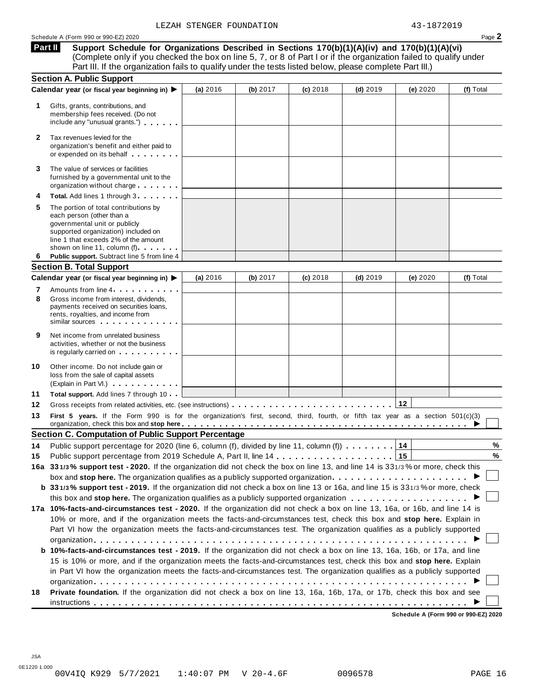**Part II** 

**Support Schedule for Organizations Described in Sections 170(b)(1)(A)(iv) and 170(b)(1)(A)(vi)** (Complete only if you checked the box on line 5, 7, or 8 of Part I or if the organization failed to qualify under Part III. If the organization fails to qualify under the tests listed below, please complete Part III.)

| Part III. If the organization fails to qualify under the tests listed below, please complete Part III.)                                                                                                                                                                                                                                                               |          |            |            |            |                                      |           |
|-----------------------------------------------------------------------------------------------------------------------------------------------------------------------------------------------------------------------------------------------------------------------------------------------------------------------------------------------------------------------|----------|------------|------------|------------|--------------------------------------|-----------|
| <b>Section A. Public Support</b>                                                                                                                                                                                                                                                                                                                                      |          |            |            |            |                                      |           |
| Calendar year (or fiscal year beginning in) ▶<br>1<br>Gifts, grants, contributions, and<br>membership fees received. (Do not<br>include any "unusual grants.")                                                                                                                                                                                                        | (a) 2016 | (b) $2017$ | $(c)$ 2018 | $(d)$ 2019 | (e) 2020                             | (f) Total |
| Tax revenues levied for the<br>2<br>organization's benefit and either paid to<br>or expended on its behalf                                                                                                                                                                                                                                                            |          |            |            |            |                                      |           |
| The value of services or facilities<br>3<br>furnished by a governmental unit to the<br>organization without charge <b>and all of the set of the set of the set of the set of the set of the set of the set of the set of the set of the set of the set of the set of the set of the set of the set of the set of the se</b>                                           |          |            |            |            |                                      |           |
| Total. Add lines 1 through 3<br>4                                                                                                                                                                                                                                                                                                                                     |          |            |            |            |                                      |           |
| The portion of total contributions by<br>5<br>each person (other than a<br>governmental unit or publicly<br>supported organization) included on<br>line 1 that exceeds 2% of the amount<br>shown on line 11, column (f)                                                                                                                                               |          |            |            |            |                                      |           |
| Public support. Subtract line 5 from line 4<br>6                                                                                                                                                                                                                                                                                                                      |          |            |            |            |                                      |           |
| <b>Section B. Total Support</b>                                                                                                                                                                                                                                                                                                                                       |          |            |            |            |                                      |           |
| Calendar year (or fiscal year beginning in) ▶                                                                                                                                                                                                                                                                                                                         | (a) 2016 | (b) $2017$ | $(c)$ 2018 | $(d)$ 2019 | (e) 2020                             | (f) Total |
| Amounts from line 4<br>7<br>8<br>Gross income from interest, dividends,<br>payments received on securities loans,<br>rents, royalties, and income from<br>similar sources experiences                                                                                                                                                                                 |          |            |            |            |                                      |           |
| 9<br>Net income from unrelated business<br>activities, whether or not the business<br>is regularly carried on the control of the set of the set of the set of the set of the set of the set of the s                                                                                                                                                                  |          |            |            |            |                                      |           |
| 10<br>Other income. Do not include gain or<br>loss from the sale of capital assets                                                                                                                                                                                                                                                                                    |          |            |            |            |                                      |           |
| Total support. Add lines 7 through 10<br>11                                                                                                                                                                                                                                                                                                                           |          |            |            |            |                                      |           |
| 12                                                                                                                                                                                                                                                                                                                                                                    |          |            |            |            |                                      |           |
| First 5 years. If the Form 990 is for the organization's first, second, third, fourth, or fifth tax year as a section 501(c)(3)<br>13<br>organization, check this box and stop here entired and state and state and state and state and state and state and state and state and state and state and state and state and state and state and state and state and state |          |            |            |            |                                      |           |
| <b>Section C. Computation of Public Support Percentage</b>                                                                                                                                                                                                                                                                                                            |          |            |            |            |                                      |           |
| Public support percentage for 2020 (line 6, column (f), divided by line 11, column (f)<br>14                                                                                                                                                                                                                                                                          |          |            |            |            | 14                                   | $\%$      |
| 15                                                                                                                                                                                                                                                                                                                                                                    |          |            |            |            |                                      | %         |
| 16a 331/3% support test - 2020. If the organization did not check the box on line 13, and line 14 is 331/3% or more, check this                                                                                                                                                                                                                                       |          |            |            |            |                                      |           |
| box and stop here. The organization qualifies as a publicly supported organization                                                                                                                                                                                                                                                                                    |          |            |            |            |                                      |           |
| b 331/3% support test - 2019. If the organization did not check a box on line 13 or 16a, and line 15 is 331/3% or more, check                                                                                                                                                                                                                                         |          |            |            |            |                                      |           |
| this box and stop here. The organization qualifies as a publicly supported organization $\ldots \ldots \ldots \ldots \ldots$                                                                                                                                                                                                                                          |          |            |            |            |                                      |           |
| 17a 10%-facts-and-circumstances test - 2020. If the organization did not check a box on line 13, 16a, or 16b, and line 14 is                                                                                                                                                                                                                                          |          |            |            |            |                                      |           |
| 10% or more, and if the organization meets the facts-and-circumstances test, check this box and stop here. Explain in<br>Part VI how the organization meets the facts-and-circumstances test. The organization qualifies as a publicly supported                                                                                                                      |          |            |            |            |                                      |           |
|                                                                                                                                                                                                                                                                                                                                                                       |          |            |            |            |                                      |           |
| <b>b 10%-facts-and-circumstances test - 2019.</b> If the organization did not check a box on line 13, 16a, 16b, or 17a, and line                                                                                                                                                                                                                                      |          |            |            |            |                                      |           |
| 15 is 10% or more, and if the organization meets the facts-and-circumstances test, check this box and stop here. Explain                                                                                                                                                                                                                                              |          |            |            |            |                                      |           |
| in Part VI how the organization meets the facts-and-circumstances test. The organization qualifies as a publicly supported                                                                                                                                                                                                                                            |          |            |            |            |                                      |           |
|                                                                                                                                                                                                                                                                                                                                                                       |          |            |            |            |                                      |           |
| Private foundation. If the organization did not check a box on line 13, 16a, 16b, 17a, or 17b, check this box and see<br>18                                                                                                                                                                                                                                           |          |            |            |            |                                      |           |
|                                                                                                                                                                                                                                                                                                                                                                       |          |            |            |            | Schedule A (Form 990 or 990-EZ) 2020 |           |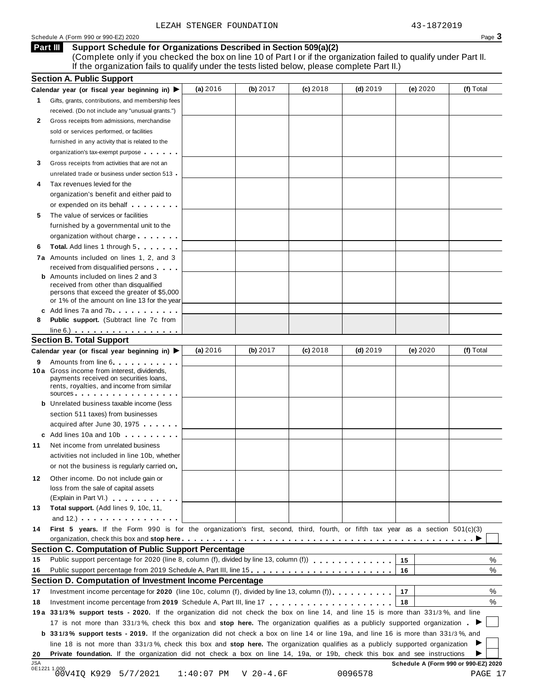#### **Support Schedule for Organizations Described in Section 509(a)(2) Part III**

(Complete only if you checked the box on line 10 of Part I or if the organization failed to qualify under Part II. If the organization fails to qualify under the tests listed below, please complete Part II.)

| (f) Total<br>(a) $2016$<br>(b) $2017$<br>$(c)$ 2018<br>(d) $2019$<br>(e) 2020<br>Calendar year (or fiscal year beginning in)<br>Gifts, grants, contributions, and membership fees<br>1.<br>received. (Do not include any "unusual grants.")<br>2<br>Gross receipts from admissions, merchandise<br>sold or services performed, or facilities<br>furnished in any activity that is related to the<br>organization's tax-exempt purpose<br>Gross receipts from activities that are not an<br>3<br>unrelated trade or business under section 513 .<br>Tax revenues levied for the<br>organization's benefit and either paid to<br>or expended on its behalf <b>contains the set of the set of the set of the set of the set of the set of the set of the set of the set of the set of the set of the set of the set of the set of the set of the set of the set of</b><br>The value of services or facilities<br>5<br>furnished by a governmental unit to the<br>organization without charge<br><b>Total.</b> Add lines 1 through 5<br>6<br>7a Amounts included on lines 1, 2, and 3<br>received from disqualified persons<br><b>b</b> Amounts included on lines 2 and 3<br>received from other than disqualified<br>persons that exceed the greater of \$5,000<br>or 1% of the amount on line 13 for the year<br>c Add lines 7a and 7b<br>Public support. (Subtract line 7c from<br>8<br>$line 6.)$<br><b>Section B. Total Support</b><br>(a) 2016<br>(b) 2017<br>$(c)$ 2018<br>(f) Total<br>(d) $2019$<br>(e) $2020$<br>Calendar year (or fiscal year beginning in)<br>Amounts from line 6<br>9<br>10 a Gross income from interest, dividends,<br>payments received on securities loans,<br>rents, royalties, and income from similar<br>SOUICES<br><b>b</b> Unrelated business taxable income (less<br>section 511 taxes) from businesses<br>acquired after June 30, 1975<br>c Add lines 10a and 10b<br>Net income from unrelated business<br>activities not included in line 10b, whether<br>or not the business is regularly carried on.<br>Other income. Do not include gain or<br>12<br>loss from the sale of capital assets<br>(Explain in Part VI.)<br>Total support. (Add lines 9, 10c, 11,<br>and 12.) $\cdots$ $\cdots$ $\cdots$ $\cdots$<br>First 5 years. If the Form 990 is for the organization's first, second, third, fourth, or fifth tax year as a section 501(c)(3)<br><b>Section C. Computation of Public Support Percentage</b><br>15<br>Public support percentage from 2019 Schedule A, Part III, line 15.<br>16<br>Section D. Computation of Investment Income Percentage<br>%<br>17<br>Investment income percentage for 2020 (line 10c, column (f), divided by line 13, column (f)).<br>18<br>19a 331/3% support tests - 2020. If the organization did not check the box on line 14, and line 15 is more than 331/3%, and line<br>17 is not more than 331/3%, check this box and stop here. The organization qualifies as a publicly supported organization.<br><b>b</b> 331/3% support tests - 2019. If the organization did not check a box on line 14 or line 19a, and line 16 is more than 331/3%, and<br>line 18 is not more than 331/3%, check this box and stop here. The organization qualifies as a publicly supported organization<br>Private foundation. If the organization did not check a box on line 14, 19a, or 19b, check this box and see instructions<br>Schedule A (Form 990 or 990-EZ) 2020<br>0E1221 1.000<br>00V4IQ K929 5/7/2021<br>$1:40:07$ PM<br>$V$ 20-4.6F<br>0096578 |           | <b>Section A. Public Support</b> |  |  |         |
|---------------------------------------------------------------------------------------------------------------------------------------------------------------------------------------------------------------------------------------------------------------------------------------------------------------------------------------------------------------------------------------------------------------------------------------------------------------------------------------------------------------------------------------------------------------------------------------------------------------------------------------------------------------------------------------------------------------------------------------------------------------------------------------------------------------------------------------------------------------------------------------------------------------------------------------------------------------------------------------------------------------------------------------------------------------------------------------------------------------------------------------------------------------------------------------------------------------------------------------------------------------------------------------------------------------------------------------------------------------------------------------------------------------------------------------------------------------------------------------------------------------------------------------------------------------------------------------------------------------------------------------------------------------------------------------------------------------------------------------------------------------------------------------------------------------------------------------------------------------------------------------------------------------------------------------------------------------------------------------------------------------------------------------------------------------------------------------------------------------------------------------------------------------------------------------------------------------------------------------------------------------------------------------------------------------------------------------------------------------------------------------------------------------------------------------------------------------------------------------------------------------------------------------------------------------------------------------------------------------------------------------------------------------------------------------------------------------------------------------------------------------------------------------------------------------------------------------------------------------------------------------------------------------------------------------------------------------------------------------------------------------------------------------------------------------------------------------------------------------------------------------------------------------------------------------------------------------------------------------------------------------------------------------------------------------------------------------------------------------------------------------------------------------------------------------------------------------------------------------------------------------------------|-----------|----------------------------------|--|--|---------|
|                                                                                                                                                                                                                                                                                                                                                                                                                                                                                                                                                                                                                                                                                                                                                                                                                                                                                                                                                                                                                                                                                                                                                                                                                                                                                                                                                                                                                                                                                                                                                                                                                                                                                                                                                                                                                                                                                                                                                                                                                                                                                                                                                                                                                                                                                                                                                                                                                                                                                                                                                                                                                                                                                                                                                                                                                                                                                                                                                                                                                                                                                                                                                                                                                                                                                                                                                                                                                                                                                                                           |           |                                  |  |  |         |
|                                                                                                                                                                                                                                                                                                                                                                                                                                                                                                                                                                                                                                                                                                                                                                                                                                                                                                                                                                                                                                                                                                                                                                                                                                                                                                                                                                                                                                                                                                                                                                                                                                                                                                                                                                                                                                                                                                                                                                                                                                                                                                                                                                                                                                                                                                                                                                                                                                                                                                                                                                                                                                                                                                                                                                                                                                                                                                                                                                                                                                                                                                                                                                                                                                                                                                                                                                                                                                                                                                                           |           |                                  |  |  |         |
|                                                                                                                                                                                                                                                                                                                                                                                                                                                                                                                                                                                                                                                                                                                                                                                                                                                                                                                                                                                                                                                                                                                                                                                                                                                                                                                                                                                                                                                                                                                                                                                                                                                                                                                                                                                                                                                                                                                                                                                                                                                                                                                                                                                                                                                                                                                                                                                                                                                                                                                                                                                                                                                                                                                                                                                                                                                                                                                                                                                                                                                                                                                                                                                                                                                                                                                                                                                                                                                                                                                           |           |                                  |  |  |         |
|                                                                                                                                                                                                                                                                                                                                                                                                                                                                                                                                                                                                                                                                                                                                                                                                                                                                                                                                                                                                                                                                                                                                                                                                                                                                                                                                                                                                                                                                                                                                                                                                                                                                                                                                                                                                                                                                                                                                                                                                                                                                                                                                                                                                                                                                                                                                                                                                                                                                                                                                                                                                                                                                                                                                                                                                                                                                                                                                                                                                                                                                                                                                                                                                                                                                                                                                                                                                                                                                                                                           |           |                                  |  |  |         |
|                                                                                                                                                                                                                                                                                                                                                                                                                                                                                                                                                                                                                                                                                                                                                                                                                                                                                                                                                                                                                                                                                                                                                                                                                                                                                                                                                                                                                                                                                                                                                                                                                                                                                                                                                                                                                                                                                                                                                                                                                                                                                                                                                                                                                                                                                                                                                                                                                                                                                                                                                                                                                                                                                                                                                                                                                                                                                                                                                                                                                                                                                                                                                                                                                                                                                                                                                                                                                                                                                                                           |           |                                  |  |  |         |
|                                                                                                                                                                                                                                                                                                                                                                                                                                                                                                                                                                                                                                                                                                                                                                                                                                                                                                                                                                                                                                                                                                                                                                                                                                                                                                                                                                                                                                                                                                                                                                                                                                                                                                                                                                                                                                                                                                                                                                                                                                                                                                                                                                                                                                                                                                                                                                                                                                                                                                                                                                                                                                                                                                                                                                                                                                                                                                                                                                                                                                                                                                                                                                                                                                                                                                                                                                                                                                                                                                                           |           |                                  |  |  |         |
|                                                                                                                                                                                                                                                                                                                                                                                                                                                                                                                                                                                                                                                                                                                                                                                                                                                                                                                                                                                                                                                                                                                                                                                                                                                                                                                                                                                                                                                                                                                                                                                                                                                                                                                                                                                                                                                                                                                                                                                                                                                                                                                                                                                                                                                                                                                                                                                                                                                                                                                                                                                                                                                                                                                                                                                                                                                                                                                                                                                                                                                                                                                                                                                                                                                                                                                                                                                                                                                                                                                           |           |                                  |  |  |         |
|                                                                                                                                                                                                                                                                                                                                                                                                                                                                                                                                                                                                                                                                                                                                                                                                                                                                                                                                                                                                                                                                                                                                                                                                                                                                                                                                                                                                                                                                                                                                                                                                                                                                                                                                                                                                                                                                                                                                                                                                                                                                                                                                                                                                                                                                                                                                                                                                                                                                                                                                                                                                                                                                                                                                                                                                                                                                                                                                                                                                                                                                                                                                                                                                                                                                                                                                                                                                                                                                                                                           |           |                                  |  |  |         |
|                                                                                                                                                                                                                                                                                                                                                                                                                                                                                                                                                                                                                                                                                                                                                                                                                                                                                                                                                                                                                                                                                                                                                                                                                                                                                                                                                                                                                                                                                                                                                                                                                                                                                                                                                                                                                                                                                                                                                                                                                                                                                                                                                                                                                                                                                                                                                                                                                                                                                                                                                                                                                                                                                                                                                                                                                                                                                                                                                                                                                                                                                                                                                                                                                                                                                                                                                                                                                                                                                                                           |           |                                  |  |  |         |
|                                                                                                                                                                                                                                                                                                                                                                                                                                                                                                                                                                                                                                                                                                                                                                                                                                                                                                                                                                                                                                                                                                                                                                                                                                                                                                                                                                                                                                                                                                                                                                                                                                                                                                                                                                                                                                                                                                                                                                                                                                                                                                                                                                                                                                                                                                                                                                                                                                                                                                                                                                                                                                                                                                                                                                                                                                                                                                                                                                                                                                                                                                                                                                                                                                                                                                                                                                                                                                                                                                                           |           |                                  |  |  |         |
|                                                                                                                                                                                                                                                                                                                                                                                                                                                                                                                                                                                                                                                                                                                                                                                                                                                                                                                                                                                                                                                                                                                                                                                                                                                                                                                                                                                                                                                                                                                                                                                                                                                                                                                                                                                                                                                                                                                                                                                                                                                                                                                                                                                                                                                                                                                                                                                                                                                                                                                                                                                                                                                                                                                                                                                                                                                                                                                                                                                                                                                                                                                                                                                                                                                                                                                                                                                                                                                                                                                           |           |                                  |  |  |         |
|                                                                                                                                                                                                                                                                                                                                                                                                                                                                                                                                                                                                                                                                                                                                                                                                                                                                                                                                                                                                                                                                                                                                                                                                                                                                                                                                                                                                                                                                                                                                                                                                                                                                                                                                                                                                                                                                                                                                                                                                                                                                                                                                                                                                                                                                                                                                                                                                                                                                                                                                                                                                                                                                                                                                                                                                                                                                                                                                                                                                                                                                                                                                                                                                                                                                                                                                                                                                                                                                                                                           |           |                                  |  |  |         |
|                                                                                                                                                                                                                                                                                                                                                                                                                                                                                                                                                                                                                                                                                                                                                                                                                                                                                                                                                                                                                                                                                                                                                                                                                                                                                                                                                                                                                                                                                                                                                                                                                                                                                                                                                                                                                                                                                                                                                                                                                                                                                                                                                                                                                                                                                                                                                                                                                                                                                                                                                                                                                                                                                                                                                                                                                                                                                                                                                                                                                                                                                                                                                                                                                                                                                                                                                                                                                                                                                                                           |           |                                  |  |  |         |
|                                                                                                                                                                                                                                                                                                                                                                                                                                                                                                                                                                                                                                                                                                                                                                                                                                                                                                                                                                                                                                                                                                                                                                                                                                                                                                                                                                                                                                                                                                                                                                                                                                                                                                                                                                                                                                                                                                                                                                                                                                                                                                                                                                                                                                                                                                                                                                                                                                                                                                                                                                                                                                                                                                                                                                                                                                                                                                                                                                                                                                                                                                                                                                                                                                                                                                                                                                                                                                                                                                                           |           |                                  |  |  |         |
|                                                                                                                                                                                                                                                                                                                                                                                                                                                                                                                                                                                                                                                                                                                                                                                                                                                                                                                                                                                                                                                                                                                                                                                                                                                                                                                                                                                                                                                                                                                                                                                                                                                                                                                                                                                                                                                                                                                                                                                                                                                                                                                                                                                                                                                                                                                                                                                                                                                                                                                                                                                                                                                                                                                                                                                                                                                                                                                                                                                                                                                                                                                                                                                                                                                                                                                                                                                                                                                                                                                           |           |                                  |  |  |         |
|                                                                                                                                                                                                                                                                                                                                                                                                                                                                                                                                                                                                                                                                                                                                                                                                                                                                                                                                                                                                                                                                                                                                                                                                                                                                                                                                                                                                                                                                                                                                                                                                                                                                                                                                                                                                                                                                                                                                                                                                                                                                                                                                                                                                                                                                                                                                                                                                                                                                                                                                                                                                                                                                                                                                                                                                                                                                                                                                                                                                                                                                                                                                                                                                                                                                                                                                                                                                                                                                                                                           |           |                                  |  |  |         |
|                                                                                                                                                                                                                                                                                                                                                                                                                                                                                                                                                                                                                                                                                                                                                                                                                                                                                                                                                                                                                                                                                                                                                                                                                                                                                                                                                                                                                                                                                                                                                                                                                                                                                                                                                                                                                                                                                                                                                                                                                                                                                                                                                                                                                                                                                                                                                                                                                                                                                                                                                                                                                                                                                                                                                                                                                                                                                                                                                                                                                                                                                                                                                                                                                                                                                                                                                                                                                                                                                                                           |           |                                  |  |  |         |
|                                                                                                                                                                                                                                                                                                                                                                                                                                                                                                                                                                                                                                                                                                                                                                                                                                                                                                                                                                                                                                                                                                                                                                                                                                                                                                                                                                                                                                                                                                                                                                                                                                                                                                                                                                                                                                                                                                                                                                                                                                                                                                                                                                                                                                                                                                                                                                                                                                                                                                                                                                                                                                                                                                                                                                                                                                                                                                                                                                                                                                                                                                                                                                                                                                                                                                                                                                                                                                                                                                                           |           |                                  |  |  |         |
|                                                                                                                                                                                                                                                                                                                                                                                                                                                                                                                                                                                                                                                                                                                                                                                                                                                                                                                                                                                                                                                                                                                                                                                                                                                                                                                                                                                                                                                                                                                                                                                                                                                                                                                                                                                                                                                                                                                                                                                                                                                                                                                                                                                                                                                                                                                                                                                                                                                                                                                                                                                                                                                                                                                                                                                                                                                                                                                                                                                                                                                                                                                                                                                                                                                                                                                                                                                                                                                                                                                           |           |                                  |  |  |         |
|                                                                                                                                                                                                                                                                                                                                                                                                                                                                                                                                                                                                                                                                                                                                                                                                                                                                                                                                                                                                                                                                                                                                                                                                                                                                                                                                                                                                                                                                                                                                                                                                                                                                                                                                                                                                                                                                                                                                                                                                                                                                                                                                                                                                                                                                                                                                                                                                                                                                                                                                                                                                                                                                                                                                                                                                                                                                                                                                                                                                                                                                                                                                                                                                                                                                                                                                                                                                                                                                                                                           |           |                                  |  |  |         |
|                                                                                                                                                                                                                                                                                                                                                                                                                                                                                                                                                                                                                                                                                                                                                                                                                                                                                                                                                                                                                                                                                                                                                                                                                                                                                                                                                                                                                                                                                                                                                                                                                                                                                                                                                                                                                                                                                                                                                                                                                                                                                                                                                                                                                                                                                                                                                                                                                                                                                                                                                                                                                                                                                                                                                                                                                                                                                                                                                                                                                                                                                                                                                                                                                                                                                                                                                                                                                                                                                                                           |           |                                  |  |  |         |
|                                                                                                                                                                                                                                                                                                                                                                                                                                                                                                                                                                                                                                                                                                                                                                                                                                                                                                                                                                                                                                                                                                                                                                                                                                                                                                                                                                                                                                                                                                                                                                                                                                                                                                                                                                                                                                                                                                                                                                                                                                                                                                                                                                                                                                                                                                                                                                                                                                                                                                                                                                                                                                                                                                                                                                                                                                                                                                                                                                                                                                                                                                                                                                                                                                                                                                                                                                                                                                                                                                                           |           |                                  |  |  |         |
|                                                                                                                                                                                                                                                                                                                                                                                                                                                                                                                                                                                                                                                                                                                                                                                                                                                                                                                                                                                                                                                                                                                                                                                                                                                                                                                                                                                                                                                                                                                                                                                                                                                                                                                                                                                                                                                                                                                                                                                                                                                                                                                                                                                                                                                                                                                                                                                                                                                                                                                                                                                                                                                                                                                                                                                                                                                                                                                                                                                                                                                                                                                                                                                                                                                                                                                                                                                                                                                                                                                           |           |                                  |  |  |         |
|                                                                                                                                                                                                                                                                                                                                                                                                                                                                                                                                                                                                                                                                                                                                                                                                                                                                                                                                                                                                                                                                                                                                                                                                                                                                                                                                                                                                                                                                                                                                                                                                                                                                                                                                                                                                                                                                                                                                                                                                                                                                                                                                                                                                                                                                                                                                                                                                                                                                                                                                                                                                                                                                                                                                                                                                                                                                                                                                                                                                                                                                                                                                                                                                                                                                                                                                                                                                                                                                                                                           |           |                                  |  |  |         |
|                                                                                                                                                                                                                                                                                                                                                                                                                                                                                                                                                                                                                                                                                                                                                                                                                                                                                                                                                                                                                                                                                                                                                                                                                                                                                                                                                                                                                                                                                                                                                                                                                                                                                                                                                                                                                                                                                                                                                                                                                                                                                                                                                                                                                                                                                                                                                                                                                                                                                                                                                                                                                                                                                                                                                                                                                                                                                                                                                                                                                                                                                                                                                                                                                                                                                                                                                                                                                                                                                                                           |           |                                  |  |  |         |
|                                                                                                                                                                                                                                                                                                                                                                                                                                                                                                                                                                                                                                                                                                                                                                                                                                                                                                                                                                                                                                                                                                                                                                                                                                                                                                                                                                                                                                                                                                                                                                                                                                                                                                                                                                                                                                                                                                                                                                                                                                                                                                                                                                                                                                                                                                                                                                                                                                                                                                                                                                                                                                                                                                                                                                                                                                                                                                                                                                                                                                                                                                                                                                                                                                                                                                                                                                                                                                                                                                                           |           |                                  |  |  |         |
|                                                                                                                                                                                                                                                                                                                                                                                                                                                                                                                                                                                                                                                                                                                                                                                                                                                                                                                                                                                                                                                                                                                                                                                                                                                                                                                                                                                                                                                                                                                                                                                                                                                                                                                                                                                                                                                                                                                                                                                                                                                                                                                                                                                                                                                                                                                                                                                                                                                                                                                                                                                                                                                                                                                                                                                                                                                                                                                                                                                                                                                                                                                                                                                                                                                                                                                                                                                                                                                                                                                           |           |                                  |  |  |         |
|                                                                                                                                                                                                                                                                                                                                                                                                                                                                                                                                                                                                                                                                                                                                                                                                                                                                                                                                                                                                                                                                                                                                                                                                                                                                                                                                                                                                                                                                                                                                                                                                                                                                                                                                                                                                                                                                                                                                                                                                                                                                                                                                                                                                                                                                                                                                                                                                                                                                                                                                                                                                                                                                                                                                                                                                                                                                                                                                                                                                                                                                                                                                                                                                                                                                                                                                                                                                                                                                                                                           |           |                                  |  |  |         |
|                                                                                                                                                                                                                                                                                                                                                                                                                                                                                                                                                                                                                                                                                                                                                                                                                                                                                                                                                                                                                                                                                                                                                                                                                                                                                                                                                                                                                                                                                                                                                                                                                                                                                                                                                                                                                                                                                                                                                                                                                                                                                                                                                                                                                                                                                                                                                                                                                                                                                                                                                                                                                                                                                                                                                                                                                                                                                                                                                                                                                                                                                                                                                                                                                                                                                                                                                                                                                                                                                                                           |           |                                  |  |  |         |
|                                                                                                                                                                                                                                                                                                                                                                                                                                                                                                                                                                                                                                                                                                                                                                                                                                                                                                                                                                                                                                                                                                                                                                                                                                                                                                                                                                                                                                                                                                                                                                                                                                                                                                                                                                                                                                                                                                                                                                                                                                                                                                                                                                                                                                                                                                                                                                                                                                                                                                                                                                                                                                                                                                                                                                                                                                                                                                                                                                                                                                                                                                                                                                                                                                                                                                                                                                                                                                                                                                                           |           |                                  |  |  |         |
|                                                                                                                                                                                                                                                                                                                                                                                                                                                                                                                                                                                                                                                                                                                                                                                                                                                                                                                                                                                                                                                                                                                                                                                                                                                                                                                                                                                                                                                                                                                                                                                                                                                                                                                                                                                                                                                                                                                                                                                                                                                                                                                                                                                                                                                                                                                                                                                                                                                                                                                                                                                                                                                                                                                                                                                                                                                                                                                                                                                                                                                                                                                                                                                                                                                                                                                                                                                                                                                                                                                           |           |                                  |  |  |         |
|                                                                                                                                                                                                                                                                                                                                                                                                                                                                                                                                                                                                                                                                                                                                                                                                                                                                                                                                                                                                                                                                                                                                                                                                                                                                                                                                                                                                                                                                                                                                                                                                                                                                                                                                                                                                                                                                                                                                                                                                                                                                                                                                                                                                                                                                                                                                                                                                                                                                                                                                                                                                                                                                                                                                                                                                                                                                                                                                                                                                                                                                                                                                                                                                                                                                                                                                                                                                                                                                                                                           |           |                                  |  |  |         |
|                                                                                                                                                                                                                                                                                                                                                                                                                                                                                                                                                                                                                                                                                                                                                                                                                                                                                                                                                                                                                                                                                                                                                                                                                                                                                                                                                                                                                                                                                                                                                                                                                                                                                                                                                                                                                                                                                                                                                                                                                                                                                                                                                                                                                                                                                                                                                                                                                                                                                                                                                                                                                                                                                                                                                                                                                                                                                                                                                                                                                                                                                                                                                                                                                                                                                                                                                                                                                                                                                                                           |           |                                  |  |  |         |
|                                                                                                                                                                                                                                                                                                                                                                                                                                                                                                                                                                                                                                                                                                                                                                                                                                                                                                                                                                                                                                                                                                                                                                                                                                                                                                                                                                                                                                                                                                                                                                                                                                                                                                                                                                                                                                                                                                                                                                                                                                                                                                                                                                                                                                                                                                                                                                                                                                                                                                                                                                                                                                                                                                                                                                                                                                                                                                                                                                                                                                                                                                                                                                                                                                                                                                                                                                                                                                                                                                                           |           |                                  |  |  |         |
|                                                                                                                                                                                                                                                                                                                                                                                                                                                                                                                                                                                                                                                                                                                                                                                                                                                                                                                                                                                                                                                                                                                                                                                                                                                                                                                                                                                                                                                                                                                                                                                                                                                                                                                                                                                                                                                                                                                                                                                                                                                                                                                                                                                                                                                                                                                                                                                                                                                                                                                                                                                                                                                                                                                                                                                                                                                                                                                                                                                                                                                                                                                                                                                                                                                                                                                                                                                                                                                                                                                           | 11        |                                  |  |  |         |
|                                                                                                                                                                                                                                                                                                                                                                                                                                                                                                                                                                                                                                                                                                                                                                                                                                                                                                                                                                                                                                                                                                                                                                                                                                                                                                                                                                                                                                                                                                                                                                                                                                                                                                                                                                                                                                                                                                                                                                                                                                                                                                                                                                                                                                                                                                                                                                                                                                                                                                                                                                                                                                                                                                                                                                                                                                                                                                                                                                                                                                                                                                                                                                                                                                                                                                                                                                                                                                                                                                                           |           |                                  |  |  |         |
|                                                                                                                                                                                                                                                                                                                                                                                                                                                                                                                                                                                                                                                                                                                                                                                                                                                                                                                                                                                                                                                                                                                                                                                                                                                                                                                                                                                                                                                                                                                                                                                                                                                                                                                                                                                                                                                                                                                                                                                                                                                                                                                                                                                                                                                                                                                                                                                                                                                                                                                                                                                                                                                                                                                                                                                                                                                                                                                                                                                                                                                                                                                                                                                                                                                                                                                                                                                                                                                                                                                           |           |                                  |  |  |         |
|                                                                                                                                                                                                                                                                                                                                                                                                                                                                                                                                                                                                                                                                                                                                                                                                                                                                                                                                                                                                                                                                                                                                                                                                                                                                                                                                                                                                                                                                                                                                                                                                                                                                                                                                                                                                                                                                                                                                                                                                                                                                                                                                                                                                                                                                                                                                                                                                                                                                                                                                                                                                                                                                                                                                                                                                                                                                                                                                                                                                                                                                                                                                                                                                                                                                                                                                                                                                                                                                                                                           |           |                                  |  |  |         |
|                                                                                                                                                                                                                                                                                                                                                                                                                                                                                                                                                                                                                                                                                                                                                                                                                                                                                                                                                                                                                                                                                                                                                                                                                                                                                                                                                                                                                                                                                                                                                                                                                                                                                                                                                                                                                                                                                                                                                                                                                                                                                                                                                                                                                                                                                                                                                                                                                                                                                                                                                                                                                                                                                                                                                                                                                                                                                                                                                                                                                                                                                                                                                                                                                                                                                                                                                                                                                                                                                                                           |           |                                  |  |  |         |
|                                                                                                                                                                                                                                                                                                                                                                                                                                                                                                                                                                                                                                                                                                                                                                                                                                                                                                                                                                                                                                                                                                                                                                                                                                                                                                                                                                                                                                                                                                                                                                                                                                                                                                                                                                                                                                                                                                                                                                                                                                                                                                                                                                                                                                                                                                                                                                                                                                                                                                                                                                                                                                                                                                                                                                                                                                                                                                                                                                                                                                                                                                                                                                                                                                                                                                                                                                                                                                                                                                                           |           |                                  |  |  |         |
|                                                                                                                                                                                                                                                                                                                                                                                                                                                                                                                                                                                                                                                                                                                                                                                                                                                                                                                                                                                                                                                                                                                                                                                                                                                                                                                                                                                                                                                                                                                                                                                                                                                                                                                                                                                                                                                                                                                                                                                                                                                                                                                                                                                                                                                                                                                                                                                                                                                                                                                                                                                                                                                                                                                                                                                                                                                                                                                                                                                                                                                                                                                                                                                                                                                                                                                                                                                                                                                                                                                           | 13        |                                  |  |  |         |
|                                                                                                                                                                                                                                                                                                                                                                                                                                                                                                                                                                                                                                                                                                                                                                                                                                                                                                                                                                                                                                                                                                                                                                                                                                                                                                                                                                                                                                                                                                                                                                                                                                                                                                                                                                                                                                                                                                                                                                                                                                                                                                                                                                                                                                                                                                                                                                                                                                                                                                                                                                                                                                                                                                                                                                                                                                                                                                                                                                                                                                                                                                                                                                                                                                                                                                                                                                                                                                                                                                                           |           |                                  |  |  |         |
|                                                                                                                                                                                                                                                                                                                                                                                                                                                                                                                                                                                                                                                                                                                                                                                                                                                                                                                                                                                                                                                                                                                                                                                                                                                                                                                                                                                                                                                                                                                                                                                                                                                                                                                                                                                                                                                                                                                                                                                                                                                                                                                                                                                                                                                                                                                                                                                                                                                                                                                                                                                                                                                                                                                                                                                                                                                                                                                                                                                                                                                                                                                                                                                                                                                                                                                                                                                                                                                                                                                           | 14        |                                  |  |  |         |
|                                                                                                                                                                                                                                                                                                                                                                                                                                                                                                                                                                                                                                                                                                                                                                                                                                                                                                                                                                                                                                                                                                                                                                                                                                                                                                                                                                                                                                                                                                                                                                                                                                                                                                                                                                                                                                                                                                                                                                                                                                                                                                                                                                                                                                                                                                                                                                                                                                                                                                                                                                                                                                                                                                                                                                                                                                                                                                                                                                                                                                                                                                                                                                                                                                                                                                                                                                                                                                                                                                                           |           |                                  |  |  |         |
|                                                                                                                                                                                                                                                                                                                                                                                                                                                                                                                                                                                                                                                                                                                                                                                                                                                                                                                                                                                                                                                                                                                                                                                                                                                                                                                                                                                                                                                                                                                                                                                                                                                                                                                                                                                                                                                                                                                                                                                                                                                                                                                                                                                                                                                                                                                                                                                                                                                                                                                                                                                                                                                                                                                                                                                                                                                                                                                                                                                                                                                                                                                                                                                                                                                                                                                                                                                                                                                                                                                           |           |                                  |  |  |         |
|                                                                                                                                                                                                                                                                                                                                                                                                                                                                                                                                                                                                                                                                                                                                                                                                                                                                                                                                                                                                                                                                                                                                                                                                                                                                                                                                                                                                                                                                                                                                                                                                                                                                                                                                                                                                                                                                                                                                                                                                                                                                                                                                                                                                                                                                                                                                                                                                                                                                                                                                                                                                                                                                                                                                                                                                                                                                                                                                                                                                                                                                                                                                                                                                                                                                                                                                                                                                                                                                                                                           | 15        |                                  |  |  | %       |
|                                                                                                                                                                                                                                                                                                                                                                                                                                                                                                                                                                                                                                                                                                                                                                                                                                                                                                                                                                                                                                                                                                                                                                                                                                                                                                                                                                                                                                                                                                                                                                                                                                                                                                                                                                                                                                                                                                                                                                                                                                                                                                                                                                                                                                                                                                                                                                                                                                                                                                                                                                                                                                                                                                                                                                                                                                                                                                                                                                                                                                                                                                                                                                                                                                                                                                                                                                                                                                                                                                                           | 16        |                                  |  |  | %       |
|                                                                                                                                                                                                                                                                                                                                                                                                                                                                                                                                                                                                                                                                                                                                                                                                                                                                                                                                                                                                                                                                                                                                                                                                                                                                                                                                                                                                                                                                                                                                                                                                                                                                                                                                                                                                                                                                                                                                                                                                                                                                                                                                                                                                                                                                                                                                                                                                                                                                                                                                                                                                                                                                                                                                                                                                                                                                                                                                                                                                                                                                                                                                                                                                                                                                                                                                                                                                                                                                                                                           |           |                                  |  |  |         |
|                                                                                                                                                                                                                                                                                                                                                                                                                                                                                                                                                                                                                                                                                                                                                                                                                                                                                                                                                                                                                                                                                                                                                                                                                                                                                                                                                                                                                                                                                                                                                                                                                                                                                                                                                                                                                                                                                                                                                                                                                                                                                                                                                                                                                                                                                                                                                                                                                                                                                                                                                                                                                                                                                                                                                                                                                                                                                                                                                                                                                                                                                                                                                                                                                                                                                                                                                                                                                                                                                                                           | 17        |                                  |  |  |         |
|                                                                                                                                                                                                                                                                                                                                                                                                                                                                                                                                                                                                                                                                                                                                                                                                                                                                                                                                                                                                                                                                                                                                                                                                                                                                                                                                                                                                                                                                                                                                                                                                                                                                                                                                                                                                                                                                                                                                                                                                                                                                                                                                                                                                                                                                                                                                                                                                                                                                                                                                                                                                                                                                                                                                                                                                                                                                                                                                                                                                                                                                                                                                                                                                                                                                                                                                                                                                                                                                                                                           | 18        |                                  |  |  | %       |
|                                                                                                                                                                                                                                                                                                                                                                                                                                                                                                                                                                                                                                                                                                                                                                                                                                                                                                                                                                                                                                                                                                                                                                                                                                                                                                                                                                                                                                                                                                                                                                                                                                                                                                                                                                                                                                                                                                                                                                                                                                                                                                                                                                                                                                                                                                                                                                                                                                                                                                                                                                                                                                                                                                                                                                                                                                                                                                                                                                                                                                                                                                                                                                                                                                                                                                                                                                                                                                                                                                                           |           |                                  |  |  |         |
|                                                                                                                                                                                                                                                                                                                                                                                                                                                                                                                                                                                                                                                                                                                                                                                                                                                                                                                                                                                                                                                                                                                                                                                                                                                                                                                                                                                                                                                                                                                                                                                                                                                                                                                                                                                                                                                                                                                                                                                                                                                                                                                                                                                                                                                                                                                                                                                                                                                                                                                                                                                                                                                                                                                                                                                                                                                                                                                                                                                                                                                                                                                                                                                                                                                                                                                                                                                                                                                                                                                           |           |                                  |  |  |         |
|                                                                                                                                                                                                                                                                                                                                                                                                                                                                                                                                                                                                                                                                                                                                                                                                                                                                                                                                                                                                                                                                                                                                                                                                                                                                                                                                                                                                                                                                                                                                                                                                                                                                                                                                                                                                                                                                                                                                                                                                                                                                                                                                                                                                                                                                                                                                                                                                                                                                                                                                                                                                                                                                                                                                                                                                                                                                                                                                                                                                                                                                                                                                                                                                                                                                                                                                                                                                                                                                                                                           |           |                                  |  |  |         |
|                                                                                                                                                                                                                                                                                                                                                                                                                                                                                                                                                                                                                                                                                                                                                                                                                                                                                                                                                                                                                                                                                                                                                                                                                                                                                                                                                                                                                                                                                                                                                                                                                                                                                                                                                                                                                                                                                                                                                                                                                                                                                                                                                                                                                                                                                                                                                                                                                                                                                                                                                                                                                                                                                                                                                                                                                                                                                                                                                                                                                                                                                                                                                                                                                                                                                                                                                                                                                                                                                                                           |           |                                  |  |  |         |
|                                                                                                                                                                                                                                                                                                                                                                                                                                                                                                                                                                                                                                                                                                                                                                                                                                                                                                                                                                                                                                                                                                                                                                                                                                                                                                                                                                                                                                                                                                                                                                                                                                                                                                                                                                                                                                                                                                                                                                                                                                                                                                                                                                                                                                                                                                                                                                                                                                                                                                                                                                                                                                                                                                                                                                                                                                                                                                                                                                                                                                                                                                                                                                                                                                                                                                                                                                                                                                                                                                                           |           |                                  |  |  |         |
|                                                                                                                                                                                                                                                                                                                                                                                                                                                                                                                                                                                                                                                                                                                                                                                                                                                                                                                                                                                                                                                                                                                                                                                                                                                                                                                                                                                                                                                                                                                                                                                                                                                                                                                                                                                                                                                                                                                                                                                                                                                                                                                                                                                                                                                                                                                                                                                                                                                                                                                                                                                                                                                                                                                                                                                                                                                                                                                                                                                                                                                                                                                                                                                                                                                                                                                                                                                                                                                                                                                           | 20<br>JSA |                                  |  |  |         |
|                                                                                                                                                                                                                                                                                                                                                                                                                                                                                                                                                                                                                                                                                                                                                                                                                                                                                                                                                                                                                                                                                                                                                                                                                                                                                                                                                                                                                                                                                                                                                                                                                                                                                                                                                                                                                                                                                                                                                                                                                                                                                                                                                                                                                                                                                                                                                                                                                                                                                                                                                                                                                                                                                                                                                                                                                                                                                                                                                                                                                                                                                                                                                                                                                                                                                                                                                                                                                                                                                                                           |           |                                  |  |  | PAGE 17 |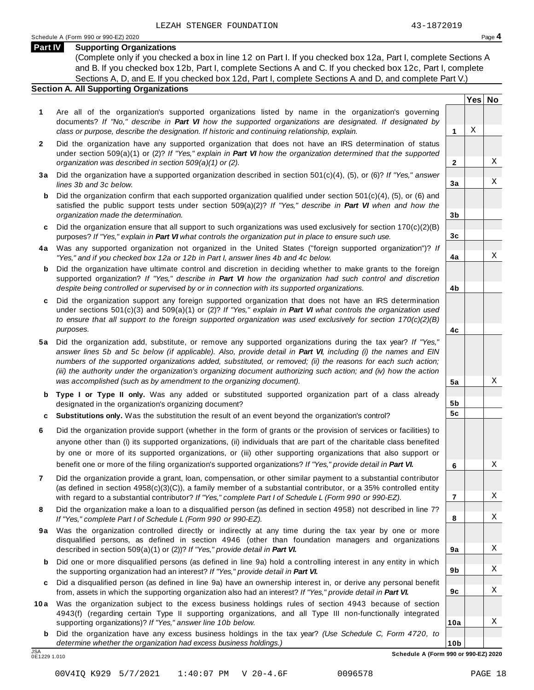**Yes No**

X

X

X

X

X

X

X

X

X

X

X

X

**2**

**3a**

**3b**

**3c**

**4a**

**4b**

**4c**

**5a**

**5b 5c**

**6**

**7**

**8**

**9a**

**9b**

**9c**

**10a**

#### **Part IV Supporting Organizations**

(Complete only if you checked a box in line 12 on Part I. If you checked box 12a, Part I, complete Sections A and B. If you checked box 12b, Part I, complete Sections A and C. If you checked box 12c, Part I, complete Sections A, D, and E. If you checked box 12d, Part I, complete Sections A and D, and complete Part V.)

### **Section A. All Supporting Organizations**

- **1** Are all of the organization's supported organizations listed by name in the organization's governing documents? *If "No," describe in Part VI how the supported organizations are designated. If designated by class or purpose, describe the designation. If historic and continuing relationship, explain.* **1**
- **2** Did the organization have any supported organization that does not have an IRS determination of status under section 509(a)(1) or (2)? *If"Yes," explain in Part VI how the organization determined that the supported organization was described in section 509(a)(1) or (2).*
- **3 a** Did the organization have a supported organization described in section 501(c)(4), (5), or (6)? *If "Yes," answer lines 3b and 3c below.*
- **b** Did the organization confirm that each supported organization qualified under section 501(c)(4), (5), or (6) and | satisfied the public support tests under section 509(a)(2)? *If "Yes," describe in Part VI when and how the organization made the determination.*
- **c** Did the organization ensure that all support to such organizations was used exclusively for section 170(c)(2)(B) purposes? *If"Yes," explain in Part VI what controls the organization put in place to ensure such use.*
- **4 a** Was any supported organization not organized in the United States ("foreign supported organization")? *If "Yes," and if you checked box 12a or 12b in Part I, answer lines 4b and 4c below.*
- **b** Did the organization have ultimate control and discretion in deciding whether to make grants to the foreign | supported organization? *If "Yes," describe in Part VI how the organization had such control and discretion despite being controlled or supervised by or in connection with its supported organizations.*
- **c** Did the organization support any foreign supported organization that does not have an IRS determination | under sections 501(c)(3) and 509(a)(1) or (2)? *If "Yes," explain in Part VI what controls the organization used to ensure that all support to the foreign supported organization was used exclusively for section 170(c)(2)(B) purposes.*
- **5 a** Did the organization add, substitute, or remove any supported organizations during the tax year? *If "Yes,"* answer lines 5b and 5c below (if applicable). Also, provide detail in Part VI, including (i) the names and EIN *numbers of the supported organizations added, substituted, or removed; (ii) the reasons for each such action;* (iii) the authority under the organization's organizing document authorizing such action; and (iv) how the action *was accomplished (such as by amendment to the organizing document).*
- **b Type I or Type II only.** Was any added or substituted supported organization part of a class already designated in the organization's organizing document?
- **c Substitutions only.** Was the substitution the result of an event beyond the organization's control?
- **6** Did the organization provide support (whether in the form of grants or the provision of services or facilities) to anyone other than (i) its supported organizations, (ii) individuals that are part of the charitable class benefited by one or more of its supported organizations, or (iii) other supporting organizations that also support or benefit one or more of the filing organization's supported organizations? *If"Yes," provide detail in Part VI.*
- **7** Did the organization provide a grant, loan, compensation, or other similar payment to a substantial contributor (as defined in section 4958(c)(3)(C)), a family member of a substantial contributor, or a 35% controlled entity with regard to a substantial contributor? *If"Yes," complete Part I of Schedule L (Form 990 or 990-EZ).*
- **8** Did the organization make a loan to a disqualified person (as defined in section 4958) not described in line 7? *If "Yes," complete Part I of Schedule L (Form 990 or 990-EZ).*
- **9a** Was the organization controlled directly or indirectly at any time during the tax year by one or more | disqualified persons, as defined in section 4946 (other than foundation managers and organizations described in section 509(a)(1) or (2))? *If"Yes," provide detail in Part VI.*
- **b** Did one or more disqualified persons (as defined in line 9a) hold a controlling interest in any entity in which | the supporting organization had an interest? *If"Yes," provide detail in Part VI.*
- **c** Did a disqualified person (as defined in line 9a) have an ownership interest in, or derive any personal benefit from, assets in which the supporting organization also had an interest? *If"Yes," provide detail in Part VI.*
- **10a** Was the organization subject to the excess business holdings rules of section 4943 because of section | 4943(f) (regarding certain Type II supporting organizations, and all Type III non-functionally integrated supporting organizations)? *If"Yes," answer line 10b below.*
	- **b** Did the organization have any excess business holdings in the tax year? *(Use Schedule C, Form 4720, to determine whether the organization had excess business holdings.)*

0E1229 1.010

**10b** JSA **Schedule A (Form 990 or 990-EZ) 2020**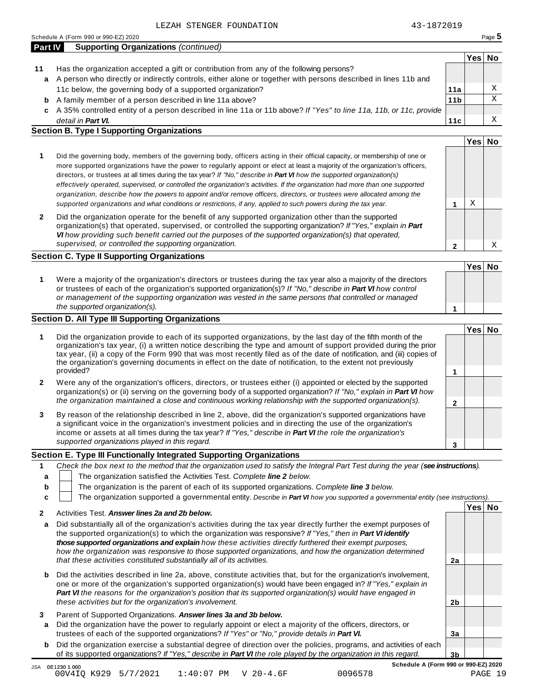0000 15A 0E12301.000<br>1.1-90V4IQ K929 5/7/2021 1:40:07 PM V 20-4.6F 0096578 PAGE 19

| <b>Part IV</b> Supporting Organizations (continued) |  |
|-----------------------------------------------------|--|
|                                                     |  |

- **Yes No 11** Has the organization accepted a gift or contribution from any of the following persons? A person who directly or indirectly controls, either alone or together with persons described in lines 11b and **a** 11c below, the governing body of a supported organization? A family member of a person described in line 11a above? **b 11a 11b**
	- A 35% controlled entity of a person described in line 11a or 11b above? *If "Yes" to line 11a, 11b, or 11c, provide* **c** *detail in Part VI.*

#### **Section B. Type I Supporting Organizations**

|                                                                                                                                                                                                                                                                                                                                                                                                                                                                                                                                                                                                                                                                                                                                                                                 |   | Tes⊧ | -NO |
|---------------------------------------------------------------------------------------------------------------------------------------------------------------------------------------------------------------------------------------------------------------------------------------------------------------------------------------------------------------------------------------------------------------------------------------------------------------------------------------------------------------------------------------------------------------------------------------------------------------------------------------------------------------------------------------------------------------------------------------------------------------------------------|---|------|-----|
| Did the governing body, members of the governing body, officers acting in their official capacity, or membership of one or<br>more supported organizations have the power to regularly appoint or elect at least a majority of the organization's officers,<br>directors, or trustees at all times during the tax year? If "No," describe in <b>Part VI</b> how the supported organization(s)<br>effectively operated, supervised, or controlled the organization's activities. If the organization had more than one supported<br>organization, describe how the powers to appoint and/or remove officers, directors, or trustees were allocated among the<br>supported organizations and what conditions or restrictions, if any, applied to such powers during the tax year. |   | Χ    |     |
| Did the organization operate for the benefit of any supported organization other than the supported<br>organization(s) that operated, supervised, or controlled the supporting organization? If "Yes," explain in Part<br>VI how providing such benefit carried out the purposes of the supported organization(s) that operated,<br>supervised, or controlled the supporting organization.                                                                                                                                                                                                                                                                                                                                                                                      | ◠ |      |     |

#### **Section C. Type II Supporting Organizations**

**1 Yes No 1** Were a majority of the organization's directors or trustees during the tax year also a majority of the directors or trustees of each of the organization's supported organization(s)? *If "No," describe in Part VI how control or management of the supporting organization was vested in the same persons that controlled or managed the supported organization(s).*

#### **Section D. All Type III Supporting Organizations**

|                | the supported organization(s).                                                                                                                                                                                                                                                                                                                                                                                                                                              |   |        |  |
|----------------|-----------------------------------------------------------------------------------------------------------------------------------------------------------------------------------------------------------------------------------------------------------------------------------------------------------------------------------------------------------------------------------------------------------------------------------------------------------------------------|---|--------|--|
|                | ection D. All Type III Supporting Organizations                                                                                                                                                                                                                                                                                                                                                                                                                             |   |        |  |
|                |                                                                                                                                                                                                                                                                                                                                                                                                                                                                             |   | Yes No |  |
| 1              | Did the organization provide to each of its supported organizations, by the last day of the fifth month of the<br>organization's tax year, (i) a written notice describing the type and amount of support provided during the prior<br>tax year, (ii) a copy of the Form 990 that was most recently filed as of the date of notification, and (iii) copies of<br>the organization's governing documents in effect on the date of notification, to the extent not previously |   |        |  |
|                | provided?                                                                                                                                                                                                                                                                                                                                                                                                                                                                   |   |        |  |
| $\overline{2}$ | Were any of the organization's officers, directors, or trustees either (i) appointed or elected by the supported<br>organization(s) or (ii) serving on the governing body of a supported organization? If "No," explain in <b>Part VI</b> how                                                                                                                                                                                                                               |   |        |  |
|                | the organization maintained a close and continuous working relationship with the supported organization(s).                                                                                                                                                                                                                                                                                                                                                                 | 2 |        |  |
| 3              | By reason of the relationship described in line 2, above, did the organization's supported organizations have<br>a significant voice in the organization's investment policies and in directing the use of the organization's<br>income or assets at all times during the tax year? If "Yes," describe in Part VI the role the organization's                                                                                                                               |   |        |  |
|                | supported organizations played in this regard.                                                                                                                                                                                                                                                                                                                                                                                                                              | 3 |        |  |

#### **Section E. Type III Functionally Integrated Supporting Organizations**

|   | Check the box next to the method that the organization used to satisfy the Integral Part Test during the year (see instructions). |
|---|-----------------------------------------------------------------------------------------------------------------------------------|
|   | The organization satisfied the Activities Test. Complete line 2 below.                                                            |
| b | The organization is the parent of each of its supported organizations. Complete line 3 below.                                     |
|   | The organization supported a governmental entity. Describe in Part VI how you supported a governmental entity (see instructions). |
|   | 'Yes∣ No<br>Activities Test. Answer lines 2a and 2b below.                                                                        |

| a      | Did substantially all of the organization's activities during the tax year directly further the exempt purposes of<br>the supported organization(s) to which the organization was responsive? If "Yes," then in <b>Part VI identify</b><br>those supported organizations and explain how these activities directly furthered their exempt purposes,<br>how the organization was responsive to those supported organizations, and how the organization determined<br>that these activities constituted substantially all of its activities. | 2a             |  |
|--------|--------------------------------------------------------------------------------------------------------------------------------------------------------------------------------------------------------------------------------------------------------------------------------------------------------------------------------------------------------------------------------------------------------------------------------------------------------------------------------------------------------------------------------------------|----------------|--|
| b      | Did the activities described in line 2a, above, constitute activities that, but for the organization's involvement,<br>one or more of the organization's supported organization(s) would have been engaged in? If "Yes," explain in<br>Part VI the reasons for the organization's position that its supported organization(s) would have engaged in<br>these activities but for the organization's involvement.                                                                                                                            | 2 <sub>b</sub> |  |
| 3<br>a | Parent of Supported Organizations. Answer lines 3a and 3b below.<br>Did the organization have the power to regularly appoint or elect a majority of the officers, directors, or<br>trustees of each of the supported organizations? If "Yes" or "No," provide details in Part VI.                                                                                                                                                                                                                                                          | Зa             |  |
| b      | Did the organization exercise a substantial degree of direction over the policies, programs, and activities of each<br>of its supported organizations? If "Yes," describe in Part VI the role played by the organization in this regard.                                                                                                                                                                                                                                                                                                   | 3b             |  |

**11c**

**Yes No**

X X

X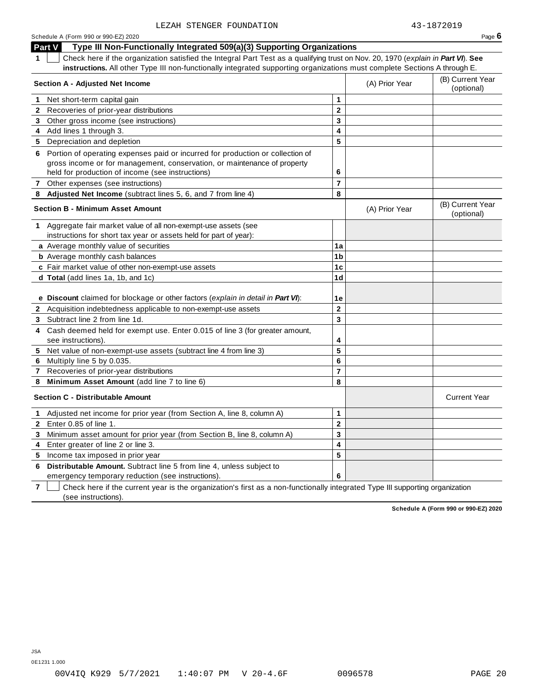| Schedule A (Form 990 or 990-EZ) 2020 | Page $6$ |
|--------------------------------------|----------|
|--------------------------------------|----------|

**Part V Type III Non-Functionally Integrated 509(a)(3) Supporting Organizations**

**1** Check here if the organization satisfied the Integral Part Test as a qualifying trust on Nov. 20, 1970 (*explain in Part VI*). **See instructions.** All other Type III non-functionally integrated supporting organizations must complete Sections A through E.

|              | 1   Check here ii the organization sausiled the integral Part Test as a qualifying trust on Nov. 20, 1970 ( <i>explain in <b>Part V</b>I</i> ). See<br>instructions. All other Type III non-functionally integrated supporting organizations must complete Sections A through E. |                         |                |                                |
|--------------|----------------------------------------------------------------------------------------------------------------------------------------------------------------------------------------------------------------------------------------------------------------------------------|-------------------------|----------------|--------------------------------|
|              | Section A - Adjusted Net Income                                                                                                                                                                                                                                                  |                         | (A) Prior Year | (B) Current Year<br>(optional) |
| $\mathbf 1$  | Net short-term capital gain                                                                                                                                                                                                                                                      | 1                       |                |                                |
|              | 2 Recoveries of prior-year distributions                                                                                                                                                                                                                                         | $\overline{2}$          |                |                                |
|              | 3 Other gross income (see instructions)                                                                                                                                                                                                                                          | 3                       |                |                                |
|              | 4 Add lines 1 through 3.                                                                                                                                                                                                                                                         | 4                       |                |                                |
|              | 5 Depreciation and depletion                                                                                                                                                                                                                                                     | 5                       |                |                                |
|              | 6 Portion of operating expenses paid or incurred for production or collection of                                                                                                                                                                                                 |                         |                |                                |
|              | gross income or for management, conservation, or maintenance of property                                                                                                                                                                                                         |                         |                |                                |
|              | held for production of income (see instructions)                                                                                                                                                                                                                                 | 6                       |                |                                |
|              | 7 Other expenses (see instructions)                                                                                                                                                                                                                                              | $\overline{7}$          |                |                                |
|              | 8 Adjusted Net Income (subtract lines 5, 6, and 7 from line 4)                                                                                                                                                                                                                   | 8                       |                |                                |
|              | <b>Section B - Minimum Asset Amount</b>                                                                                                                                                                                                                                          |                         | (A) Prior Year | (B) Current Year<br>(optional) |
|              | 1 Aggregate fair market value of all non-exempt-use assets (see                                                                                                                                                                                                                  |                         |                |                                |
|              | instructions for short tax year or assets held for part of year):                                                                                                                                                                                                                |                         |                |                                |
|              | a Average monthly value of securities                                                                                                                                                                                                                                            | 1a                      |                |                                |
|              | <b>b</b> Average monthly cash balances                                                                                                                                                                                                                                           | 1 <sub>b</sub>          |                |                                |
|              | c Fair market value of other non-exempt-use assets                                                                                                                                                                                                                               | 1 <sub>c</sub>          |                |                                |
|              | d Total (add lines 1a, 1b, and 1c)                                                                                                                                                                                                                                               | 1 <sub>d</sub>          |                |                                |
|              |                                                                                                                                                                                                                                                                                  |                         |                |                                |
|              | e Discount claimed for blockage or other factors (explain in detail in Part VI):                                                                                                                                                                                                 | 1e                      |                |                                |
|              | 2 Acquisition indebtedness applicable to non-exempt-use assets                                                                                                                                                                                                                   | $\mathbf 2$             |                |                                |
|              | 3 Subtract line 2 from line 1d.                                                                                                                                                                                                                                                  | $\overline{3}$          |                |                                |
|              | 4 Cash deemed held for exempt use. Enter 0.015 of line 3 (for greater amount,                                                                                                                                                                                                    |                         |                |                                |
|              | see instructions).                                                                                                                                                                                                                                                               | 4                       |                |                                |
|              | 5 Net value of non-exempt-use assets (subtract line 4 from line 3)                                                                                                                                                                                                               | 5                       |                |                                |
| 6            | Multiply line 5 by 0.035.                                                                                                                                                                                                                                                        | 6                       |                |                                |
| $\mathbf{7}$ | Recoveries of prior-year distributions                                                                                                                                                                                                                                           | $\overline{7}$          |                |                                |
|              | 8 Minimum Asset Amount (add line 7 to line 6)                                                                                                                                                                                                                                    | 8                       |                |                                |
|              | <b>Section C - Distributable Amount</b>                                                                                                                                                                                                                                          |                         |                | <b>Current Year</b>            |
| $\mathbf 1$  | Adjusted net income for prior year (from Section A, line 8, column A)                                                                                                                                                                                                            | $\mathbf{1}$            |                |                                |
| $\mathbf{2}$ | Enter 0.85 of line 1.                                                                                                                                                                                                                                                            | $\overline{\mathbf{2}}$ |                |                                |
| 3            | Minimum asset amount for prior year (from Section B, line 8, column A)                                                                                                                                                                                                           | 3                       |                |                                |
| 4            | Enter greater of line 2 or line 3.                                                                                                                                                                                                                                               | 4                       |                |                                |
|              | 5 Income tax imposed in prior year                                                                                                                                                                                                                                               | 5                       |                |                                |
| 6            | Distributable Amount. Subtract line 5 from line 4, unless subject to                                                                                                                                                                                                             |                         |                |                                |
|              | emergency temporary reduction (see instructions).                                                                                                                                                                                                                                | 6                       |                |                                |

**7** Check here if the current year is the organization's first as a non-functionally integrated Type III supporting organization (see instructions).

**Schedule A (Form 990 or 990-EZ) 2020**

JSA

0E1231 1.000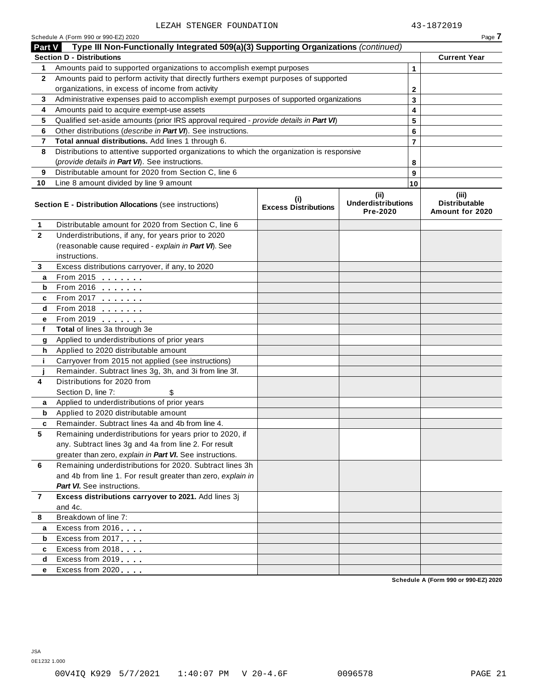| Part V<br>1<br>$\mathbf{2}$<br>3<br>4<br>5<br>6<br>7<br>8<br>9 | Type III Non-Functionally Integrated 509(a)(3) Supporting Organizations (continued)<br><b>Section D - Distributions</b><br>Amounts paid to supported organizations to accomplish exempt purposes<br>Amounts paid to perform activity that directly furthers exempt purposes of supported<br>organizations, in excess of income from activity<br>Administrative expenses paid to accomplish exempt purposes of supported organizations<br>Amounts paid to acquire exempt-use assets<br>Qualified set-aside amounts (prior IRS approval required - provide details in Part VI)<br>Other distributions (describe in Part VI). See instructions.<br>Total annual distributions. Add lines 1 through 6.<br>Distributions to attentive supported organizations to which the organization is responsive<br>(provide details in Part VI). See instructions. |                                    |                                               | 1<br>$\mathbf{2}$<br>3<br>4<br>5<br>6 | <b>Current Year</b>                              |
|----------------------------------------------------------------|-----------------------------------------------------------------------------------------------------------------------------------------------------------------------------------------------------------------------------------------------------------------------------------------------------------------------------------------------------------------------------------------------------------------------------------------------------------------------------------------------------------------------------------------------------------------------------------------------------------------------------------------------------------------------------------------------------------------------------------------------------------------------------------------------------------------------------------------------------|------------------------------------|-----------------------------------------------|---------------------------------------|--------------------------------------------------|
|                                                                |                                                                                                                                                                                                                                                                                                                                                                                                                                                                                                                                                                                                                                                                                                                                                                                                                                                     |                                    |                                               |                                       |                                                  |
|                                                                |                                                                                                                                                                                                                                                                                                                                                                                                                                                                                                                                                                                                                                                                                                                                                                                                                                                     |                                    |                                               |                                       |                                                  |
|                                                                |                                                                                                                                                                                                                                                                                                                                                                                                                                                                                                                                                                                                                                                                                                                                                                                                                                                     |                                    |                                               |                                       |                                                  |
|                                                                |                                                                                                                                                                                                                                                                                                                                                                                                                                                                                                                                                                                                                                                                                                                                                                                                                                                     |                                    |                                               |                                       |                                                  |
|                                                                |                                                                                                                                                                                                                                                                                                                                                                                                                                                                                                                                                                                                                                                                                                                                                                                                                                                     |                                    |                                               |                                       |                                                  |
|                                                                |                                                                                                                                                                                                                                                                                                                                                                                                                                                                                                                                                                                                                                                                                                                                                                                                                                                     |                                    |                                               |                                       |                                                  |
|                                                                |                                                                                                                                                                                                                                                                                                                                                                                                                                                                                                                                                                                                                                                                                                                                                                                                                                                     |                                    |                                               |                                       |                                                  |
|                                                                |                                                                                                                                                                                                                                                                                                                                                                                                                                                                                                                                                                                                                                                                                                                                                                                                                                                     |                                    |                                               |                                       |                                                  |
|                                                                |                                                                                                                                                                                                                                                                                                                                                                                                                                                                                                                                                                                                                                                                                                                                                                                                                                                     |                                    |                                               |                                       |                                                  |
|                                                                |                                                                                                                                                                                                                                                                                                                                                                                                                                                                                                                                                                                                                                                                                                                                                                                                                                                     |                                    |                                               | $\overline{7}$                        |                                                  |
|                                                                |                                                                                                                                                                                                                                                                                                                                                                                                                                                                                                                                                                                                                                                                                                                                                                                                                                                     |                                    |                                               |                                       |                                                  |
|                                                                |                                                                                                                                                                                                                                                                                                                                                                                                                                                                                                                                                                                                                                                                                                                                                                                                                                                     |                                    |                                               | 8                                     |                                                  |
|                                                                | Distributable amount for 2020 from Section C, line 6                                                                                                                                                                                                                                                                                                                                                                                                                                                                                                                                                                                                                                                                                                                                                                                                |                                    |                                               | 9                                     |                                                  |
| 10                                                             | Line 8 amount divided by line 9 amount                                                                                                                                                                                                                                                                                                                                                                                                                                                                                                                                                                                                                                                                                                                                                                                                              |                                    |                                               | 10                                    |                                                  |
|                                                                | Section E - Distribution Allocations (see instructions)                                                                                                                                                                                                                                                                                                                                                                                                                                                                                                                                                                                                                                                                                                                                                                                             | (i)<br><b>Excess Distributions</b> | (ii)<br><b>Underdistributions</b><br>Pre-2020 |                                       | (iii)<br><b>Distributable</b><br>Amount for 2020 |
| 1                                                              | Distributable amount for 2020 from Section C, line 6                                                                                                                                                                                                                                                                                                                                                                                                                                                                                                                                                                                                                                                                                                                                                                                                |                                    |                                               |                                       |                                                  |
| $\mathbf{2}$                                                   | Underdistributions, if any, for years prior to 2020                                                                                                                                                                                                                                                                                                                                                                                                                                                                                                                                                                                                                                                                                                                                                                                                 |                                    |                                               |                                       |                                                  |
|                                                                | (reasonable cause required - explain in Part VI). See                                                                                                                                                                                                                                                                                                                                                                                                                                                                                                                                                                                                                                                                                                                                                                                               |                                    |                                               |                                       |                                                  |
|                                                                | instructions.                                                                                                                                                                                                                                                                                                                                                                                                                                                                                                                                                                                                                                                                                                                                                                                                                                       |                                    |                                               |                                       |                                                  |
| 3                                                              | Excess distributions carryover, if any, to 2020                                                                                                                                                                                                                                                                                                                                                                                                                                                                                                                                                                                                                                                                                                                                                                                                     |                                    |                                               |                                       |                                                  |
| a                                                              | From 2015 $\frac{1}{2}$                                                                                                                                                                                                                                                                                                                                                                                                                                                                                                                                                                                                                                                                                                                                                                                                                             |                                    |                                               |                                       |                                                  |
| b                                                              |                                                                                                                                                                                                                                                                                                                                                                                                                                                                                                                                                                                                                                                                                                                                                                                                                                                     |                                    |                                               |                                       |                                                  |
| c                                                              | From 2017                                                                                                                                                                                                                                                                                                                                                                                                                                                                                                                                                                                                                                                                                                                                                                                                                                           |                                    |                                               |                                       |                                                  |
| d                                                              | From 2018                                                                                                                                                                                                                                                                                                                                                                                                                                                                                                                                                                                                                                                                                                                                                                                                                                           |                                    |                                               |                                       |                                                  |
| е                                                              | From 2019                                                                                                                                                                                                                                                                                                                                                                                                                                                                                                                                                                                                                                                                                                                                                                                                                                           |                                    |                                               |                                       |                                                  |
| f                                                              | Total of lines 3a through 3e                                                                                                                                                                                                                                                                                                                                                                                                                                                                                                                                                                                                                                                                                                                                                                                                                        |                                    |                                               |                                       |                                                  |
| g                                                              | Applied to underdistributions of prior years                                                                                                                                                                                                                                                                                                                                                                                                                                                                                                                                                                                                                                                                                                                                                                                                        |                                    |                                               |                                       |                                                  |
| h                                                              | Applied to 2020 distributable amount                                                                                                                                                                                                                                                                                                                                                                                                                                                                                                                                                                                                                                                                                                                                                                                                                |                                    |                                               |                                       |                                                  |
| j.                                                             | Carryover from 2015 not applied (see instructions)                                                                                                                                                                                                                                                                                                                                                                                                                                                                                                                                                                                                                                                                                                                                                                                                  |                                    |                                               |                                       |                                                  |
|                                                                | Remainder. Subtract lines 3g, 3h, and 3i from line 3f.                                                                                                                                                                                                                                                                                                                                                                                                                                                                                                                                                                                                                                                                                                                                                                                              |                                    |                                               |                                       |                                                  |
| 4                                                              | Distributions for 2020 from                                                                                                                                                                                                                                                                                                                                                                                                                                                                                                                                                                                                                                                                                                                                                                                                                         |                                    |                                               |                                       |                                                  |
|                                                                | Section D, line 7:                                                                                                                                                                                                                                                                                                                                                                                                                                                                                                                                                                                                                                                                                                                                                                                                                                  |                                    |                                               |                                       |                                                  |
| a                                                              | Applied to underdistributions of prior years                                                                                                                                                                                                                                                                                                                                                                                                                                                                                                                                                                                                                                                                                                                                                                                                        |                                    |                                               |                                       |                                                  |
| b                                                              | Applied to 2020 distributable amount                                                                                                                                                                                                                                                                                                                                                                                                                                                                                                                                                                                                                                                                                                                                                                                                                |                                    |                                               |                                       |                                                  |
|                                                                | Remainder. Subtract lines 4a and 4b from line 4.                                                                                                                                                                                                                                                                                                                                                                                                                                                                                                                                                                                                                                                                                                                                                                                                    |                                    |                                               |                                       |                                                  |
| 5                                                              | Remaining underdistributions for years prior to 2020, if                                                                                                                                                                                                                                                                                                                                                                                                                                                                                                                                                                                                                                                                                                                                                                                            |                                    |                                               |                                       |                                                  |
|                                                                | any. Subtract lines 3g and 4a from line 2. For result                                                                                                                                                                                                                                                                                                                                                                                                                                                                                                                                                                                                                                                                                                                                                                                               |                                    |                                               |                                       |                                                  |
|                                                                | greater than zero, explain in Part VI. See instructions.                                                                                                                                                                                                                                                                                                                                                                                                                                                                                                                                                                                                                                                                                                                                                                                            |                                    |                                               |                                       |                                                  |
| 6                                                              | Remaining underdistributions for 2020. Subtract lines 3h                                                                                                                                                                                                                                                                                                                                                                                                                                                                                                                                                                                                                                                                                                                                                                                            |                                    |                                               |                                       |                                                  |
|                                                                | and 4b from line 1. For result greater than zero, explain in                                                                                                                                                                                                                                                                                                                                                                                                                                                                                                                                                                                                                                                                                                                                                                                        |                                    |                                               |                                       |                                                  |
|                                                                | <b>Part VI.</b> See instructions.                                                                                                                                                                                                                                                                                                                                                                                                                                                                                                                                                                                                                                                                                                                                                                                                                   |                                    |                                               |                                       |                                                  |
| $\overline{7}$                                                 | Excess distributions carryover to 2021. Add lines 3j                                                                                                                                                                                                                                                                                                                                                                                                                                                                                                                                                                                                                                                                                                                                                                                                |                                    |                                               |                                       |                                                  |
|                                                                | and 4c.                                                                                                                                                                                                                                                                                                                                                                                                                                                                                                                                                                                                                                                                                                                                                                                                                                             |                                    |                                               |                                       |                                                  |
| 8                                                              | Breakdown of line 7:                                                                                                                                                                                                                                                                                                                                                                                                                                                                                                                                                                                                                                                                                                                                                                                                                                |                                    |                                               |                                       |                                                  |
| а                                                              | Excess from 2016                                                                                                                                                                                                                                                                                                                                                                                                                                                                                                                                                                                                                                                                                                                                                                                                                                    |                                    |                                               |                                       |                                                  |
| b                                                              | Excess from 2017                                                                                                                                                                                                                                                                                                                                                                                                                                                                                                                                                                                                                                                                                                                                                                                                                                    |                                    |                                               |                                       |                                                  |
| c                                                              | Excess from 2018                                                                                                                                                                                                                                                                                                                                                                                                                                                                                                                                                                                                                                                                                                                                                                                                                                    |                                    |                                               |                                       |                                                  |
| d                                                              | Excess from 2019                                                                                                                                                                                                                                                                                                                                                                                                                                                                                                                                                                                                                                                                                                                                                                                                                                    |                                    |                                               |                                       |                                                  |
| е                                                              | Excess from 2020                                                                                                                                                                                                                                                                                                                                                                                                                                                                                                                                                                                                                                                                                                                                                                                                                                    |                                    |                                               |                                       |                                                  |
|                                                                |                                                                                                                                                                                                                                                                                                                                                                                                                                                                                                                                                                                                                                                                                                                                                                                                                                                     |                                    |                                               |                                       | Schedule A (Form 990 or 990-EZ) 2020             |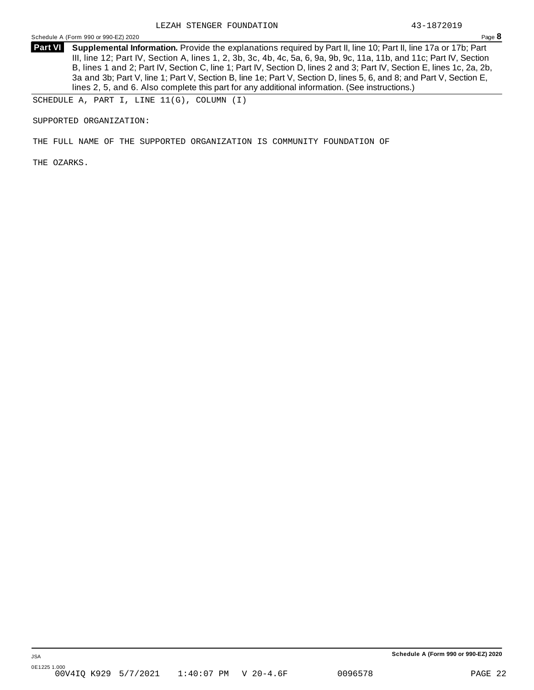**Supplemental Information.** Provide the explanations required by Part II, line 10; Part II, line 17a or 17b; Part **Part VI** III, line 12; Part IV, Section A, lines 1, 2, 3b, 3c, 4b, 4c, 5a, 6, 9a, 9b, 9c, 11a, 11b, and 11c; Part IV, Section B, lines 1 and 2; Part IV, Section C, line 1; Part IV, Section D, lines 2 and 3; Part IV, Section E, lines 1c, 2a, 2b, 3a and 3b; Part V, line 1; Part V, Section B, line 1e; Part V, Section D, lines 5, 6, and 8; and Part V, Section E, lines 2, 5, and 6. Also complete this part for any additional information. (See instructions.)

SCHEDULE A, PART I, LINE 11(G), COLUMN (I)

SUPPORTED ORGANIZATION:

THE FULL NAME OF THE SUPPORTED ORGANIZATION IS COMMUNITY FOUNDATION OF

THE OZARKS.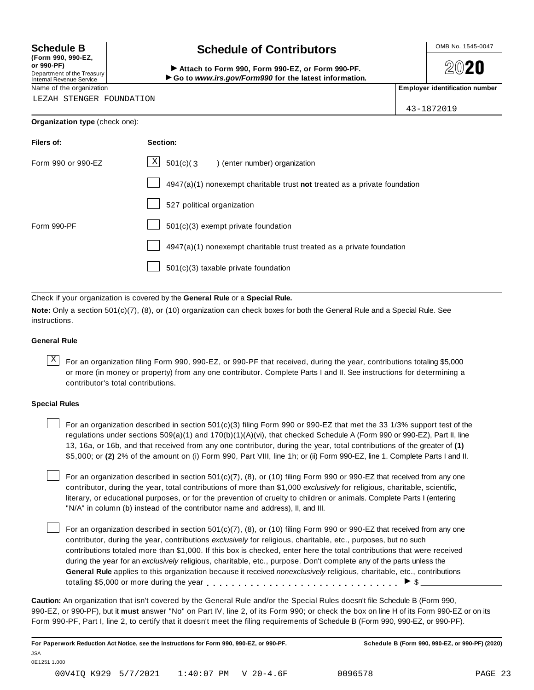**(Form 990, 990-EZ, or 990-PF)** Department of the Treasury

### Internal Revenue Service

### Schedule B **Schedule of Contributors**

Attach to Form 990, Form 990-EZ, or Form 990-PF. ▶ Go to www.irs.gov/Form990 for the latest information.

**2020** 

Name of the organization **Employer identification number Employer identification number** 

43-1872019

LEZAH STENGER FOUNDATION

| Organization type (check one): |  |
|--------------------------------|--|
|--------------------------------|--|

| Filers of:         | Section:                                                                    |
|--------------------|-----------------------------------------------------------------------------|
| Form 990 or 990-EZ | $\mathbf{x}$<br>$501(c)$ (3<br>) (enter number) organization                |
|                    | $4947(a)(1)$ nonexempt charitable trust not treated as a private foundation |
|                    | 527 political organization                                                  |
| Form 990-PF        | 501(c)(3) exempt private foundation                                         |
|                    | 4947(a)(1) nonexempt charitable trust treated as a private foundation       |
|                    | 501(c)(3) taxable private foundation                                        |

Check if your organization is covered by the **General Rule** or a **Special Rule.**

**Note:** Only a section 501(c)(7), (8), or (10) organization can check boxes for both the General Rule and a Special Rule. See instructions.

#### **General Rule**

 $\overline{X}$  For an organization filing Form 990, 990-EZ, or 990-PF that received, during the year, contributions totaling \$5,000 or more (in money or property) from any one contributor. Complete Parts I and II. See instructions for determining a contributor's total contributions.

#### **Special Rules**

For an organization described in section 501(c)(3) filing Form 990 or 990-EZ that met the 33 1/3% support test of the regulations under sections 509(a)(1) and 170(b)(1)(A)(vi), that checked Schedule A (Form 990 or 990-EZ), Part II, line 13, 16a, or 16b, and that received from any one contributor, during the year, total contributions of the greater of **(1)** \$5,000; or **(2)** 2% of the amount on (i) Form 990, Part VIII, line 1h; or (ii) Form 990-EZ, line 1. Complete Parts I and II.

For an organization described in section 501(c)(7), (8), or (10) filing Form 990 or 990-EZ that received from any one contributor, during the year, total contributions of more than \$1,000 *exclusively* for religious, charitable, scientific, literary, or educational purposes, or for the prevention of cruelty to children or animals. Complete Parts I (entering "N/A" in column (b) instead of the contributor name and address), II, and III.

For an organization described in section  $501(c)(7)$ ,  $(8)$ , or  $(10)$  filing Form 990 or 990-EZ that received from any one contributor, during the year, contributions *exclusively* for religious, charitable, etc., purposes, but no such contributions totaled more than \$1,000. If this box is checked, enter here the total contributions that were received during the year for an *exclusively* religious, charitable, etc., purpose. Don't complete any of the parts unless the **General Rule** applies to this organization because it received *nonexclusively* religious, charitable, etc., contributions totaling \$5,000 or more during the year  $\ldots \ldots \ldots \ldots \ldots \ldots \ldots \ldots \ldots \vdots$   $\blacktriangleright$  \$

**Caution:** An organization that isn't covered by the General Rule and/or the Special Rules doesn't file Schedule B (Form 990, 990-EZ, or 990-PF), but it **must** answer "No" on Part IV, line 2, of its Form 990; or check the box on line H of its Form 990-EZ or on its Form 990-PF, Part I, line 2, to certify that it doesn't meet the filing requirements of Schedule B (Form 990, 990-EZ, or 990-PF).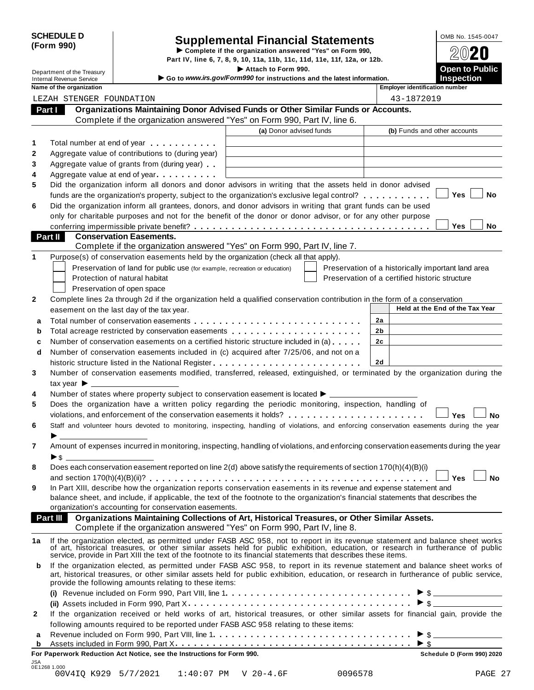| <b>SCHEDULE D</b> |  |
|-------------------|--|
| (Form 990)        |  |

# CHEDULE D<br> **Supplemental Financial Statements**<br> **Form 990) Depert IV** line 6, 7, 8, 9, 10, 11a, 11b, 11c, 11d, 11e, 11f, 12a, or, 12b<br> **Part IV** line 6, 7, 8, 9, 10, 11a, 11b, 11c, 11d, 11e, 11f, 12a, or, 12b

**Part IV, line 6, 7, 8, 9, 10, 11a, 11b, 11c, 11d, 11e, 11f, 12a, or 12b. Commerce COM**<br> **Part IV, line 6, 7, 8, 9, 10, 11a, 11b, 11c, 11d, 11e, 11f, 12a, or 12b. Commerce COM** Part IV, line 6, 7, 8, 9, 10, 11a, 11b, 11c, 11d, 11e, 11f, 12a, or 12b.<br> **Department of the Treasury Open to Public Continues to Public and the Intervalse and the Intervalse information** 

**Department of the Treasury**<br>Internal Revenue Service internal Revenue Service internal Revenue Service internal Revenue Service **inspection**<br>Nome of the aggregation and the latest information. **Inspection inspection** in

| FOUNDATION<br>STENGER<br>LEZAH | Name of the organization | Emp |
|--------------------------------|--------------------------|-----|
|                                |                          |     |

|  | bloyer identification numbe |  |
|--|-----------------------------|--|
|  |                             |  |
|  |                             |  |

| internar i tevenae och vide<br>Name of the organization                                                                                                                                                                                                                                                                                          | <b>Employer identification number</b>              |
|--------------------------------------------------------------------------------------------------------------------------------------------------------------------------------------------------------------------------------------------------------------------------------------------------------------------------------------------------|----------------------------------------------------|
| LEZAH STENGER FOUNDATION                                                                                                                                                                                                                                                                                                                         | 43-1872019                                         |
| Organizations Maintaining Donor Advised Funds or Other Similar Funds or Accounts.<br>Part I                                                                                                                                                                                                                                                      |                                                    |
| Complete if the organization answered "Yes" on Form 990, Part IV, line 6.                                                                                                                                                                                                                                                                        |                                                    |
| (a) Donor advised funds                                                                                                                                                                                                                                                                                                                          | (b) Funds and other accounts                       |
| Total number at end of year <b>that is a state of the state of the state of the state of the state of the state of the state of the state of the state of the state of the state of the state of the state of the state of the s</b><br>1                                                                                                        |                                                    |
| 2<br>Aggregate value of contributions to (during year)                                                                                                                                                                                                                                                                                           |                                                    |
| 3<br>Aggregate value of grants from (during year)                                                                                                                                                                                                                                                                                                |                                                    |
| 4<br>Aggregate value at end of year                                                                                                                                                                                                                                                                                                              |                                                    |
| Did the organization inform all donors and donor advisors in writing that the assets held in donor advised<br>5                                                                                                                                                                                                                                  |                                                    |
| funds are the organization's property, subject to the organization's exclusive legal control? $\ldots \ldots \ldots$                                                                                                                                                                                                                             | Yes<br>No                                          |
| 6<br>Did the organization inform all grantees, donors, and donor advisors in writing that grant funds can be used                                                                                                                                                                                                                                |                                                    |
| only for charitable purposes and not for the benefit of the donor or donor advisor, or for any other purpose                                                                                                                                                                                                                                     |                                                    |
|                                                                                                                                                                                                                                                                                                                                                  | Yes<br>No.                                         |
| <b>Part II</b><br><b>Conservation Easements.</b>                                                                                                                                                                                                                                                                                                 |                                                    |
| Complete if the organization answered "Yes" on Form 990, Part IV, line 7.                                                                                                                                                                                                                                                                        |                                                    |
| 1<br>Purpose(s) of conservation easements held by the organization (check all that apply).                                                                                                                                                                                                                                                       |                                                    |
| Preservation of land for public use (for example, recreation or education)                                                                                                                                                                                                                                                                       | Preservation of a historically important land area |
| Protection of natural habitat                                                                                                                                                                                                                                                                                                                    | Preservation of a certified historic structure     |
| Preservation of open space                                                                                                                                                                                                                                                                                                                       |                                                    |
| Complete lines 2a through 2d if the organization held a qualified conservation contribution in the form of a conservation                                                                                                                                                                                                                        |                                                    |
| easement on the last day of the tax year.                                                                                                                                                                                                                                                                                                        | Held at the End of the Tax Year                    |
| a                                                                                                                                                                                                                                                                                                                                                | 2a                                                 |
| b                                                                                                                                                                                                                                                                                                                                                | 2b                                                 |
| Number of conservation easements on a certified historic structure included in (a)<br>c                                                                                                                                                                                                                                                          | 2c                                                 |
| Number of conservation easements included in (c) acquired after 7/25/06, and not on a<br>d                                                                                                                                                                                                                                                       |                                                    |
|                                                                                                                                                                                                                                                                                                                                                  | 2d                                                 |
| Number of conservation easements modified, transferred, released, extinguished, or terminated by the organization during the                                                                                                                                                                                                                     |                                                    |
| tax year $\blacktriangleright$ $\_\$                                                                                                                                                                                                                                                                                                             |                                                    |
| Number of states where property subject to conservation easement is located $\blacktriangleright$ _________                                                                                                                                                                                                                                      |                                                    |
| 5<br>Does the organization have a written policy regarding the periodic monitoring, inspection, handling of                                                                                                                                                                                                                                      |                                                    |
| violations, and enforcement of the conservation easements it holds?                                                                                                                                                                                                                                                                              | Yes<br><b>No</b>                                   |
| 6<br>Staff and volunteer hours devoted to monitoring, inspecting, handling of violations, and enforcing conservation easements during the year                                                                                                                                                                                                   |                                                    |
|                                                                                                                                                                                                                                                                                                                                                  |                                                    |
| Amount of expenses incurred in monitoring, inspecting, handling of violations, and enforcing conservation easements during the year<br>7                                                                                                                                                                                                         |                                                    |
| ► \$                                                                                                                                                                                                                                                                                                                                             |                                                    |
| Does each conservation easement reported on line 2(d) above satisfy the requirements of section 170(h)(4)(B)(i)                                                                                                                                                                                                                                  |                                                    |
|                                                                                                                                                                                                                                                                                                                                                  | <b>Yes</b><br><b>No</b>                            |
| In Part XIII, describe how the organization reports conservation easements in its revenue and expense statement and                                                                                                                                                                                                                              |                                                    |
| balance sheet, and include, if applicable, the text of the footnote to the organization's financial statements that describes the<br>organization's accounting for conservation easements.                                                                                                                                                       |                                                    |
| Part III Organizations Maintaining Collections of Art, Historical Treasures, or Other Similar Assets.                                                                                                                                                                                                                                            |                                                    |
| Complete if the organization answered "Yes" on Form 990, Part IV, line 8.                                                                                                                                                                                                                                                                        |                                                    |
| 1a                                                                                                                                                                                                                                                                                                                                               |                                                    |
| If the organization elected, as permitted under FASB ASC 958, not to report in its revenue statement and balance sheet works of art, historical treasures, or other similar assets held for public exhibition, education, or r<br>service, provide in Part XIII the text of the footnote to its financial statements that describes these items. |                                                    |
| If the organization elected, as permitted under FASB ASC 958, to report in its revenue statement and balance sheet works of<br>b                                                                                                                                                                                                                 |                                                    |
| art, historical treasures, or other similar assets held for public exhibition, education, or research in furtherance of public service,                                                                                                                                                                                                          |                                                    |
| provide the following amounts relating to these items:                                                                                                                                                                                                                                                                                           |                                                    |
|                                                                                                                                                                                                                                                                                                                                                  |                                                    |
|                                                                                                                                                                                                                                                                                                                                                  | $\triangleright$ \$                                |
|                                                                                                                                                                                                                                                                                                                                                  |                                                    |
| If the organization received or held works of art, historical treasures, or other similar assets for financial gain, provide the                                                                                                                                                                                                                 |                                                    |
| following amounts required to be reported under FASB ASC 958 relating to these items:                                                                                                                                                                                                                                                            |                                                    |
| $\mathbf{2}$<br>а<br>b                                                                                                                                                                                                                                                                                                                           | $\blacktriangleright$ \$                           |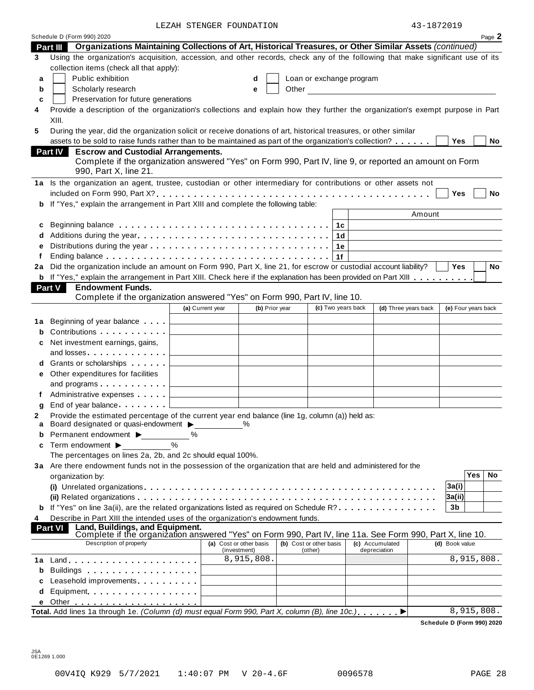LEZAH STENGER FOUNDATION

| 43-1872019 |  |
|------------|--|
|------------|--|

|                |                                                                                                                                                                                                                                            | TETAH PIEMGEK LOOMDAIIOM |                                         |                                    |                    |                                                                                                                      | $43 - 1872019$      |
|----------------|--------------------------------------------------------------------------------------------------------------------------------------------------------------------------------------------------------------------------------------------|--------------------------|-----------------------------------------|------------------------------------|--------------------|----------------------------------------------------------------------------------------------------------------------|---------------------|
|                | Schedule D (Form 990) 2020                                                                                                                                                                                                                 |                          |                                         |                                    |                    |                                                                                                                      | Page 2              |
| Part III       | Organizations Maintaining Collections of Art, Historical Treasures, or Other Similar Assets (continued)<br>Using the organization's acquisition, accession, and other records, check any of the following that make significant use of its |                          |                                         |                                    |                    |                                                                                                                      |                     |
| 3              | collection items (check all that apply):                                                                                                                                                                                                   |                          |                                         |                                    |                    |                                                                                                                      |                     |
|                | Public exhibition                                                                                                                                                                                                                          |                          | d                                       | Loan or exchange program           |                    |                                                                                                                      |                     |
| a              | Scholarly research                                                                                                                                                                                                                         |                          |                                         | Other                              |                    |                                                                                                                      |                     |
| b              |                                                                                                                                                                                                                                            |                          | e                                       |                                    |                    | <u> 1980 - Jan Stein Stein Stein Stein Stein Stein Stein Stein Stein Stein Stein Stein Stein Stein Stein Stein S</u> |                     |
| c              | Preservation for future generations                                                                                                                                                                                                        |                          |                                         |                                    |                    |                                                                                                                      |                     |
| 4              | Provide a description of the organization's collections and explain how they further the organization's exempt purpose in Part<br>XIII.                                                                                                    |                          |                                         |                                    |                    |                                                                                                                      |                     |
| 5              | During the year, did the organization solicit or receive donations of art, historical treasures, or other similar                                                                                                                          |                          |                                         |                                    |                    |                                                                                                                      |                     |
|                | assets to be sold to raise funds rather than to be maintained as part of the organization's collection?                                                                                                                                    |                          |                                         |                                    |                    |                                                                                                                      | Yes<br>No           |
|                | <b>Part IV</b><br><b>Escrow and Custodial Arrangements.</b>                                                                                                                                                                                |                          |                                         |                                    |                    |                                                                                                                      |                     |
|                | Complete if the organization answered "Yes" on Form 990, Part IV, line 9, or reported an amount on Form                                                                                                                                    |                          |                                         |                                    |                    |                                                                                                                      |                     |
|                | 990, Part X, line 21.                                                                                                                                                                                                                      |                          |                                         |                                    |                    |                                                                                                                      |                     |
|                | 1a Is the organization an agent, trustee, custodian or other intermediary for contributions or other assets not                                                                                                                            |                          |                                         |                                    |                    |                                                                                                                      |                     |
|                |                                                                                                                                                                                                                                            |                          |                                         |                                    |                    |                                                                                                                      | <b>No</b><br>Yes    |
|                | b If "Yes," explain the arrangement in Part XIII and complete the following table:                                                                                                                                                         |                          |                                         |                                    |                    |                                                                                                                      |                     |
|                |                                                                                                                                                                                                                                            |                          |                                         |                                    |                    | Amount                                                                                                               |                     |
| c              |                                                                                                                                                                                                                                            |                          |                                         |                                    |                    |                                                                                                                      |                     |
| d              |                                                                                                                                                                                                                                            |                          |                                         |                                    | ∣ 1d               |                                                                                                                      |                     |
|                |                                                                                                                                                                                                                                            |                          |                                         |                                    | 1е                 |                                                                                                                      |                     |
|                |                                                                                                                                                                                                                                            |                          |                                         |                                    | 1f                 |                                                                                                                      |                     |
| 2a             | Did the organization include an amount on Form 990, Part X, line 21, for escrow or custodial account liability?                                                                                                                            |                          |                                         |                                    |                    |                                                                                                                      | Yes<br><b>No</b>    |
|                | <b>b</b> If "Yes," explain the arrangement in Part XIII. Check here if the explanation has been provided on Part XIII                                                                                                                      |                          |                                         |                                    |                    |                                                                                                                      |                     |
| <b>Part V</b>  | <b>Endowment Funds.</b>                                                                                                                                                                                                                    |                          |                                         |                                    |                    |                                                                                                                      |                     |
|                | Complete if the organization answered "Yes" on Form 990, Part IV, line 10.                                                                                                                                                                 |                          |                                         |                                    |                    |                                                                                                                      |                     |
|                |                                                                                                                                                                                                                                            | (a) Current year         | (b) Prior year                          |                                    | (c) Two years back | (d) Three years back                                                                                                 | (e) Four years back |
|                |                                                                                                                                                                                                                                            |                          |                                         |                                    |                    |                                                                                                                      |                     |
| 1а             | Beginning of year balance<br>Contributions                                                                                                                                                                                                 |                          |                                         |                                    |                    |                                                                                                                      |                     |
| b              |                                                                                                                                                                                                                                            |                          |                                         |                                    |                    |                                                                                                                      |                     |
| с              | Net investment earnings, gains,<br>and losses.                                                                                                                                                                                             |                          |                                         |                                    |                    |                                                                                                                      |                     |
|                | d Grants or scholarships                                                                                                                                                                                                                   |                          |                                         |                                    |                    |                                                                                                                      |                     |
|                |                                                                                                                                                                                                                                            |                          |                                         |                                    |                    |                                                                                                                      |                     |
|                | e Other expenditures for facilities                                                                                                                                                                                                        |                          |                                         |                                    |                    |                                                                                                                      |                     |
|                | and programs<br>Administrative expenses <b>Administrative</b>                                                                                                                                                                              |                          |                                         |                                    |                    |                                                                                                                      |                     |
|                | End of year balance Learners L                                                                                                                                                                                                             |                          |                                         |                                    |                    |                                                                                                                      |                     |
| g              | Provide the estimated percentage of the current year end balance (line 1g, column (a)) held as:                                                                                                                                            |                          |                                         |                                    |                    |                                                                                                                      |                     |
|                | a Board designated or quasi-endowment $\blacktriangleright$                                                                                                                                                                                |                          | $\%$                                    |                                    |                    |                                                                                                                      |                     |
|                | Permanent endowment >                                                                                                                                                                                                                      | ℅                        |                                         |                                    |                    |                                                                                                                      |                     |
| c              | Term endowment ▶                                                                                                                                                                                                                           |                          |                                         |                                    |                    |                                                                                                                      |                     |
|                | The percentages on lines 2a, 2b, and 2c should equal 100%.                                                                                                                                                                                 |                          |                                         |                                    |                    |                                                                                                                      |                     |
|                | 3a Are there endowment funds not in the possession of the organization that are held and administered for the                                                                                                                              |                          |                                         |                                    |                    |                                                                                                                      |                     |
|                | organization by:                                                                                                                                                                                                                           |                          |                                         |                                    |                    |                                                                                                                      | Yes<br>No.          |
|                |                                                                                                                                                                                                                                            |                          |                                         |                                    |                    |                                                                                                                      | 3a(i)               |
|                |                                                                                                                                                                                                                                            |                          |                                         |                                    |                    |                                                                                                                      | 3a(ii)              |
|                | <b>b</b> If "Yes" on line 3a(ii), are the related organizations listed as required on Schedule R?                                                                                                                                          |                          |                                         |                                    |                    |                                                                                                                      | 3b                  |
| 4              | Describe in Part XIII the intended uses of the organization's endowment funds.                                                                                                                                                             |                          |                                         |                                    |                    |                                                                                                                      |                     |
| <b>Part VI</b> | Land, Buildings, and Equipment.                                                                                                                                                                                                            |                          |                                         |                                    |                    |                                                                                                                      |                     |
|                | Complete if the organization answered "Yes" on Form 990, Part IV, line 11a. See Form 990, Part X, line 10.<br>Description of property                                                                                                      |                          |                                         |                                    |                    |                                                                                                                      |                     |
|                |                                                                                                                                                                                                                                            |                          | (a) Cost or other basis<br>(investment) | (b) Cost or other basis<br>(other) |                    | (c) Accumulated<br>depreciation                                                                                      | (d) Book value      |
|                |                                                                                                                                                                                                                                            |                          | 8,915,808.                              |                                    |                    |                                                                                                                      | 8,915,808.          |
| b              | Buildings                                                                                                                                                                                                                                  |                          |                                         |                                    |                    |                                                                                                                      |                     |
|                | Leasehold improvements entitled and the set of the set of the set of the set of the set of the set o                                                                                                                                       |                          |                                         |                                    |                    |                                                                                                                      |                     |
| d              | Equipment                                                                                                                                                                                                                                  |                          |                                         |                                    |                    |                                                                                                                      |                     |
|                |                                                                                                                                                                                                                                            |                          |                                         |                                    |                    |                                                                                                                      |                     |
|                |                                                                                                                                                                                                                                            |                          |                                         |                                    |                    |                                                                                                                      |                     |
|                | Total. Add lines 1a through 1e. (Column (d) must equal Form 990, Part X, column (B), line 10c.)                                                                                                                                            |                          |                                         |                                    |                    |                                                                                                                      | 8,915,808.          |

JSA 0E1269 1.000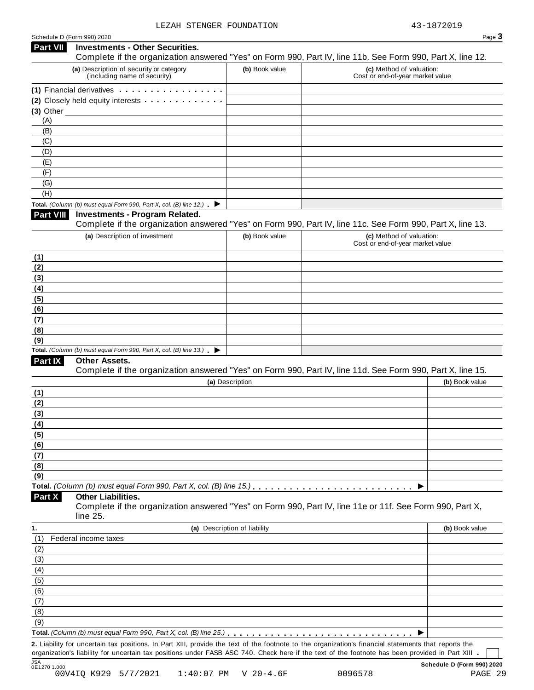|                                                                | <b>Investments - Other Securities.</b>                                                                                                                                                                                                                                                    |                              |                                                                                                                                                      |
|----------------------------------------------------------------|-------------------------------------------------------------------------------------------------------------------------------------------------------------------------------------------------------------------------------------------------------------------------------------------|------------------------------|------------------------------------------------------------------------------------------------------------------------------------------------------|
|                                                                | (a) Description of security or category                                                                                                                                                                                                                                                   | (b) Book value               | Complete if the organization answered "Yes" on Form 990, Part IV, line 11b. See Form 990, Part X, line 12.<br>(c) Method of valuation:               |
|                                                                | (including name of security)                                                                                                                                                                                                                                                              |                              | Cost or end-of-year market value                                                                                                                     |
|                                                                | (1) Financial derivatives                                                                                                                                                                                                                                                                 |                              |                                                                                                                                                      |
|                                                                | (2) Closely held equity interests <b>contained</b> and <b>contained</b> and <b>contained</b> and <b>contained</b> and <b>contained</b> and <b>contained</b> and <b>contained</b> and <b>contained</b> and <b>contained</b> and <b>contained</b> and <b>contained</b> and <b>contained</b> |                              |                                                                                                                                                      |
|                                                                |                                                                                                                                                                                                                                                                                           |                              |                                                                                                                                                      |
| (A)                                                            |                                                                                                                                                                                                                                                                                           |                              |                                                                                                                                                      |
| (B)<br>(C)                                                     |                                                                                                                                                                                                                                                                                           |                              |                                                                                                                                                      |
| (D)                                                            |                                                                                                                                                                                                                                                                                           |                              |                                                                                                                                                      |
| (E)                                                            |                                                                                                                                                                                                                                                                                           |                              |                                                                                                                                                      |
| (F)                                                            |                                                                                                                                                                                                                                                                                           |                              |                                                                                                                                                      |
| (G)                                                            |                                                                                                                                                                                                                                                                                           |                              |                                                                                                                                                      |
| (H)                                                            |                                                                                                                                                                                                                                                                                           |                              |                                                                                                                                                      |
|                                                                | Total. (Column (b) must equal Form 990, Part X, col. (B) line 12.) $\blacktriangleright$                                                                                                                                                                                                  |                              |                                                                                                                                                      |
| Part VIII                                                      | <b>Investments - Program Related.</b>                                                                                                                                                                                                                                                     |                              | Complete if the organization answered "Yes" on Form 990, Part IV, line 11c. See Form 990, Part X, line 13.                                           |
|                                                                | (a) Description of investment                                                                                                                                                                                                                                                             | (b) Book value               | (c) Method of valuation:                                                                                                                             |
|                                                                |                                                                                                                                                                                                                                                                                           |                              | Cost or end-of-year market value                                                                                                                     |
| (1)                                                            |                                                                                                                                                                                                                                                                                           |                              |                                                                                                                                                      |
| (2)                                                            |                                                                                                                                                                                                                                                                                           |                              |                                                                                                                                                      |
| (3)                                                            |                                                                                                                                                                                                                                                                                           |                              |                                                                                                                                                      |
| (4)                                                            |                                                                                                                                                                                                                                                                                           |                              |                                                                                                                                                      |
| (5)                                                            |                                                                                                                                                                                                                                                                                           |                              |                                                                                                                                                      |
| (6)                                                            |                                                                                                                                                                                                                                                                                           |                              |                                                                                                                                                      |
| (7)                                                            |                                                                                                                                                                                                                                                                                           |                              |                                                                                                                                                      |
| (8)                                                            |                                                                                                                                                                                                                                                                                           |                              |                                                                                                                                                      |
| (9)                                                            |                                                                                                                                                                                                                                                                                           |                              |                                                                                                                                                      |
|                                                                |                                                                                                                                                                                                                                                                                           |                              |                                                                                                                                                      |
|                                                                | Total. (Column (b) must equal Form 990, Part X, col. (B) line $13.$ )                                                                                                                                                                                                                     |                              |                                                                                                                                                      |
| Part IX                                                        | <b>Other Assets.</b>                                                                                                                                                                                                                                                                      |                              |                                                                                                                                                      |
|                                                                |                                                                                                                                                                                                                                                                                           |                              | Complete if the organization answered "Yes" on Form 990, Part IV, line 11d. See Form 990, Part X, line 15.                                           |
|                                                                |                                                                                                                                                                                                                                                                                           | (a) Description              | (b) Book value                                                                                                                                       |
| (1)                                                            |                                                                                                                                                                                                                                                                                           |                              |                                                                                                                                                      |
|                                                                |                                                                                                                                                                                                                                                                                           |                              |                                                                                                                                                      |
|                                                                |                                                                                                                                                                                                                                                                                           |                              |                                                                                                                                                      |
|                                                                |                                                                                                                                                                                                                                                                                           |                              |                                                                                                                                                      |
|                                                                |                                                                                                                                                                                                                                                                                           |                              |                                                                                                                                                      |
|                                                                |                                                                                                                                                                                                                                                                                           |                              |                                                                                                                                                      |
|                                                                |                                                                                                                                                                                                                                                                                           |                              |                                                                                                                                                      |
|                                                                |                                                                                                                                                                                                                                                                                           |                              |                                                                                                                                                      |
|                                                                |                                                                                                                                                                                                                                                                                           |                              |                                                                                                                                                      |
|                                                                |                                                                                                                                                                                                                                                                                           |                              |                                                                                                                                                      |
| (2)<br>(3)<br>(4)<br>(5)<br>(6)<br>(7)<br>(8)<br>(9)<br>Part X | <b>Other Liabilities.</b>                                                                                                                                                                                                                                                                 |                              |                                                                                                                                                      |
|                                                                |                                                                                                                                                                                                                                                                                           |                              | Complete if the organization answered "Yes" on Form 990, Part IV, line 11e or 11f. See Form 990, Part X,                                             |
|                                                                | line 25.                                                                                                                                                                                                                                                                                  |                              |                                                                                                                                                      |
| 1.                                                             |                                                                                                                                                                                                                                                                                           | (a) Description of liability | (b) Book value                                                                                                                                       |
|                                                                | Federal income taxes                                                                                                                                                                                                                                                                      |                              |                                                                                                                                                      |
|                                                                |                                                                                                                                                                                                                                                                                           |                              |                                                                                                                                                      |
|                                                                |                                                                                                                                                                                                                                                                                           |                              |                                                                                                                                                      |
|                                                                |                                                                                                                                                                                                                                                                                           |                              |                                                                                                                                                      |
|                                                                |                                                                                                                                                                                                                                                                                           |                              |                                                                                                                                                      |
|                                                                |                                                                                                                                                                                                                                                                                           |                              |                                                                                                                                                      |
|                                                                |                                                                                                                                                                                                                                                                                           |                              |                                                                                                                                                      |
| (1)<br>(2)<br>(3)<br>(4)<br>(5)<br>(6)<br>(7)<br>(8)           |                                                                                                                                                                                                                                                                                           |                              |                                                                                                                                                      |
| (9)                                                            |                                                                                                                                                                                                                                                                                           |                              |                                                                                                                                                      |
|                                                                |                                                                                                                                                                                                                                                                                           |                              | 2. Liability for uncertain tax positions. In Part XIII, provide the text of the footnote to the organization's financial statements that reports the |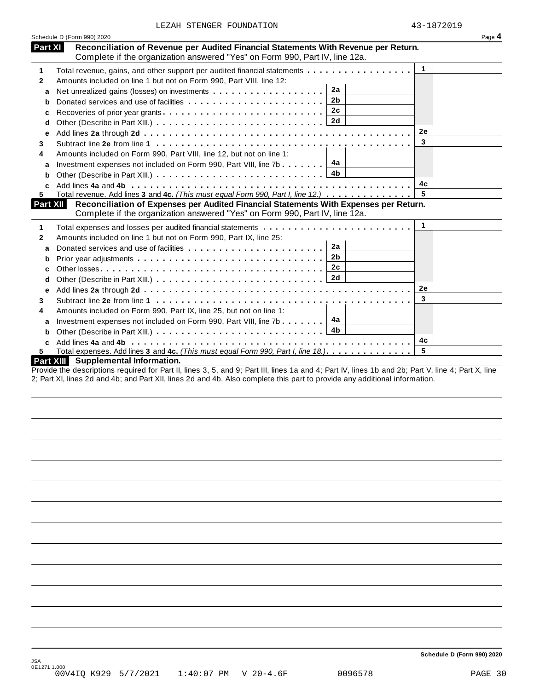|  | LEZAH STENGER FOUNDATION |
|--|--------------------------|
|  |                          |

|          | LEZAH STENGER FOUNDATION                                                              | 43-1872019   |        |
|----------|---------------------------------------------------------------------------------------|--------------|--------|
|          | Schedule D (Form 990) 2020                                                            |              | Page 4 |
| Part XI  | Reconciliation of Revenue per Audited Financial Statements With Revenue per Return.   |              |        |
|          | Complete if the organization answered "Yes" on Form 990, Part IV, line 12a.           |              |        |
| 1        | Total revenue, gains, and other support per audited financial statements              | 1            |        |
| 2        | Amounts included on line 1 but not on Form 990, Part VIII, line 12:                   |              |        |
| a        | 2a<br>Net unrealized gains (losses) on investments                                    |              |        |
| b        | 2 <sub>b</sub>                                                                        |              |        |
| с        | 2c                                                                                    |              |        |
| d        |                                                                                       |              |        |
| e        |                                                                                       | 2e           |        |
| 3        |                                                                                       | 3            |        |
| 4        | Amounts included on Form 990, Part VIII, line 12, but not on line 1:                  |              |        |
| a        | Investment expenses not included on Form 990, Part VIII, line 7b $\boxed{4a}$         |              |        |
| b        | 4b                                                                                    |              |        |
|          |                                                                                       | 4с           |        |
| 5        | Total revenue. Add lines 3 and 4c. (This must equal Form 990, Part I, line 12.)       | 5            |        |
| Part XII | Reconciliation of Expenses per Audited Financial Statements With Expenses per Return. |              |        |
|          | Complete if the organization answered "Yes" on Form 990, Part IV, line 12a.           |              |        |
| 1        |                                                                                       | $\mathbf{1}$ |        |
| 2        | Amounts included on line 1 but not on Form 990, Part IX, line 25:                     |              |        |
| a        | 2a                                                                                    |              |        |
| b        | 2 <sub>b</sub>                                                                        |              |        |
| c        | 2c                                                                                    |              |        |
| d        |                                                                                       |              |        |
| е        |                                                                                       | 2e           |        |
| 3        |                                                                                       | 3            |        |
| 4        | Amounts included on Form 990, Part IX, line 25, but not on line 1:                    |              |        |
| a        | 4a<br>Investment expenses not included on Form 990, Part VIII, line 7b                |              |        |
| b        | 4 <sub>b</sub>                                                                        |              |        |
|          |                                                                                       | 4c           |        |
| 5.       | Total expenses. Add lines 3 and 4c. (This must equal Form 990, Part I, line 18.)      | 5            |        |
|          | Part XIII Supplemental Information.                                                   |              |        |

Provide the descriptions required for Part II, lines 3, 5, and 9; Part III, lines 1a and 4; Part IV, lines 1b and 2b; Part V, line 4; Part X, line 2; Part XI, lines 2d and 4b; and Part XII, lines 2d and 4b. Also complete this part to provide any additional information.

**Schedule D (Form 990) 2020**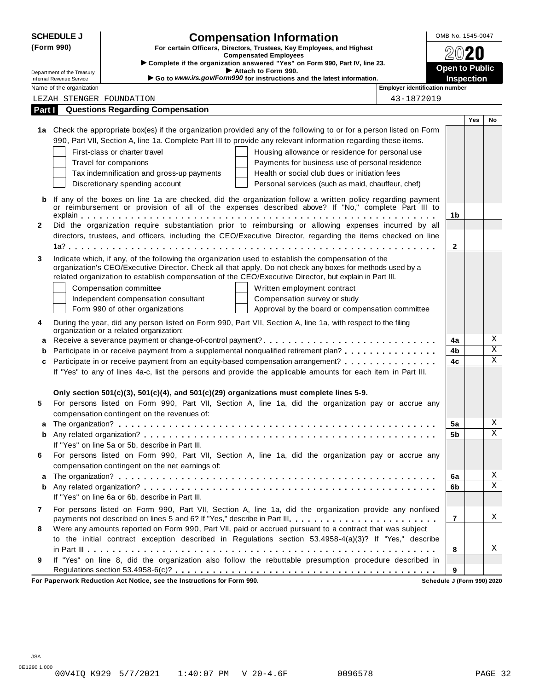|              | <b>SCHEDULE J</b>                                             | <b>Compensation Information</b>                                                                                                                                                                                     | OMB No. 1545-0047                   |     |                         |
|--------------|---------------------------------------------------------------|---------------------------------------------------------------------------------------------------------------------------------------------------------------------------------------------------------------------|-------------------------------------|-----|-------------------------|
|              | (Form 990)                                                    | For certain Officers, Directors, Trustees, Key Employees, and Highest<br><b>Compensated Employees</b>                                                                                                               |                                     |     |                         |
|              |                                                               | Complete if the organization answered "Yes" on Form 990, Part IV, line 23.                                                                                                                                          |                                     |     |                         |
|              | Department of the Treasury<br><b>Internal Revenue Service</b> | Attach to Form 990.<br>Go to www.irs.gov/Form990 for instructions and the latest information.                                                                                                                       | <b>Open to Public</b><br>Inspection |     |                         |
|              | Name of the organization                                      | <b>Employer identification number</b>                                                                                                                                                                               |                                     |     |                         |
|              |                                                               | 43-1872019<br>LEZAH STENGER FOUNDATION                                                                                                                                                                              |                                     |     |                         |
| Part I       |                                                               | <b>Questions Regarding Compensation</b>                                                                                                                                                                             |                                     |     |                         |
|              |                                                               |                                                                                                                                                                                                                     |                                     | Yes | No                      |
|              |                                                               | 1a Check the appropriate box(es) if the organization provided any of the following to or for a person listed on Form                                                                                                |                                     |     |                         |
|              |                                                               | 990, Part VII, Section A, line 1a. Complete Part III to provide any relevant information regarding these items.                                                                                                     |                                     |     |                         |
|              |                                                               | First-class or charter travel<br>Housing allowance or residence for personal use                                                                                                                                    |                                     |     |                         |
|              |                                                               | Travel for companions<br>Payments for business use of personal residence                                                                                                                                            |                                     |     |                         |
|              |                                                               | Health or social club dues or initiation fees<br>Tax indemnification and gross-up payments                                                                                                                          |                                     |     |                         |
|              |                                                               | Discretionary spending account<br>Personal services (such as maid, chauffeur, chef)                                                                                                                                 |                                     |     |                         |
| b            |                                                               | If any of the boxes on line 1a are checked, did the organization follow a written policy regarding payment<br>or reimbursement or provision of all of the expenses described above? If "No," complete Part III to   |                                     |     |                         |
|              |                                                               |                                                                                                                                                                                                                     | 1b                                  |     |                         |
| $\mathbf{2}$ |                                                               | Did the organization require substantiation prior to reimbursing or allowing expenses incurred by all                                                                                                               |                                     |     |                         |
|              |                                                               | directors, trustees, and officers, including the CEO/Executive Director, regarding the items checked on line                                                                                                        |                                     |     |                         |
|              |                                                               |                                                                                                                                                                                                                     | $\mathbf{2}$                        |     |                         |
| 3            |                                                               | Indicate which, if any, of the following the organization used to establish the compensation of the                                                                                                                 |                                     |     |                         |
|              |                                                               | organization's CEO/Executive Director. Check all that apply. Do not check any boxes for methods used by a<br>related organization to establish compensation of the CEO/Executive Director, but explain in Part III. |                                     |     |                         |
|              |                                                               |                                                                                                                                                                                                                     |                                     |     |                         |
|              |                                                               | Written employment contract<br>Compensation committee                                                                                                                                                               |                                     |     |                         |
|              |                                                               | Independent compensation consultant<br>Compensation survey or study<br>Form 990 of other organizations<br>Approval by the board or compensation committee                                                           |                                     |     |                         |
|              |                                                               |                                                                                                                                                                                                                     |                                     |     |                         |
| 4            |                                                               | During the year, did any person listed on Form 990, Part VII, Section A, line 1a, with respect to the filing<br>organization or a related organization:                                                             |                                     |     |                         |
| a            |                                                               |                                                                                                                                                                                                                     | 4a                                  |     | Χ                       |
| b            |                                                               | Participate in or receive payment from a supplemental nonqualified retirement plan?                                                                                                                                 | 4b                                  |     | $\overline{\mathbf{x}}$ |
| c            |                                                               | Participate in or receive payment from an equity-based compensation arrangement?                                                                                                                                    | 4c                                  |     | $\mathbf X$             |
|              |                                                               | If "Yes" to any of lines 4a-c, list the persons and provide the applicable amounts for each item in Part III.                                                                                                       |                                     |     |                         |
|              |                                                               | Only section 501(c)(3), 501(c)(4), and 501(c)(29) organizations must complete lines 5-9.                                                                                                                            |                                     |     |                         |
| 5            |                                                               | For persons listed on Form 990, Part VII, Section A, line 1a, did the organization pay or accrue any                                                                                                                |                                     |     |                         |
|              |                                                               | compensation contingent on the revenues of:                                                                                                                                                                         |                                     |     |                         |
|              |                                                               |                                                                                                                                                                                                                     | 5a                                  |     | Χ                       |
| b            |                                                               |                                                                                                                                                                                                                     | 5b                                  |     | X                       |
|              |                                                               | If "Yes" on line 5a or 5b, describe in Part III.                                                                                                                                                                    |                                     |     |                         |
| 6            |                                                               | For persons listed on Form 990, Part VII, Section A, line 1a, did the organization pay or accrue any<br>compensation contingent on the net earnings of:                                                             |                                     |     |                         |
| а            |                                                               |                                                                                                                                                                                                                     | 6a                                  |     | Χ                       |
| b            |                                                               |                                                                                                                                                                                                                     | 6b                                  |     | $\mathbf X$             |
|              |                                                               | If "Yes" on line 6a or 6b, describe in Part III.                                                                                                                                                                    |                                     |     |                         |
| 7            |                                                               | For persons listed on Form 990, Part VII, Section A, line 1a, did the organization provide any nonfixed                                                                                                             |                                     |     |                         |
|              |                                                               | payments not described on lines 5 and 6? If "Yes," describe in Part III.                                                                                                                                            | $\overline{7}$                      |     | Χ                       |
| 8            |                                                               | Were any amounts reported on Form 990, Part VII, paid or accrued pursuant to a contract that was subject                                                                                                            |                                     |     |                         |
|              |                                                               | to the initial contract exception described in Regulations section 53.4958-4(a)(3)? If "Yes," describe                                                                                                              |                                     |     |                         |
|              |                                                               |                                                                                                                                                                                                                     | 8                                   |     | Χ                       |
| 9            |                                                               | If "Yes" on line 8, did the organization also follow the rebuttable presumption procedure described in                                                                                                              |                                     |     |                         |
|              |                                                               |                                                                                                                                                                                                                     | 9                                   |     |                         |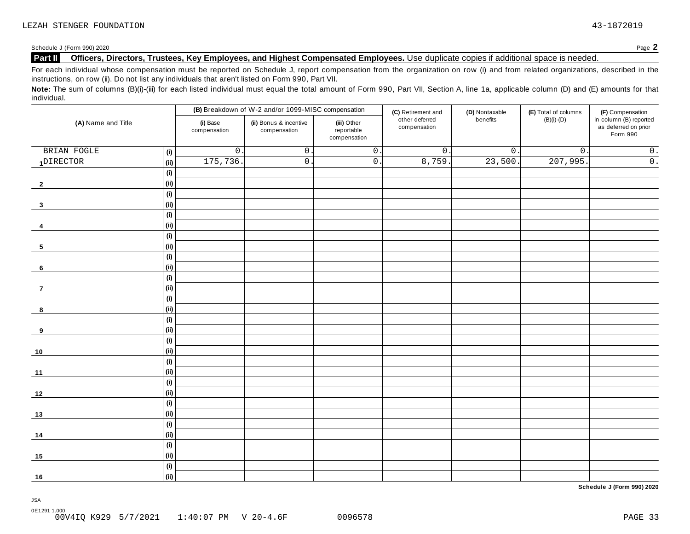#### **Part II** Officers, Directors, Trustees, Key Employees, and Highest Compensated Employees. Use duplicate copies if additional space is needed.

For each individual whose compensation must be reported on Schedule J, report compensation from the organization on row (i) and from related organizations, described in the instructions, on row (ii). Do not list any individuals that aren't listed on Form 990, Part VII.

Note: The sum of columns (B)(i)-(iii) for each listed individual must equal the total amount of Form 990, Part VII, Section A, line 1a, applicable column (D) and (E) amounts for that individual.

| (A) Name and Title |                              |                          | (B) Breakdown of W-2 and/or 1099-MISC compensation                                  |                  | (C) Retirement and             | (D) Nontaxable   | (E) Total of columns | (F) Compensation                                           |
|--------------------|------------------------------|--------------------------|-------------------------------------------------------------------------------------|------------------|--------------------------------|------------------|----------------------|------------------------------------------------------------|
|                    |                              | (i) Base<br>compensation | (ii) Bonus & incentive<br>(iii) Other<br>reportable<br>compensation<br>compensation |                  | other deferred<br>compensation | benefits         | $(B)(i)-(D)$         | in column (B) reported<br>as deferred on prior<br>Form 990 |
| BRIAN FOGLE        | (i)                          | $\mathsf{O}\xspace$      | $\boldsymbol{0}$ .                                                                  | $\overline{0}$ . | $\overline{0}$ .               | $\overline{0}$ . | $\overline{0}$ .     | $\overline{0}$ .                                           |
| 1DIRECTOR          | (ii)                         | 175,736                  | $\overline{0}$ .                                                                    | $\overline{0}$ . | 8,759.                         | 23,500.          | 207,995.             | $\overline{0}$ .                                           |
|                    | (i)                          |                          |                                                                                     |                  |                                |                  |                      |                                                            |
| $\mathbf{2}$       | (ii)                         |                          |                                                                                     |                  |                                |                  |                      |                                                            |
|                    | (i)                          |                          |                                                                                     |                  |                                |                  |                      |                                                            |
| $\mathbf{3}$       | (i)                          |                          |                                                                                     |                  |                                |                  |                      |                                                            |
|                    | (i)                          |                          |                                                                                     |                  |                                |                  |                      |                                                            |
| 4                  | (ii)                         |                          |                                                                                     |                  |                                |                  |                      |                                                            |
|                    | (i)                          |                          |                                                                                     |                  |                                |                  |                      |                                                            |
| 5                  | (ii)                         |                          |                                                                                     |                  |                                |                  |                      |                                                            |
|                    | (i)                          |                          |                                                                                     |                  |                                |                  |                      |                                                            |
| 6                  | (ii)                         |                          |                                                                                     |                  |                                |                  |                      |                                                            |
|                    | (i)                          |                          |                                                                                     |                  |                                |                  |                      |                                                            |
| $\overline{7}$     | (ii)                         |                          |                                                                                     |                  |                                |                  |                      |                                                            |
|                    | (i)                          |                          |                                                                                     |                  |                                |                  |                      |                                                            |
| 8                  | (ii)                         |                          |                                                                                     |                  |                                |                  |                      |                                                            |
|                    | $\qquad \qquad \textbf{(i)}$ |                          |                                                                                     |                  |                                |                  |                      |                                                            |
| 9                  | (ii)                         |                          |                                                                                     |                  |                                |                  |                      |                                                            |
|                    | (i)                          |                          |                                                                                     |                  |                                |                  |                      |                                                            |
| $10$               | (i)                          |                          |                                                                                     |                  |                                |                  |                      |                                                            |
|                    | (i)                          |                          |                                                                                     |                  |                                |                  |                      |                                                            |
| 11                 | (ii)                         |                          |                                                                                     |                  |                                |                  |                      |                                                            |
|                    | (i)                          |                          |                                                                                     |                  |                                |                  |                      |                                                            |
| $12$               | (ii)                         |                          |                                                                                     |                  |                                |                  |                      |                                                            |
|                    | (i)                          |                          |                                                                                     |                  |                                |                  |                      |                                                            |
| 13                 | (ii)                         |                          |                                                                                     |                  |                                |                  |                      |                                                            |
|                    | (i)                          |                          |                                                                                     |                  |                                |                  |                      |                                                            |
| 14                 | (ii)                         |                          |                                                                                     |                  |                                |                  |                      |                                                            |
|                    | (i)                          |                          |                                                                                     |                  |                                |                  |                      |                                                            |
| 15                 | (ii)                         |                          |                                                                                     |                  |                                |                  |                      |                                                            |
|                    | (i)                          |                          |                                                                                     |                  |                                |                  |                      |                                                            |
| 16                 | (ii)                         |                          |                                                                                     |                  |                                |                  |                      |                                                            |

**Schedule J (Form 990) 2020**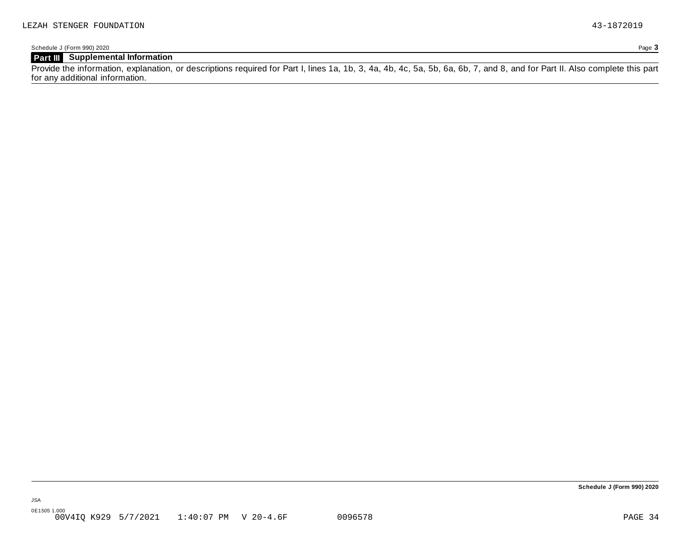### **Part III Supplemental Information**

Provide the information, explanation, or descriptions required for Part I, lines 1a, 1b, 3, 4a, 4b, 4c, 5a, 5b, 6a, 6b, 7, and 8, and for Part II. Also complete this part for any additional information.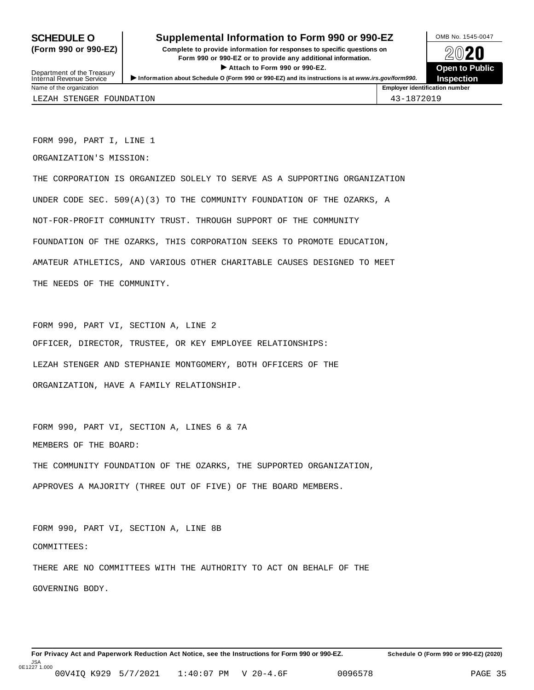### **SCHEDULE O** Supplemental Information to Form 990 or 990-EZ MB No. 1545-0047

**(Form 990 or 990-EZ) Complete to provide information for responses to specific questions on** plete to provide information for responses to specific questions on  $\sim$  20 $\sim$ 20 $\sim$ **ISONET ATTACH THE CONSERVANCE CONSERVANCE CONSERVANCE CONSERVANCE CONSERVANCE CONSERVANCE CONSERVANCE CONSERVANCE CONSERVANCE CONSERVANCE CONSERVANCE CONSERVANCE CONSERVANCE CONSERVANCE CONSERVANCE CONSERVANCE CONSERVANC Department of the Treasury III Department of the Treasury III Department of the Treasury III Department of the Treasury III Department of Pullishers in the Treasury III Department of Pu<br>Internal Revenue Service III Depar** 



Name of the organization **Employer identification number Employer identification number** LEZAH STENGER FOUNDATION 43-1872019

FORM 990, PART I, LINE 1

ORGANIZATION'S MISSION:

THE CORPORATION IS ORGANIZED SOLELY TO SERVE AS A SUPPORTING ORGANIZATION UNDER CODE SEC. 509(A)(3) TO THE COMMUNITY FOUNDATION OF THE OZARKS, A NOT-FOR-PROFIT COMMUNITY TRUST. THROUGH SUPPORT OF THE COMMUNITY FOUNDATION OF THE OZARKS, THIS CORPORATION SEEKS TO PROMOTE EDUCATION, AMATEUR ATHLETICS, AND VARIOUS OTHER CHARITABLE CAUSES DESIGNED TO MEET THE NEEDS OF THE COMMUNITY.

FORM 990, PART VI, SECTION A, LINE 2 OFFICER, DIRECTOR, TRUSTEE, OR KEY EMPLOYEE RELATIONSHIPS: LEZAH STENGER AND STEPHANIE MONTGOMERY, BOTH OFFICERS OF THE ORGANIZATION, HAVE A FAMILY RELATIONSHIP.

FORM 990, PART VI, SECTION A, LINES 6 & 7A MEMBERS OF THE BOARD: THE COMMUNITY FOUNDATION OF THE OZARKS, THE SUPPORTED ORGANIZATION, APPROVES A MAJORITY (THREE OUT OF FIVE) OF THE BOARD MEMBERS.

FORM 990, PART VI, SECTION A, LINE 8B COMMITTEES: THERE ARE NO COMMITTEES WITH THE AUTHORITY TO ACT ON BEHALF OF THE GOVERNING BODY.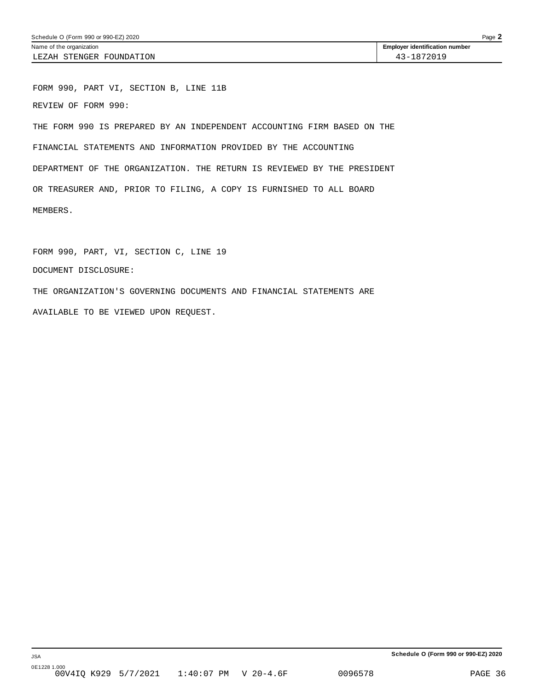FORM 990, PART VI, SECTION B, LINE 11B REVIEW OF FORM 990: THE FORM 990 IS PREPARED BY AN INDEPENDENT ACCOUNTING FIRM BASED ON THE FINANCIAL STATEMENTS AND INFORMATION PROVIDED BY THE ACCOUNTING DEPARTMENT OF THE ORGANIZATION. THE RETURN IS REVIEWED BY THE PRESIDENT OR TREASURER AND, PRIOR TO FILING, A COPY IS FURNISHED TO ALL BOARD MEMBERS.

FORM 990, PART, VI, SECTION C, LINE 19 DOCUMENT DISCLOSURE: THE ORGANIZATION'S GOVERNING DOCUMENTS AND FINANCIAL STATEMENTS ARE AVAILABLE TO BE VIEWED UPON REQUEST.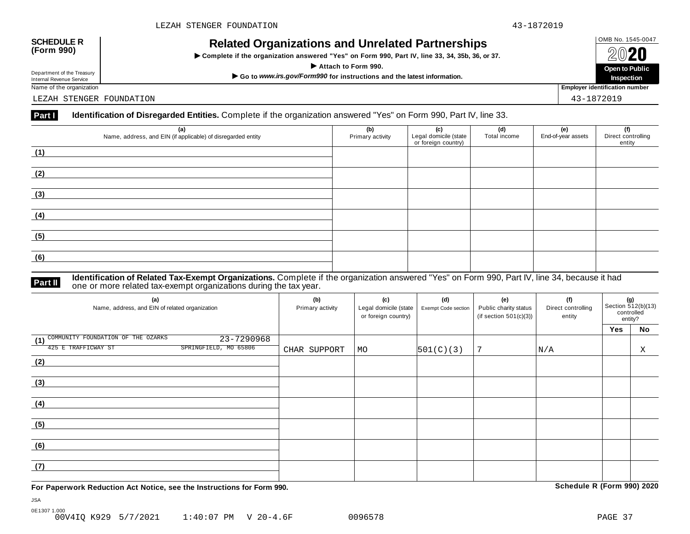# OMB No. 1545-0047 **SCHEDULE R (Form 990) Related Organizations and Unrelated Partnerships**

**INCREAR OF SUBATIZATIONS AND ONE FALCE THAT SINDS**<br>
Complete if the organization answered "Yes" on Form 990, Part IV, line 33, 34, 35b, 36, or 37.



Name of the organization **Employer identification number Employer identification number** 

LEZAH STENGER FOUNDATION 43-1872019

#### **Part I** Identification of Disregarded Entities. Complete if the organization answered "Yes" on Form 990, Part IV, line 33.

| (a)<br>Name, address, and EIN (if applicable) of disregarded entity | (b)<br>Primary activity | (c)<br>Legal domicile (state<br>or foreign country) | (d)<br>Total income | (e)<br>End-of-year assets | (f)<br>Direct controlling<br>entity |
|---------------------------------------------------------------------|-------------------------|-----------------------------------------------------|---------------------|---------------------------|-------------------------------------|
| (1)                                                                 |                         |                                                     |                     |                           |                                     |
| (2)                                                                 |                         |                                                     |                     |                           |                                     |
| (3)                                                                 |                         |                                                     |                     |                           |                                     |
| (4)                                                                 |                         |                                                     |                     |                           |                                     |
| (5)                                                                 |                         |                                                     |                     |                           |                                     |
| (6)                                                                 |                         |                                                     |                     |                           |                                     |

**Identification of Related Tax-Exempt Organizations.** Complete if the organization answered "Yes" on Form 990, Part IV, line 34, because it had **Part II one or more related tax-exempt organizations during the tax year. Part II one or more related tax-exempt organizations during the tax year.** 

| (a)<br>Name, address, and EIN of related organization   | (b)<br>Primary activity | (c)<br>Legal domicile (state<br>or foreign country) | (d)<br>Exempt Code section | (e)<br>Public charity status<br>(if section $501(c)(3)$ ) | (f)<br>Direct controlling<br>entity | (g)<br>Section 512(b)(13)<br>controlled<br>entity? |    |
|---------------------------------------------------------|-------------------------|-----------------------------------------------------|----------------------------|-----------------------------------------------------------|-------------------------------------|----------------------------------------------------|----|
|                                                         |                         |                                                     |                            |                                                           |                                     | Yes                                                | No |
| COMMUNITY FOUNDATION OF THE OZARKS<br>23-7290968<br>(1) |                         |                                                     |                            |                                                           |                                     |                                                    |    |
| 425 E TRAFFICWAY ST<br>SPRINGFIELD, MO 65806            | CHAR SUPPORT            | MO                                                  | 501(C)(3)                  | 7                                                         | N/A                                 |                                                    | Χ  |
| (2)                                                     |                         |                                                     |                            |                                                           |                                     |                                                    |    |
| (3)                                                     |                         |                                                     |                            |                                                           |                                     |                                                    |    |
| (4)                                                     |                         |                                                     |                            |                                                           |                                     |                                                    |    |
| (5)                                                     |                         |                                                     |                            |                                                           |                                     |                                                    |    |
| (6)                                                     |                         |                                                     |                            |                                                           |                                     |                                                    |    |
| (7)                                                     |                         |                                                     |                            |                                                           |                                     |                                                    |    |

**For Paperwork Reduction Act Notice, see the Instructions for Form 990. Schedule R (Form 990) 2020**

JSA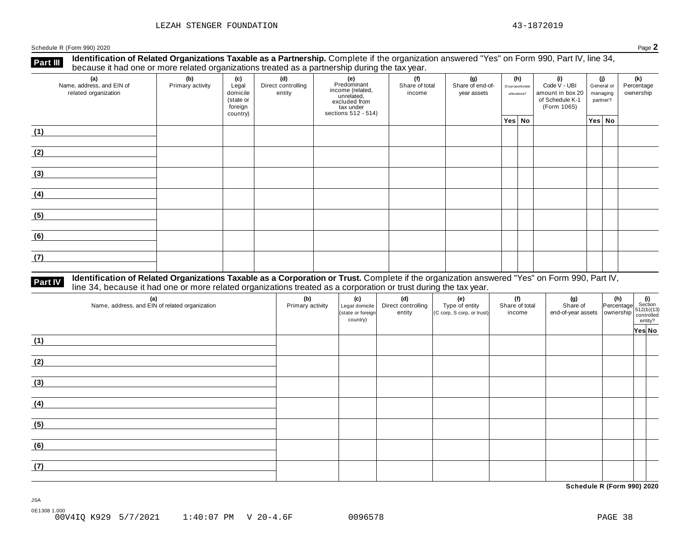**Identification of Related Organizations Taxable as a Partnership.** Complete if the organization answered "Yes" on Form 990, Part IV, line 34, **because it had one or more related organizations Taxable as a Partnership.** Complete if the organization of Related organizations treated as a partnership during the tax year.

| (a)<br>Name, address, and EIN of<br>related organization | (b)<br>Primary activity | (c)<br>Legal<br>domicile<br>(state or<br>foreign<br>country) | (d)<br>Direct controlling<br>entity | (e)<br>Predominant<br>income (related,<br>unrelated,<br>excluded from<br>tax under<br>sections 512 - 514) | (f)<br>Share of total<br>income | (g)<br>Share of end-of-<br>year assets | (h)<br>Disproportionate<br>allocations? | (i)<br>Code V - UBI<br>amount in box 20<br>of Schedule K-1<br>(Form 1065) | (j)<br>General or<br>managing<br>partner? |        |  |  | (k)<br>Percentage<br>ownership |
|----------------------------------------------------------|-------------------------|--------------------------------------------------------------|-------------------------------------|-----------------------------------------------------------------------------------------------------------|---------------------------------|----------------------------------------|-----------------------------------------|---------------------------------------------------------------------------|-------------------------------------------|--------|--|--|--------------------------------|
|                                                          |                         |                                                              |                                     |                                                                                                           |                                 |                                        | Yes No                                  |                                                                           |                                           | Yes No |  |  |                                |
| (1)                                                      |                         |                                                              |                                     |                                                                                                           |                                 |                                        |                                         |                                                                           |                                           |        |  |  |                                |
| (2)                                                      |                         |                                                              |                                     |                                                                                                           |                                 |                                        |                                         |                                                                           |                                           |        |  |  |                                |
| (3)                                                      |                         |                                                              |                                     |                                                                                                           |                                 |                                        |                                         |                                                                           |                                           |        |  |  |                                |
| (4)                                                      |                         |                                                              |                                     |                                                                                                           |                                 |                                        |                                         |                                                                           |                                           |        |  |  |                                |
| (5)                                                      |                         |                                                              |                                     |                                                                                                           |                                 |                                        |                                         |                                                                           |                                           |        |  |  |                                |
| (6)                                                      |                         |                                                              |                                     |                                                                                                           |                                 |                                        |                                         |                                                                           |                                           |        |  |  |                                |
| (7)                                                      |                         |                                                              |                                     |                                                                                                           |                                 |                                        |                                         |                                                                           |                                           |        |  |  |                                |

# **Part IV** Identification of Related Organizations Taxable as a Corporation or Trust. Complete if the organization answered "Yes" on Form 990, Part IV,<br>line 34, because it had one or more related organizations treated as a

| (a)<br>Name, address, and EIN of related organization | (b)<br>Primary activity | (c)<br>Legal domicile<br>(state or foreign<br>country) | (d)<br>Direct controlling<br>entity | (e)<br>Type of entity<br>(C corp, S corp, or trust) | (f)<br>Share of total<br>income | (g) (h) $\frac{1}{2}$ (i) $\frac{1}{2}$ (i) $\frac{1}{2}$ (i) $\frac{1}{2}$ (i) $\frac{1}{2}$ (certifical end-of-year assets ownership $\frac{1}{2}$ (ch)(13) $\frac{1}{2}$ (ch)(13) $\frac{1}{2}$ (ch)(13) $\frac{1}{2}$ (ch)(r) |        |  |
|-------------------------------------------------------|-------------------------|--------------------------------------------------------|-------------------------------------|-----------------------------------------------------|---------------------------------|-----------------------------------------------------------------------------------------------------------------------------------------------------------------------------------------------------------------------------------|--------|--|
|                                                       |                         |                                                        |                                     |                                                     |                                 |                                                                                                                                                                                                                                   | Yes No |  |
| (1)                                                   |                         |                                                        |                                     |                                                     |                                 |                                                                                                                                                                                                                                   |        |  |
| (2)                                                   |                         |                                                        |                                     |                                                     |                                 |                                                                                                                                                                                                                                   |        |  |
| (3)                                                   |                         |                                                        |                                     |                                                     |                                 |                                                                                                                                                                                                                                   |        |  |
| (4)                                                   |                         |                                                        |                                     |                                                     |                                 |                                                                                                                                                                                                                                   |        |  |
| (5)                                                   |                         |                                                        |                                     |                                                     |                                 |                                                                                                                                                                                                                                   |        |  |
| (6)                                                   |                         |                                                        |                                     |                                                     |                                 |                                                                                                                                                                                                                                   |        |  |
| (7)                                                   |                         |                                                        |                                     |                                                     |                                 |                                                                                                                                                                                                                                   |        |  |

**Schedule R (Form 990) 2020**

JSA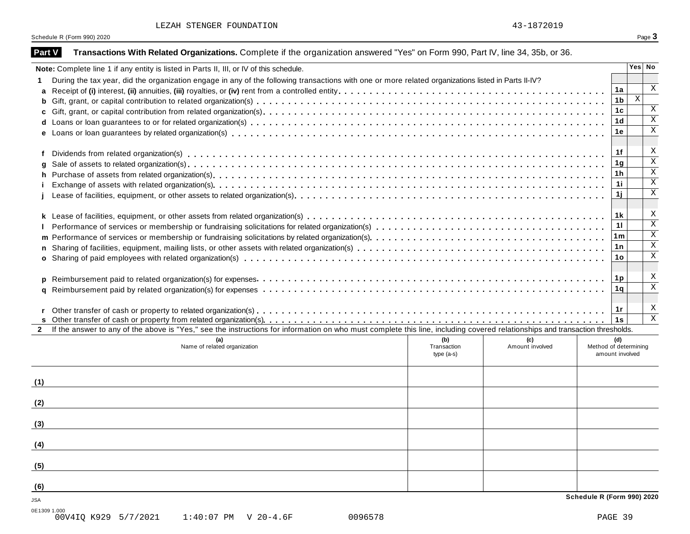| LEZAH STENGER FOUNDATION | 43-1872019 |
|--------------------------|------------|
|                          |            |

|               | Schedule R (Form 990) 2020                                                                                                                                                   |                 | Page 3                     |
|---------------|------------------------------------------------------------------------------------------------------------------------------------------------------------------------------|-----------------|----------------------------|
| <b>Part V</b> | Transactions With Related Organizations. Complete if the organization answered "Yes" on Form 990, Part IV, line 34, 35b, or 36.                                              |                 |                            |
|               | Note: Complete line 1 if any entity is listed in Parts II, III, or IV of this schedule.                                                                                      |                 | Yes No                     |
|               | During the tax year, did the organization engage in any of the following transactions with one or more related organizations listed in Parts II-IV?                          |                 |                            |
| a             |                                                                                                                                                                              | 1a              | X                          |
|               |                                                                                                                                                                              | 1b              | X                          |
|               |                                                                                                                                                                              | 1c              | X                          |
|               |                                                                                                                                                                              | 1d              | $\mathbf X$<br>$\mathbf X$ |
|               |                                                                                                                                                                              | 1е              |                            |
|               |                                                                                                                                                                              | 1f              | X                          |
| q             |                                                                                                                                                                              | 1g              | $\overline{\mathbf{x}}$    |
|               |                                                                                                                                                                              | 1h              | $\mathbf X$                |
|               |                                                                                                                                                                              | 1i.             | $\mathbf X$                |
|               |                                                                                                                                                                              | 1j              | $\mathbf X$                |
|               |                                                                                                                                                                              | 1 k             | X                          |
|               |                                                                                                                                                                              | 11              | $\overline{\mathbf{x}}$    |
|               |                                                                                                                                                                              | 1 <sub>m</sub>  | X                          |
|               |                                                                                                                                                                              | 1 n             | $\mathbf X$                |
|               |                                                                                                                                                                              | 1о              | $\mathbf X$                |
|               |                                                                                                                                                                              | 1p              | X                          |
| a             |                                                                                                                                                                              | 1q              | $\overline{\mathbf{x}}$    |
|               |                                                                                                                                                                              | 1r              | X                          |
|               |                                                                                                                                                                              | 1s              | $\overline{\mathbf{x}}$    |
| $2^{\circ}$   | If the answer to any of the above is "Yes," see the instructions for information on who must complete this line, including covered relationships and transaction thresholds. |                 |                            |
|               | (b)<br>(a)<br>(c)                                                                                                                                                            | (d)             |                            |
|               | Name of related organization<br>Amount involved<br>Method of determining<br>Transaction<br>type (a-s)                                                                        | amount involved |                            |
|               |                                                                                                                                                                              |                 |                            |
| (1)           |                                                                                                                                                                              |                 |                            |
| (2)           |                                                                                                                                                                              |                 |                            |
| (3)           |                                                                                                                                                                              |                 |                            |
| (4)           |                                                                                                                                                                              |                 |                            |
| (5)           |                                                                                                                                                                              |                 |                            |
|               |                                                                                                                                                                              |                 |                            |
| (6)           |                                                                                                                                                                              |                 |                            |
|               | Schedule R (Form 990) 2020                                                                                                                                                   |                 |                            |
| 0E1309 1.000  | 00V4IQ K929 5/7/2021<br>1:40:07 PM V 20-4.6F<br>0096578                                                                                                                      | PAGE 39         |                            |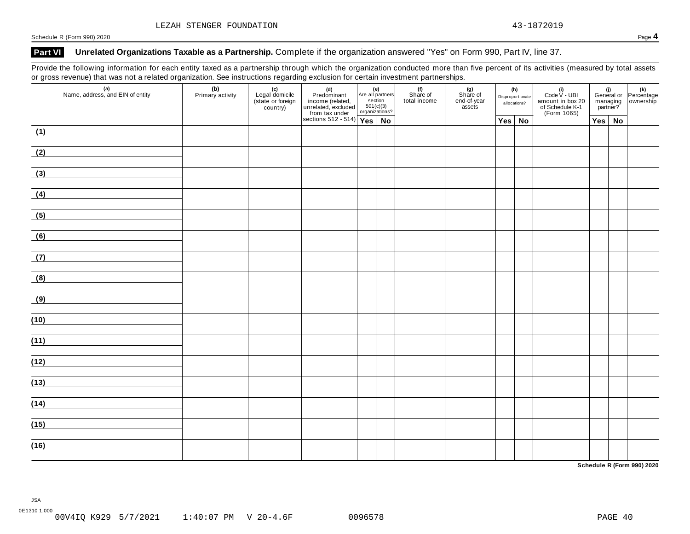### Part VI Unrelated Organizations Taxable as a Partnership. Complete if the organization answered "Yes" on Form 990, Part IV, line 37.

Provide the following information for each entity taxed as a partnership through which the organization conducted more than five percent of its activities (measured by total assets or gross revenue) that was not a related organization. See instructions regarding exclusion for certain investment partnerships.

| $\sim$ $\sim$ $\sim$<br>$\frac{1}{\sqrt{2}}$<br>(a)<br>Name, address, and EIN of entity | (b)<br>Primary activity | - ت<br>(c)<br>Legal domicile<br>(state or foreign)<br>country) | $\begin{tabular}{ c c } \hline & (d) & (e) \\ \hline \multicolumn{3}{ c }{Predominant} & \multicolumn{3}{ c }{Area all par} \\ \hline \multicolumn{3}{ c }{inner} & (related) & \multicolumn{3}{ c }{\text{set}} \\ \multicolumn{3}{ c }{undered} & (c) & \multicolumn{3}{ c }{\text{set}} \\ \multicolumn{3}{ c }{vector} & (c) & \multicolumn{3}{ c }{\text{of}} \\ \hline \multicolumn{3}{ c }{vector} & (c) & \multicolumn{3}{ c }{\text{organizat}} \\ \hline \multicolumn{3}{ c$ | Are all partners<br>section<br>501(c)(3)<br>organizations? |    | .<br>(f)<br>Share of<br>total income | $(n)$<br>Share of<br>end-of-year<br>assets | (h)<br>Disproportionate<br>allocations? | (i)<br>Code V - UBI<br>amount in box 20<br>of Schedule K-1<br>(Form 1065) |  |               | (i)<br>General or Percentage<br>managing ownership<br>partner? |
|-----------------------------------------------------------------------------------------|-------------------------|----------------------------------------------------------------|----------------------------------------------------------------------------------------------------------------------------------------------------------------------------------------------------------------------------------------------------------------------------------------------------------------------------------------------------------------------------------------------------------------------------------------------------------------------------------------|------------------------------------------------------------|----|--------------------------------------|--------------------------------------------|-----------------------------------------|---------------------------------------------------------------------------|--|---------------|----------------------------------------------------------------|
|                                                                                         |                         |                                                                |                                                                                                                                                                                                                                                                                                                                                                                                                                                                                        |                                                            | No |                                      |                                            | Yes No                                  |                                                                           |  | $Yes \mid No$ |                                                                |
| (1)                                                                                     |                         |                                                                |                                                                                                                                                                                                                                                                                                                                                                                                                                                                                        |                                                            |    |                                      |                                            |                                         |                                                                           |  |               |                                                                |
| (2)                                                                                     |                         |                                                                |                                                                                                                                                                                                                                                                                                                                                                                                                                                                                        |                                                            |    |                                      |                                            |                                         |                                                                           |  |               |                                                                |
| (3)                                                                                     |                         |                                                                |                                                                                                                                                                                                                                                                                                                                                                                                                                                                                        |                                                            |    |                                      |                                            |                                         |                                                                           |  |               |                                                                |
| (4)                                                                                     |                         |                                                                |                                                                                                                                                                                                                                                                                                                                                                                                                                                                                        |                                                            |    |                                      |                                            |                                         |                                                                           |  |               |                                                                |
| (5)                                                                                     |                         |                                                                |                                                                                                                                                                                                                                                                                                                                                                                                                                                                                        |                                                            |    |                                      |                                            |                                         |                                                                           |  |               |                                                                |
| (6)<br><u> 1990 - Jan Alexandria (h. 1980).</u>                                         |                         |                                                                |                                                                                                                                                                                                                                                                                                                                                                                                                                                                                        |                                                            |    |                                      |                                            |                                         |                                                                           |  |               |                                                                |
| (7)                                                                                     |                         |                                                                |                                                                                                                                                                                                                                                                                                                                                                                                                                                                                        |                                                            |    |                                      |                                            |                                         |                                                                           |  |               |                                                                |
| (8)                                                                                     |                         |                                                                |                                                                                                                                                                                                                                                                                                                                                                                                                                                                                        |                                                            |    |                                      |                                            |                                         |                                                                           |  |               |                                                                |
| (9)                                                                                     |                         |                                                                |                                                                                                                                                                                                                                                                                                                                                                                                                                                                                        |                                                            |    |                                      |                                            |                                         |                                                                           |  |               |                                                                |
| (10)                                                                                    |                         |                                                                |                                                                                                                                                                                                                                                                                                                                                                                                                                                                                        |                                                            |    |                                      |                                            |                                         |                                                                           |  |               |                                                                |
| (11)<br><u> 1980 - Andrea Station Books, amerikansk politik (d. 1980)</u>               |                         |                                                                |                                                                                                                                                                                                                                                                                                                                                                                                                                                                                        |                                                            |    |                                      |                                            |                                         |                                                                           |  |               |                                                                |
| (12)                                                                                    |                         |                                                                |                                                                                                                                                                                                                                                                                                                                                                                                                                                                                        |                                                            |    |                                      |                                            |                                         |                                                                           |  |               |                                                                |
| (13)                                                                                    |                         |                                                                |                                                                                                                                                                                                                                                                                                                                                                                                                                                                                        |                                                            |    |                                      |                                            |                                         |                                                                           |  |               |                                                                |
| (14)                                                                                    |                         |                                                                |                                                                                                                                                                                                                                                                                                                                                                                                                                                                                        |                                                            |    |                                      |                                            |                                         |                                                                           |  |               |                                                                |
| (15)                                                                                    |                         |                                                                |                                                                                                                                                                                                                                                                                                                                                                                                                                                                                        |                                                            |    |                                      |                                            |                                         |                                                                           |  |               |                                                                |
| (16)                                                                                    |                         |                                                                |                                                                                                                                                                                                                                                                                                                                                                                                                                                                                        |                                                            |    |                                      |                                            |                                         |                                                                           |  |               |                                                                |
|                                                                                         |                         |                                                                |                                                                                                                                                                                                                                                                                                                                                                                                                                                                                        |                                                            |    |                                      |                                            |                                         |                                                                           |  |               |                                                                |

**Schedule R (Form 990) 2020**

JSA